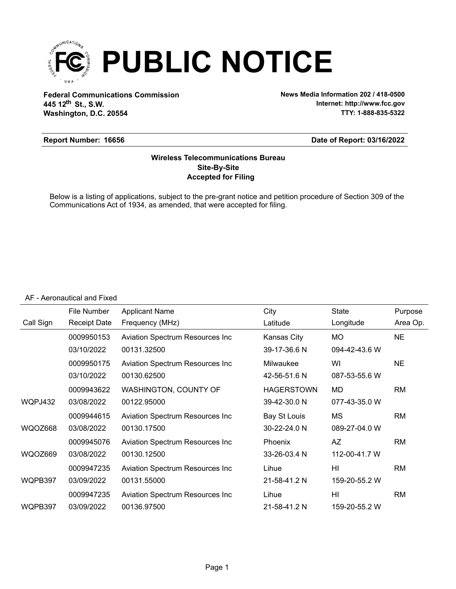

**Federal Communications Commission News Media Information 202 / 418-0500 Washington, D.C. 20554 th 445 12 St., S.W.**

**Internet: http://www.fcc.gov TTY: 1-888-835-5322**

#### **Report Number: 16656**

#### **Date of Report: 03/16/2022**

#### **Accepted for Filing Site-By-Site Wireless Telecommunications Bureau**

Below is a listing of applications, subject to the pre-grant notice and petition procedure of Section 309 of the Communications Act of 1934, as amended, that were accepted for filing.

#### AF - Aeronautical and Fixed

|           | File Number         | <b>Applicant Name</b>                   | City              | State          | Purpose   |
|-----------|---------------------|-----------------------------------------|-------------------|----------------|-----------|
| Call Sign | <b>Receipt Date</b> | Frequency (MHz)                         | Latitude          | Longitude      | Area Op.  |
|           | 0009950153          | <b>Aviation Spectrum Resources Inc</b>  | Kansas City       | <b>MO</b>      | <b>NE</b> |
|           | 03/10/2022          | 00131.32500                             | 39-17-36.6 N      | 094-42-43.6 W  |           |
|           | 0009950175          | <b>Aviation Spectrum Resources Inc.</b> | Milwaukee         | WI             | <b>NE</b> |
|           | 03/10/2022          | 00130.62500                             | 42-56-51.6 N      | 087-53-55.6 W  |           |
|           | 0009943622          | WASHINGTON, COUNTY OF                   | <b>HAGERSTOWN</b> | MD             | <b>RM</b> |
| WQPJ432   | 03/08/2022          | 00122.95000                             | 39-42-30.0 N      | 077-43-35.0 W  |           |
|           | 0009944615          | Aviation Spectrum Resources Inc         | Bay St Louis      | МS             | RM        |
| WQOZ668   | 03/08/2022          | 00130.17500                             | 30-22-24.0 N      | 089-27-04.0 W  |           |
|           | 0009945076          | <b>Aviation Spectrum Resources Inc.</b> | <b>Phoenix</b>    | AZ             | RM        |
| WQOZ669   | 03/08/2022          | 00130.12500                             | 33-26-03.4 N      | 112-00-41.7 W  |           |
|           | 0009947235          | Aviation Spectrum Resources Inc         | Lihue             | HI             | RM        |
| WQPB397   | 03/09/2022          | 00131.55000                             | 21-58-41.2 N      | 159-20-55.2 W  |           |
|           | 0009947235          | <b>Aviation Spectrum Resources Inc.</b> | Lihue             | H <sub>l</sub> | <b>RM</b> |
| WQPB397   | 03/09/2022          | 00136.97500                             | 21-58-41.2 N      | 159-20-55.2 W  |           |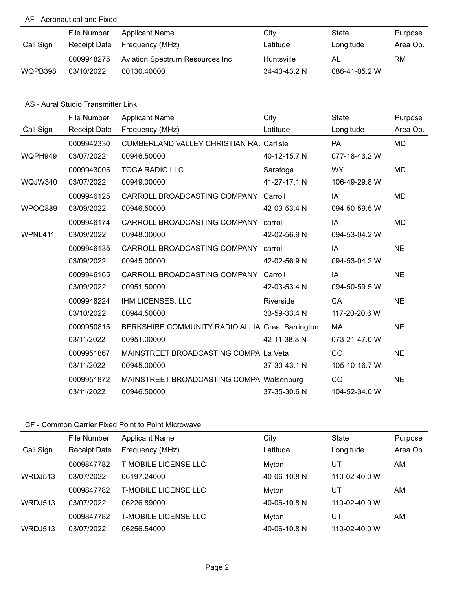#### AF - Aeronautical and Fixed

|           | File Number  | <b>Applicant Name</b>           | City         | State         | Purpose  |
|-----------|--------------|---------------------------------|--------------|---------------|----------|
| Call Sign | Receipt Date | Frequency (MHz)                 | Latitude     | Longitude     | Area Op. |
|           | 0009948275   | Aviation Spectrum Resources Inc | Huntsville   | AL            | RM       |
| WQPB398   | 03/10/2022   | 00130.40000                     | 34-40-43.2 N | 086-41-05.2 W |          |

#### AS - Aural Studio Transmitter Link

|           | File Number         | <b>Applicant Name</b>                            | City         | <b>State</b>  | Purpose   |
|-----------|---------------------|--------------------------------------------------|--------------|---------------|-----------|
| Call Sign | <b>Receipt Date</b> | Frequency (MHz)                                  | Latitude     | Longitude     | Area Op.  |
|           | 0009942330          | <b>CUMBERLAND VALLEY CHRISTIAN RAI Carlisle</b>  |              | <b>PA</b>     | <b>MD</b> |
| WQPH949   | 03/07/2022          | 00946.50000                                      | 40-12-15.7 N | 077-18-43.2 W |           |
|           | 0009943005          | <b>TOGA RADIO LLC</b>                            | Saratoga     | <b>WY</b>     | MD        |
| WQJW340   | 03/07/2022          | 00949.00000                                      | 41-27-17.1 N | 106-49-29.8 W |           |
|           | 0009946125          | CARROLL BROADCASTING COMPANY                     | Carroll      | IA            | <b>MD</b> |
| WPOQ889   | 03/09/2022          | 00946.50000                                      | 42-03-53.4 N | 094-50-59.5 W |           |
|           | 0009946174          | CARROLL BROADCASTING COMPANY                     | carroll      | IA            | <b>MD</b> |
| WPNL411   | 03/09/2022          | 00948.00000                                      | 42-02-56.9 N | 094-53-04.2 W |           |
|           | 0009946135          | CARROLL BROADCASTING COMPANY                     | carroll      | IA            | <b>NE</b> |
|           | 03/09/2022          | 00945.00000                                      | 42-02-56.9 N | 094-53-04.2 W |           |
|           | 0009946165          | CARROLL BROADCASTING COMPANY                     | Carroll      | IA            | <b>NE</b> |
|           | 03/09/2022          | 00951.50000                                      | 42-03-53.4 N | 094-50-59.5 W |           |
|           | 0009948224          | <b>IHM LICENSES, LLC</b>                         | Riverside    | CA            | <b>NE</b> |
|           | 03/10/2022          | 00944.50000                                      | 33-59-33.4 N | 117-20-20.6 W |           |
|           | 0009950815          | BERKSHIRE COMMUNITY RADIO ALLIA Great Barrington |              | MA            | <b>NE</b> |
|           | 03/11/2022          | 00951.00000                                      | 42-11-38.8 N | 073-21-47.0 W |           |
|           | 0009951867          | MAINSTREET BROADCASTING COMPA La Veta            |              | CO            | <b>NE</b> |
|           | 03/11/2022          | 00945.00000                                      | 37-30-43.1 N | 105-10-16.7 W |           |
|           | 0009951872          | MAINSTREET BROADCASTING COMPA Walsenburg         |              | CO            | <b>NE</b> |
|           | 03/11/2022          | 00946.50000                                      | 37-35-30.6 N | 104-52-34.0 W |           |

|           | File Number         | <b>Applicant Name</b>       | City         | <b>State</b>  | Purpose  |
|-----------|---------------------|-----------------------------|--------------|---------------|----------|
| Call Sign | <b>Receipt Date</b> | Frequency (MHz)             | _atitude     | Longitude     | Area Op. |
|           | 0009847782          | <b>T-MOBILE LICENSE LLC</b> | Myton        | UT            | AM       |
| WRDJ513   | 03/07/2022          | 06197.24000                 | 40-06-10.8 N | 110-02-40.0 W |          |
|           | 0009847782          | <b>T-MOBILE LICENSE LLC</b> | Myton        | UT            | AM       |
| WRDJ513   | 03/07/2022          | 06226.89000                 | 40-06-10.8 N | 110-02-40.0 W |          |
|           | 0009847782          | T-MOBILE LICENSE LLC        | Myton        | UT            | AM       |
| WRDJ513   | 03/07/2022          | 06256.54000                 | 40-06-10.8 N | 110-02-40.0 W |          |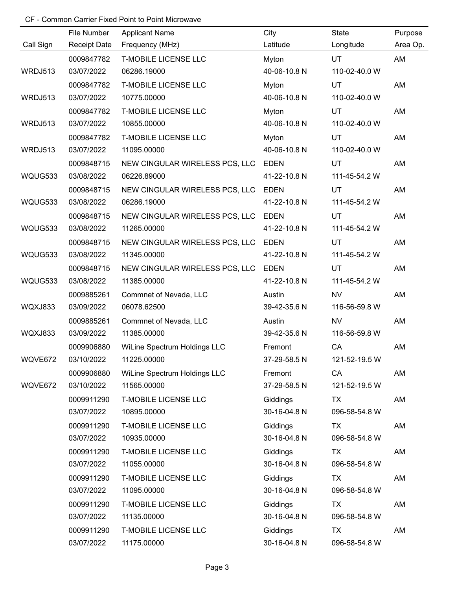|           | File Number         | <b>Applicant Name</b>          | City         | State         | Purpose  |
|-----------|---------------------|--------------------------------|--------------|---------------|----------|
| Call Sign | <b>Receipt Date</b> | Frequency (MHz)                | Latitude     | Longitude     | Area Op. |
|           | 0009847782          | <b>T-MOBILE LICENSE LLC</b>    | Myton        | <b>UT</b>     | AM       |
| WRDJ513   | 03/07/2022          | 06286.19000                    | 40-06-10.8 N | 110-02-40.0 W |          |
|           | 0009847782          | <b>T-MOBILE LICENSE LLC</b>    | Myton        | UT            | AM       |
| WRDJ513   | 03/07/2022          | 10775.00000                    | 40-06-10.8 N | 110-02-40.0 W |          |
|           | 0009847782          | <b>T-MOBILE LICENSE LLC</b>    | Myton        | UT            | AM       |
| WRDJ513   | 03/07/2022          | 10855.00000                    | 40-06-10.8 N | 110-02-40.0 W |          |
|           | 0009847782          | <b>T-MOBILE LICENSE LLC</b>    | Myton        | UT            | AM       |
| WRDJ513   | 03/07/2022          | 11095.00000                    | 40-06-10.8 N | 110-02-40.0 W |          |
|           | 0009848715          | NEW CINGULAR WIRELESS PCS, LLC | <b>EDEN</b>  | UT            | AM       |
| WQUG533   | 03/08/2022          | 06226.89000                    | 41-22-10.8 N | 111-45-54.2 W |          |
|           | 0009848715          | NEW CINGULAR WIRELESS PCS, LLC | <b>EDEN</b>  | UT            | AM       |
| WQUG533   | 03/08/2022          | 06286.19000                    | 41-22-10.8 N | 111-45-54.2 W |          |
|           | 0009848715          | NEW CINGULAR WIRELESS PCS, LLC | <b>EDEN</b>  | UT            | AM       |
| WQUG533   | 03/08/2022          | 11265.00000                    | 41-22-10.8 N | 111-45-54.2 W |          |
|           | 0009848715          | NEW CINGULAR WIRELESS PCS, LLC | <b>EDEN</b>  | UT            | AM       |
| WQUG533   | 03/08/2022          | 11345.00000                    | 41-22-10.8 N | 111-45-54.2 W |          |
|           | 0009848715          | NEW CINGULAR WIRELESS PCS, LLC | <b>EDEN</b>  | UT            | AM       |
| WQUG533   | 03/08/2022          | 11385.00000                    | 41-22-10.8 N | 111-45-54.2 W |          |
|           | 0009885261          | Commnet of Nevada, LLC         | Austin       | <b>NV</b>     | AM       |
| WQXJ833   | 03/09/2022          | 06078.62500                    | 39-42-35.6 N | 116-56-59.8 W |          |
|           | 0009885261          | Commnet of Nevada, LLC         | Austin       | <b>NV</b>     | AM       |
| WQXJ833   | 03/09/2022          | 11385.00000                    | 39-42-35.6 N | 116-56-59.8 W |          |
|           | 0009906880          | WiLine Spectrum Holdings LLC   | Fremont      | CA            | AM       |
| WQVE672   | 03/10/2022          | 11225.00000                    | 37-29-58.5 N | 121-52-19.5 W |          |
|           | 0009906880          | WiLine Spectrum Holdings LLC   | Fremont      | CA            | AM       |
| WQVE672   | 03/10/2022          | 11565.00000                    | 37-29-58.5 N | 121-52-19.5 W |          |
|           | 0009911290          | <b>T-MOBILE LICENSE LLC</b>    | Giddings     | <b>TX</b>     | AM       |
|           | 03/07/2022          | 10895.00000                    | 30-16-04.8 N | 096-58-54.8 W |          |
|           | 0009911290          | <b>T-MOBILE LICENSE LLC</b>    | Giddings     | TX            | AM       |
|           | 03/07/2022          | 10935.00000                    | 30-16-04.8 N | 096-58-54.8 W |          |
|           | 0009911290          | <b>T-MOBILE LICENSE LLC</b>    | Giddings     | TX            | AM       |
|           | 03/07/2022          | 11055.00000                    | 30-16-04.8 N | 096-58-54.8 W |          |
|           | 0009911290          | <b>T-MOBILE LICENSE LLC</b>    | Giddings     | TX            | AM       |
|           | 03/07/2022          | 11095.00000                    | 30-16-04.8 N | 096-58-54.8 W |          |
|           | 0009911290          | <b>T-MOBILE LICENSE LLC</b>    | Giddings     | <b>TX</b>     | AM       |
|           | 03/07/2022          | 11135.00000                    | 30-16-04.8 N | 096-58-54.8 W |          |
|           | 0009911290          | <b>T-MOBILE LICENSE LLC</b>    | Giddings     | <b>TX</b>     | AM       |
|           | 03/07/2022          | 11175.00000                    | 30-16-04.8 N | 096-58-54.8 W |          |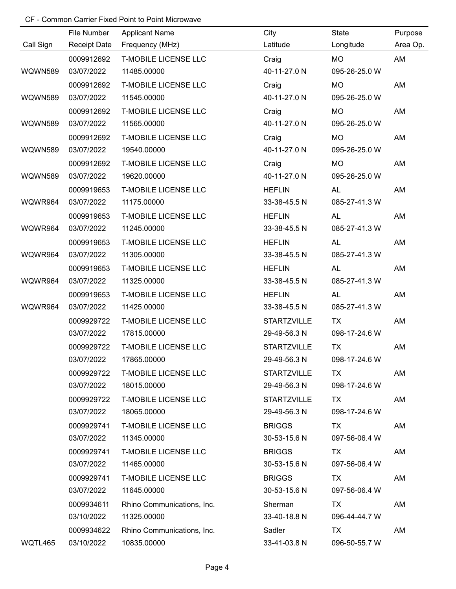|           | File Number         | <b>Applicant Name</b>       | City               | <b>State</b>  | Purpose  |
|-----------|---------------------|-----------------------------|--------------------|---------------|----------|
| Call Sign | <b>Receipt Date</b> | Frequency (MHz)             | Latitude           | Longitude     | Area Op. |
|           | 0009912692          | <b>T-MOBILE LICENSE LLC</b> | Craig              | <b>MO</b>     | AM       |
| WQWN589   | 03/07/2022          | 11485.00000                 | 40-11-27.0 N       | 095-26-25.0 W |          |
|           | 0009912692          | <b>T-MOBILE LICENSE LLC</b> | Craig              | <b>MO</b>     | AM       |
| WQWN589   | 03/07/2022          | 11545.00000                 | 40-11-27.0 N       | 095-26-25.0 W |          |
|           | 0009912692          | <b>T-MOBILE LICENSE LLC</b> | Craig              | MO            | AM       |
| WQWN589   | 03/07/2022          | 11565.00000                 | 40-11-27.0 N       | 095-26-25.0 W |          |
|           | 0009912692          | <b>T-MOBILE LICENSE LLC</b> | Craig              | <b>MO</b>     | AM       |
| WQWN589   | 03/07/2022          | 19540.00000                 | 40-11-27.0 N       | 095-26-25.0 W |          |
|           | 0009912692          | <b>T-MOBILE LICENSE LLC</b> | Craig              | <b>MO</b>     | AM       |
| WQWN589   | 03/07/2022          | 19620.00000                 | 40-11-27.0 N       | 095-26-25.0 W |          |
|           | 0009919653          | <b>T-MOBILE LICENSE LLC</b> | <b>HEFLIN</b>      | <b>AL</b>     | AM       |
| WQWR964   | 03/07/2022          | 11175.00000                 | 33-38-45.5 N       | 085-27-41.3 W |          |
|           | 0009919653          | <b>T-MOBILE LICENSE LLC</b> | <b>HEFLIN</b>      | <b>AL</b>     | AM       |
| WQWR964   | 03/07/2022          | 11245.00000                 | 33-38-45.5 N       | 085-27-41.3 W |          |
|           | 0009919653          | <b>T-MOBILE LICENSE LLC</b> | <b>HEFLIN</b>      | <b>AL</b>     | AM       |
| WQWR964   | 03/07/2022          | 11305.00000                 | 33-38-45.5 N       | 085-27-41.3 W |          |
|           | 0009919653          | <b>T-MOBILE LICENSE LLC</b> | <b>HEFLIN</b>      | <b>AL</b>     | AM       |
| WQWR964   | 03/07/2022          | 11325.00000                 | 33-38-45.5 N       | 085-27-41.3 W |          |
|           | 0009919653          | <b>T-MOBILE LICENSE LLC</b> | <b>HEFLIN</b>      | <b>AL</b>     | AM       |
| WQWR964   | 03/07/2022          | 11425.00000                 | 33-38-45.5 N       | 085-27-41.3 W |          |
|           | 0009929722          | <b>T-MOBILE LICENSE LLC</b> | <b>STARTZVILLE</b> | <b>TX</b>     | AM       |
|           | 03/07/2022          | 17815.00000                 | 29-49-56.3 N       | 098-17-24.6 W |          |
|           | 0009929722          | <b>T-MOBILE LICENSE LLC</b> | <b>STARTZVILLE</b> | <b>TX</b>     | AM       |
|           | 03/07/2022          | 17865.00000                 | 29-49-56.3 N       | 098-17-24.6 W |          |
|           | 0009929722          | <b>T-MOBILE LICENSE LLC</b> | <b>STARTZVILLE</b> | <b>TX</b>     | AM       |
|           | 03/07/2022          | 18015.00000                 | 29-49-56.3 N       | 098-17-24.6 W |          |
|           | 0009929722          | <b>T-MOBILE LICENSE LLC</b> | <b>STARTZVILLE</b> | TX            | AM       |
|           | 03/07/2022          | 18065.00000                 | 29-49-56.3 N       | 098-17-24.6 W |          |
|           | 0009929741          | <b>T-MOBILE LICENSE LLC</b> | <b>BRIGGS</b>      | <b>TX</b>     | AM       |
|           | 03/07/2022          | 11345.00000                 | 30-53-15.6 N       | 097-56-06.4 W |          |
|           | 0009929741          | <b>T-MOBILE LICENSE LLC</b> | <b>BRIGGS</b>      | <b>TX</b>     | AM       |
|           | 03/07/2022          | 11465.00000                 | 30-53-15.6 N       | 097-56-06.4 W |          |
|           | 0009929741          | <b>T-MOBILE LICENSE LLC</b> | <b>BRIGGS</b>      | <b>TX</b>     | AM       |
|           | 03/07/2022          | 11645.00000                 | 30-53-15.6 N       | 097-56-06.4 W |          |
|           | 0009934611          | Rhino Communications, Inc.  | Sherman            | <b>TX</b>     | AM       |
|           | 03/10/2022          | 11325.00000                 | 33-40-18.8 N       | 096-44-44.7 W |          |
|           | 0009934622          | Rhino Communications, Inc.  | Sadler             | TX            | AM       |
| WQTL465   | 03/10/2022          | 10835.00000                 | 33-41-03.8 N       | 096-50-55.7 W |          |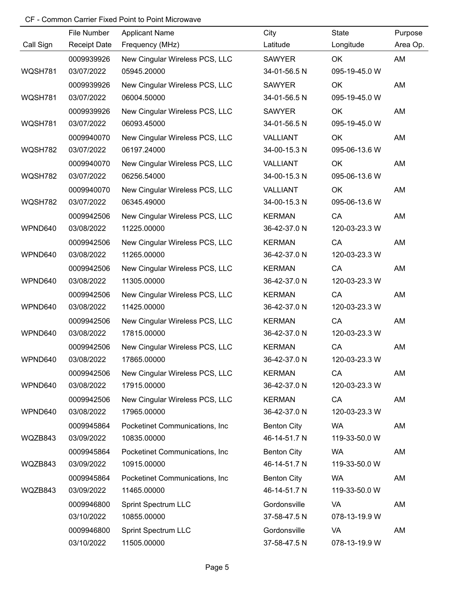|           | File Number         | <b>Applicant Name</b>           | City               | State         | Purpose  |
|-----------|---------------------|---------------------------------|--------------------|---------------|----------|
| Call Sign | <b>Receipt Date</b> | Frequency (MHz)                 | Latitude           | Longitude     | Area Op. |
|           | 0009939926          | New Cingular Wireless PCS, LLC  | <b>SAWYER</b>      | OK            | AM       |
| WQSH781   | 03/07/2022          | 05945.20000                     | 34-01-56.5 N       | 095-19-45.0 W |          |
|           | 0009939926          | New Cingular Wireless PCS, LLC  | <b>SAWYER</b>      | OK            | AM       |
| WQSH781   | 03/07/2022          | 06004.50000                     | 34-01-56.5 N       | 095-19-45.0 W |          |
|           | 0009939926          | New Cingular Wireless PCS, LLC  | <b>SAWYER</b>      | OK            | AM       |
| WQSH781   | 03/07/2022          | 06093.45000                     | 34-01-56.5 N       | 095-19-45.0 W |          |
|           | 0009940070          | New Cingular Wireless PCS, LLC  | VALLIANT           | OK            | AM       |
| WQSH782   | 03/07/2022          | 06197.24000                     | 34-00-15.3 N       | 095-06-13.6 W |          |
|           | 0009940070          | New Cingular Wireless PCS, LLC  | VALLIANT           | OK            | AM       |
| WQSH782   | 03/07/2022          | 06256.54000                     | 34-00-15.3 N       | 095-06-13.6 W |          |
|           | 0009940070          | New Cingular Wireless PCS, LLC  | VALLIANT           | OK            | AM       |
| WQSH782   | 03/07/2022          | 06345.49000                     | 34-00-15.3 N       | 095-06-13.6 W |          |
|           | 0009942506          | New Cingular Wireless PCS, LLC  | <b>KERMAN</b>      | CA            | AM       |
| WPND640   | 03/08/2022          | 11225.00000                     | 36-42-37.0 N       | 120-03-23.3 W |          |
|           | 0009942506          | New Cingular Wireless PCS, LLC  | <b>KERMAN</b>      | CA            | AM       |
| WPND640   | 03/08/2022          | 11265.00000                     | 36-42-37.0 N       | 120-03-23.3 W |          |
|           | 0009942506          | New Cingular Wireless PCS, LLC  | <b>KERMAN</b>      | CA            | AM       |
| WPND640   | 03/08/2022          | 11305.00000                     | 36-42-37.0 N       | 120-03-23.3 W |          |
|           | 0009942506          | New Cingular Wireless PCS, LLC  | <b>KERMAN</b>      | CA            | AM       |
| WPND640   | 03/08/2022          | 11425.00000                     | 36-42-37.0 N       | 120-03-23.3 W |          |
|           | 0009942506          | New Cingular Wireless PCS, LLC  | <b>KERMAN</b>      | CA            | AM       |
| WPND640   | 03/08/2022          | 17815.00000                     | 36-42-37.0 N       | 120-03-23.3 W |          |
|           | 0009942506          | New Cingular Wireless PCS, LLC  | <b>KERMAN</b>      | CA            | AM       |
| WPND640   | 03/08/2022          | 17865.00000                     | 36-42-37.0 N       | 120-03-23.3 W |          |
|           | 0009942506          | New Cingular Wireless PCS, LLC  | <b>KERMAN</b>      | CA            | AM       |
| WPND640   | 03/08/2022          | 17915.00000                     | 36-42-37.0 N       | 120-03-23.3 W |          |
|           | 0009942506          | New Cingular Wireless PCS, LLC  | <b>KERMAN</b>      | CA            | AM       |
| WPND640   | 03/08/2022          | 17965.00000                     | 36-42-37.0 N       | 120-03-23.3 W |          |
|           | 0009945864          | Pocketinet Communications, Inc. | <b>Benton City</b> | <b>WA</b>     | AM       |
| WQZB843   | 03/09/2022          | 10835.00000                     | 46-14-51.7 N       | 119-33-50.0 W |          |
|           | 0009945864          | Pocketinet Communications, Inc. | <b>Benton City</b> | <b>WA</b>     | AM       |
| WQZB843   | 03/09/2022          | 10915.00000                     | 46-14-51.7 N       | 119-33-50.0 W |          |
|           | 0009945864          | Pocketinet Communications, Inc. | <b>Benton City</b> | <b>WA</b>     | AM       |
| WQZB843   | 03/09/2022          | 11465.00000                     | 46-14-51.7 N       | 119-33-50.0 W |          |
|           | 0009946800          | <b>Sprint Spectrum LLC</b>      | Gordonsville       | VA            | AM       |
|           | 03/10/2022          | 10855.00000                     | 37-58-47.5 N       | 078-13-19.9 W |          |
|           | 0009946800          | <b>Sprint Spectrum LLC</b>      | Gordonsville       | <b>VA</b>     | AM       |
|           | 03/10/2022          | 11505.00000                     | 37-58-47.5 N       | 078-13-19.9 W |          |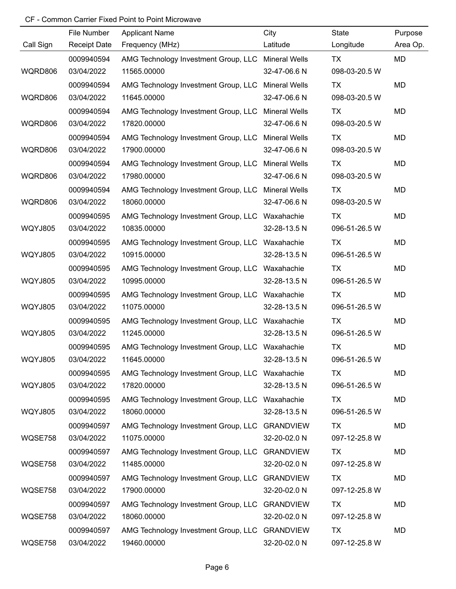|                | File Number         | <b>Applicant Name</b>                              | City                 | State         | Purpose   |
|----------------|---------------------|----------------------------------------------------|----------------------|---------------|-----------|
| Call Sign      | <b>Receipt Date</b> | Frequency (MHz)                                    | Latitude             | Longitude     | Area Op.  |
|                | 0009940594          | AMG Technology Investment Group, LLC Mineral Wells |                      | TX            | <b>MD</b> |
| WQRD806        | 03/04/2022          | 11565.00000                                        | 32-47-06.6 N         | 098-03-20.5 W |           |
|                | 0009940594          | AMG Technology Investment Group, LLC               | <b>Mineral Wells</b> | TX            | MD        |
| WQRD806        | 03/04/2022          | 11645.00000                                        | 32-47-06.6 N         | 098-03-20.5 W |           |
|                | 0009940594          | AMG Technology Investment Group, LLC               | <b>Mineral Wells</b> | TX            | MD        |
| WQRD806        | 03/04/2022          | 17820.00000                                        | 32-47-06.6 N         | 098-03-20.5 W |           |
|                | 0009940594          | AMG Technology Investment Group, LLC               | <b>Mineral Wells</b> | <b>TX</b>     | MD        |
| WQRD806        | 03/04/2022          | 17900.00000                                        | 32-47-06.6 N         | 098-03-20.5 W |           |
|                | 0009940594          | AMG Technology Investment Group, LLC Mineral Wells |                      | TX            | MD        |
| WQRD806        | 03/04/2022          | 17980.00000                                        | 32-47-06.6 N         | 098-03-20.5 W |           |
|                | 0009940594          | AMG Technology Investment Group, LLC Mineral Wells |                      | <b>TX</b>     | MD        |
| WQRD806        | 03/04/2022          | 18060.00000                                        | 32-47-06.6 N         | 098-03-20.5 W |           |
|                | 0009940595          | AMG Technology Investment Group, LLC               | Waxahachie           | TX            | MD        |
| <b>WQYJ805</b> | 03/04/2022          | 10835.00000                                        | 32-28-13.5 N         | 096-51-26.5 W |           |
|                | 0009940595          | AMG Technology Investment Group, LLC               | Waxahachie           | TX            | MD        |
| <b>WQYJ805</b> | 03/04/2022          | 10915.00000                                        | 32-28-13.5 N         | 096-51-26.5 W |           |
|                | 0009940595          | AMG Technology Investment Group, LLC               | Waxahachie           | TX            | MD        |
| <b>WQYJ805</b> | 03/04/2022          | 10995.00000                                        | 32-28-13.5 N         | 096-51-26.5 W |           |
|                | 0009940595          | AMG Technology Investment Group, LLC               | Waxahachie           | TX            | MD        |
| <b>WQYJ805</b> | 03/04/2022          | 11075.00000                                        | 32-28-13.5 N         | 096-51-26.5 W |           |
|                | 0009940595          | AMG Technology Investment Group, LLC Waxahachie    |                      | TX            | MD        |
| <b>WQYJ805</b> | 03/04/2022          | 11245.00000                                        | 32-28-13.5 N         | 096-51-26.5 W |           |
|                | 0009940595          | AMG Technology Investment Group, LLC Waxahachie    |                      | <b>TX</b>     | MD        |
| <b>WQYJ805</b> | 03/04/2022          | 11645.00000                                        | 32-28-13.5 N         | 096-51-26.5 W |           |
|                | 0009940595          | AMG Technology Investment Group, LLC Waxahachie    |                      | TX            | MD        |
| <b>WQYJ805</b> | 03/04/2022          | 17820.00000                                        | 32-28-13.5 N         | 096-51-26.5 W |           |
|                | 0009940595          | AMG Technology Investment Group, LLC Waxahachie    |                      | TX            | MD        |
| <b>WQYJ805</b> | 03/04/2022          | 18060.00000                                        | 32-28-13.5 N         | 096-51-26.5 W |           |
|                | 0009940597          | AMG Technology Investment Group, LLC               | <b>GRANDVIEW</b>     | <b>TX</b>     | MD        |
| WQSE758        | 03/04/2022          | 11075.00000                                        | 32-20-02.0 N         | 097-12-25.8 W |           |
|                | 0009940597          | AMG Technology Investment Group, LLC               | <b>GRANDVIEW</b>     | TX            | MD        |
| WQSE758        | 03/04/2022          | 11485.00000                                        | 32-20-02.0 N         | 097-12-25.8 W |           |
|                | 0009940597          | AMG Technology Investment Group, LLC               | <b>GRANDVIEW</b>     | TX            | MD        |
| WQSE758        | 03/04/2022          | 17900.00000                                        | 32-20-02.0 N         | 097-12-25.8 W |           |
|                | 0009940597          | AMG Technology Investment Group, LLC               | <b>GRANDVIEW</b>     | TX            | MD        |
| WQSE758        | 03/04/2022          | 18060.00000                                        | 32-20-02.0 N         | 097-12-25.8 W |           |
|                | 0009940597          | AMG Technology Investment Group, LLC               | <b>GRANDVIEW</b>     | TX            | MD        |
| WQSE758        | 03/04/2022          | 19460.00000                                        | 32-20-02.0 N         | 097-12-25.8 W |           |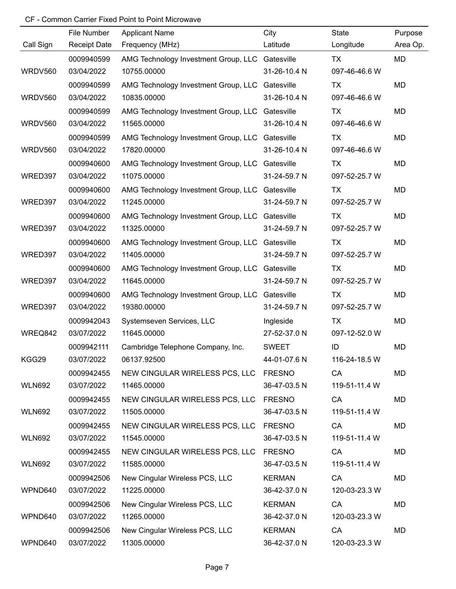|               | File Number         | <b>Applicant Name</b>                           | City          | State         | Purpose   |
|---------------|---------------------|-------------------------------------------------|---------------|---------------|-----------|
| Call Sign     | <b>Receipt Date</b> | Frequency (MHz)                                 | Latitude      | Longitude     | Area Op.  |
|               | 0009940599          | AMG Technology Investment Group, LLC Gatesville |               | TX            | <b>MD</b> |
| WRDV560       | 03/04/2022          | 10755.00000                                     | 31-26-10.4 N  | 097-46-46.6 W |           |
|               | 0009940599          | AMG Technology Investment Group, LLC            | Gatesville    | <b>TX</b>     | MD        |
| WRDV560       | 03/04/2022          | 10835.00000                                     | 31-26-10.4 N  | 097-46-46.6 W |           |
|               | 0009940599          | AMG Technology Investment Group, LLC            | Gatesville    | <b>TX</b>     | MD        |
| WRDV560       | 03/04/2022          | 11565.00000                                     | 31-26-10.4 N  | 097-46-46.6 W |           |
|               | 0009940599          | AMG Technology Investment Group, LLC            | Gatesville    | <b>TX</b>     | MD        |
| WRDV560       | 03/04/2022          | 17820.00000                                     | 31-26-10.4 N  | 097-46-46.6 W |           |
|               | 0009940600          | AMG Technology Investment Group, LLC Gatesville |               | TX            | MD        |
| WRED397       | 03/04/2022          | 11075.00000                                     | 31-24-59.7 N  | 097-52-25.7 W |           |
|               | 0009940600          | AMG Technology Investment Group, LLC            | Gatesville    | <b>TX</b>     | MD        |
| WRED397       | 03/04/2022          | 11245.00000                                     | 31-24-59.7 N  | 097-52-25.7 W |           |
|               | 0009940600          | AMG Technology Investment Group, LLC            | Gatesville    | TX            | MD        |
| WRED397       | 03/04/2022          | 11325.00000                                     | 31-24-59.7 N  | 097-52-25.7 W |           |
|               | 0009940600          | AMG Technology Investment Group, LLC            | Gatesville    | TX            | MD        |
| WRED397       | 03/04/2022          | 11405.00000                                     | 31-24-59.7 N  | 097-52-25.7 W |           |
|               | 0009940600          | AMG Technology Investment Group, LLC            | Gatesville    | TX            | MD        |
| WRED397       | 03/04/2022          | 11645.00000                                     | 31-24-59.7 N  | 097-52-25.7 W |           |
|               | 0009940600          | AMG Technology Investment Group, LLC            | Gatesville    | TX            | MD        |
| WRED397       | 03/04/2022          | 19380.00000                                     | 31-24-59.7 N  | 097-52-25.7 W |           |
|               | 0009942043          | Systemseven Services, LLC                       | Ingleside     | <b>TX</b>     | MD        |
| WREQ842       | 03/07/2022          | 11645.00000                                     | 27-52-37.0 N  | 097-12-52.0 W |           |
|               | 0009942111          | Cambridge Telephone Company, Inc.               | <b>SWEET</b>  | ID            | MD        |
| KGG29         | 03/07/2022          | 06137.92500                                     | 44-01-07.6 N  | 116-24-18.5 W |           |
|               | 0009942455          | NEW CINGULAR WIRELESS PCS, LLC FRESNO           |               | CA            | MD        |
| <b>WLN692</b> | 03/07/2022          | 11465.00000                                     | 36-47-03.5 N  | 119-51-11.4 W |           |
|               | 0009942455          | NEW CINGULAR WIRELESS PCS, LLC FRESNO           |               | CA            | MD        |
| <b>WLN692</b> | 03/07/2022          | 11505.00000                                     | 36-47-03.5 N  | 119-51-11.4 W |           |
|               | 0009942455          | NEW CINGULAR WIRELESS PCS, LLC FRESNO           |               | CA            | MD        |
| <b>WLN692</b> | 03/07/2022          | 11545.00000                                     | 36-47-03.5 N  | 119-51-11.4 W |           |
|               | 0009942455          | NEW CINGULAR WIRELESS PCS, LLC                  | <b>FRESNO</b> | CA            | MD        |
| <b>WLN692</b> | 03/07/2022          | 11585.00000                                     | 36-47-03.5 N  | 119-51-11.4 W |           |
|               | 0009942506          | New Cingular Wireless PCS, LLC                  | <b>KERMAN</b> | CA            | MD        |
| WPND640       | 03/07/2022          | 11225.00000                                     | 36-42-37.0 N  | 120-03-23.3 W |           |
|               | 0009942506          | New Cingular Wireless PCS, LLC                  | <b>KERMAN</b> | CA            | MD        |
| WPND640       | 03/07/2022          | 11265.00000                                     | 36-42-37.0 N  | 120-03-23.3 W |           |
|               | 0009942506          | New Cingular Wireless PCS, LLC                  | <b>KERMAN</b> | CA            | MD        |
| WPND640       | 03/07/2022          | 11305.00000                                     | 36-42-37.0 N  | 120-03-23.3 W |           |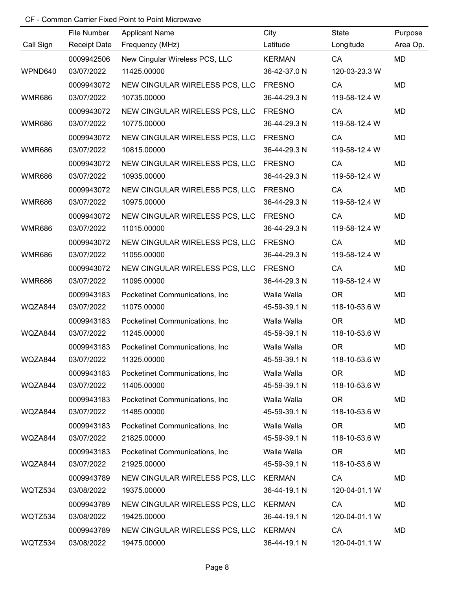|               | File Number         | <b>Applicant Name</b>                 | City          | State         | Purpose   |
|---------------|---------------------|---------------------------------------|---------------|---------------|-----------|
| Call Sign     | <b>Receipt Date</b> | Frequency (MHz)                       | Latitude      | Longitude     | Area Op.  |
|               | 0009942506          | New Cingular Wireless PCS, LLC        | <b>KERMAN</b> | CA            | MD        |
| WPND640       | 03/07/2022          | 11425.00000                           | 36-42-37.0 N  | 120-03-23.3 W |           |
|               | 0009943072          | NEW CINGULAR WIRELESS PCS, LLC        | <b>FRESNO</b> | CA            | <b>MD</b> |
| <b>WMR686</b> | 03/07/2022          | 10735.00000                           | 36-44-29.3 N  | 119-58-12.4 W |           |
|               | 0009943072          | NEW CINGULAR WIRELESS PCS, LLC        | <b>FRESNO</b> | CA            | MD        |
| <b>WMR686</b> | 03/07/2022          | 10775.00000                           | 36-44-29.3 N  | 119-58-12.4 W |           |
|               | 0009943072          | NEW CINGULAR WIRELESS PCS, LLC FRESNO |               | CA            | MD        |
| <b>WMR686</b> | 03/07/2022          | 10815.00000                           | 36-44-29.3 N  | 119-58-12.4 W |           |
|               | 0009943072          | NEW CINGULAR WIRELESS PCS, LLC        | <b>FRESNO</b> | CA            | MD        |
| <b>WMR686</b> | 03/07/2022          | 10935.00000                           | 36-44-29.3 N  | 119-58-12.4 W |           |
|               | 0009943072          | NEW CINGULAR WIRELESS PCS, LLC        | <b>FRESNO</b> | CA            | <b>MD</b> |
| <b>WMR686</b> | 03/07/2022          | 10975.00000                           | 36-44-29.3 N  | 119-58-12.4 W |           |
|               | 0009943072          | NEW CINGULAR WIRELESS PCS, LLC        | <b>FRESNO</b> | CA            | MD        |
| <b>WMR686</b> | 03/07/2022          | 11015.00000                           | 36-44-29.3 N  | 119-58-12.4 W |           |
|               | 0009943072          | NEW CINGULAR WIRELESS PCS, LLC        | <b>FRESNO</b> | CA            | MD        |
| <b>WMR686</b> | 03/07/2022          | 11055.00000                           | 36-44-29.3 N  | 119-58-12.4 W |           |
|               | 0009943072          | NEW CINGULAR WIRELESS PCS, LLC        | <b>FRESNO</b> | CA            | MD        |
| <b>WMR686</b> | 03/07/2022          | 11095.00000                           | 36-44-29.3 N  | 119-58-12.4 W |           |
|               | 0009943183          | Pocketinet Communications, Inc.       | Walla Walla   | <b>OR</b>     | <b>MD</b> |
| WQZA844       | 03/07/2022          | 11075.00000                           | 45-59-39.1 N  | 118-10-53.6 W |           |
|               | 0009943183          | Pocketinet Communications, Inc.       | Walla Walla   | <b>OR</b>     | MD        |
| WQZA844       | 03/07/2022          | 11245.00000                           | 45-59-39.1 N  | 118-10-53.6 W |           |
|               | 0009943183          | Pocketinet Communications, Inc.       | Walla Walla   | <b>OR</b>     | MD        |
| WQZA844       | 03/07/2022          | 11325.00000                           | 45-59-39.1 N  | 118-10-53.6 W |           |
|               | 0009943183          | Pocketinet Communications, Inc        | Walla Walla   | <b>OR</b>     | MD        |
| WQZA844       | 03/07/2022          | 11405.00000                           | 45-59-39.1 N  | 118-10-53.6 W |           |
|               | 0009943183          | Pocketinet Communications, Inc.       | Walla Walla   | <b>OR</b>     | MD        |
| WQZA844       | 03/07/2022          | 11485.00000                           | 45-59-39.1 N  | 118-10-53.6 W |           |
|               | 0009943183          | Pocketinet Communications, Inc.       | Walla Walla   | <b>OR</b>     | MD        |
| WQZA844       | 03/07/2022          | 21825.00000                           | 45-59-39.1 N  | 118-10-53.6 W |           |
|               | 0009943183          | Pocketinet Communications, Inc.       | Walla Walla   | <b>OR</b>     | MD        |
| WQZA844       | 03/07/2022          | 21925.00000                           | 45-59-39.1 N  | 118-10-53.6 W |           |
|               | 0009943789          | NEW CINGULAR WIRELESS PCS, LLC        | <b>KERMAN</b> | CA            | MD        |
| WQTZ534       | 03/08/2022          | 19375.00000                           | 36-44-19.1 N  | 120-04-01.1 W |           |
|               | 0009943789          | NEW CINGULAR WIRELESS PCS, LLC KERMAN |               | CA            | MD        |
| WQTZ534       | 03/08/2022          | 19425.00000                           | 36-44-19.1 N  | 120-04-01.1 W |           |
|               | 0009943789          | NEW CINGULAR WIRELESS PCS, LLC KERMAN |               | CA            | MD        |
| WQTZ534       | 03/08/2022          | 19475.00000                           | 36-44-19.1 N  | 120-04-01.1 W |           |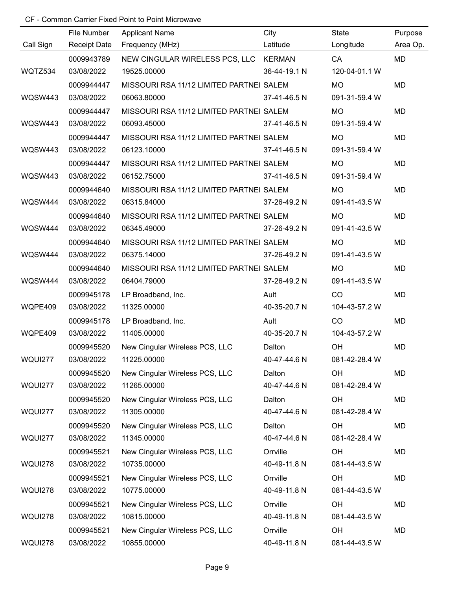|                | File Number         | <b>Applicant Name</b>                    | City         | State         | Purpose   |
|----------------|---------------------|------------------------------------------|--------------|---------------|-----------|
| Call Sign      | <b>Receipt Date</b> | Frequency (MHz)                          | Latitude     | Longitude     | Area Op.  |
|                | 0009943789          | NEW CINGULAR WIRELESS PCS, LLC KERMAN    |              | CA            | <b>MD</b> |
| WQTZ534        | 03/08/2022          | 19525.00000                              | 36-44-19.1 N | 120-04-01.1 W |           |
|                | 0009944447          | MISSOURI RSA 11/12 LIMITED PARTNEI SALEM |              | <b>MO</b>     | MD        |
| WQSW443        | 03/08/2022          | 06063.80000                              | 37-41-46.5 N | 091-31-59.4 W |           |
|                | 0009944447          | MISSOURI RSA 11/12 LIMITED PARTNEI SALEM |              | <b>MO</b>     | <b>MD</b> |
| WQSW443        | 03/08/2022          | 06093.45000                              | 37-41-46.5 N | 091-31-59.4 W |           |
|                | 0009944447          | MISSOURI RSA 11/12 LIMITED PARTNEI SALEM |              | <b>MO</b>     | <b>MD</b> |
| WQSW443        | 03/08/2022          | 06123.10000                              | 37-41-46.5 N | 091-31-59.4 W |           |
|                | 0009944447          | MISSOURI RSA 11/12 LIMITED PARTNEI SALEM |              | MO            | MD        |
| WQSW443        | 03/08/2022          | 06152.75000                              | 37-41-46.5 N | 091-31-59.4 W |           |
|                | 0009944640          | MISSOURI RSA 11/12 LIMITED PARTNEI SALEM |              | <b>MO</b>     | MD        |
| WQSW444        | 03/08/2022          | 06315.84000                              | 37-26-49.2 N | 091-41-43.5 W |           |
|                | 0009944640          | MISSOURI RSA 11/12 LIMITED PARTNEI SALEM |              | <b>MO</b>     | MD        |
| WQSW444        | 03/08/2022          | 06345.49000                              | 37-26-49.2 N | 091-41-43.5 W |           |
|                | 0009944640          | MISSOURI RSA 11/12 LIMITED PARTNEI SALEM |              | <b>MO</b>     | MD        |
| WQSW444        | 03/08/2022          | 06375.14000                              | 37-26-49.2 N | 091-41-43.5 W |           |
|                | 0009944640          | MISSOURI RSA 11/12 LIMITED PARTNEI SALEM |              | <b>MO</b>     | MD        |
| WQSW444        | 03/08/2022          | 06404.79000                              | 37-26-49.2 N | 091-41-43.5 W |           |
|                | 0009945178          | LP Broadband, Inc.                       | Ault         | CO            | MD        |
| WQPE409        | 03/08/2022          | 11325.00000                              | 40-35-20.7 N | 104-43-57.2 W |           |
|                | 0009945178          | LP Broadband, Inc.                       | Ault         | CO            | MD        |
| WQPE409        | 03/08/2022          | 11405.00000                              | 40-35-20.7 N | 104-43-57.2 W |           |
|                | 0009945520          | New Cingular Wireless PCS, LLC           | Dalton       | OH            | <b>MD</b> |
| <b>WQUI277</b> | 03/08/2022          | 11225.00000                              | 40-47-44.6 N | 081-42-28.4 W |           |
|                | 0009945520          | New Cingular Wireless PCS, LLC           | Dalton       | OH            | MD        |
| WQUI277        | 03/08/2022          | 11265.00000                              | 40-47-44.6 N | 081-42-28.4 W |           |
|                | 0009945520          | New Cingular Wireless PCS, LLC           | Dalton       | OH            | MD        |
| WQUI277        | 03/08/2022          | 11305.00000                              | 40-47-44.6 N | 081-42-28.4 W |           |
|                | 0009945520          | New Cingular Wireless PCS, LLC           | Dalton       | OH            | MD        |
| WQUI277        | 03/08/2022          | 11345.00000                              | 40-47-44.6 N | 081-42-28.4 W |           |
|                | 0009945521          | New Cingular Wireless PCS, LLC           | Orrville     | OH            | MD        |
| <b>WQUI278</b> | 03/08/2022          | 10735.00000                              | 40-49-11.8 N | 081-44-43.5 W |           |
|                | 0009945521          | New Cingular Wireless PCS, LLC           | Orrville     | OH            | MD        |
| <b>WQUI278</b> | 03/08/2022          | 10775.00000                              | 40-49-11.8 N | 081-44-43.5 W |           |
|                | 0009945521          | New Cingular Wireless PCS, LLC           | Orrville     | OH            | MD        |
| <b>WQUI278</b> | 03/08/2022          | 10815.00000                              | 40-49-11.8 N | 081-44-43.5 W |           |
|                | 0009945521          | New Cingular Wireless PCS, LLC           | Orrville     | OH            | MD        |
| <b>WQUI278</b> | 03/08/2022          | 10855.00000                              | 40-49-11.8 N | 081-44-43.5 W |           |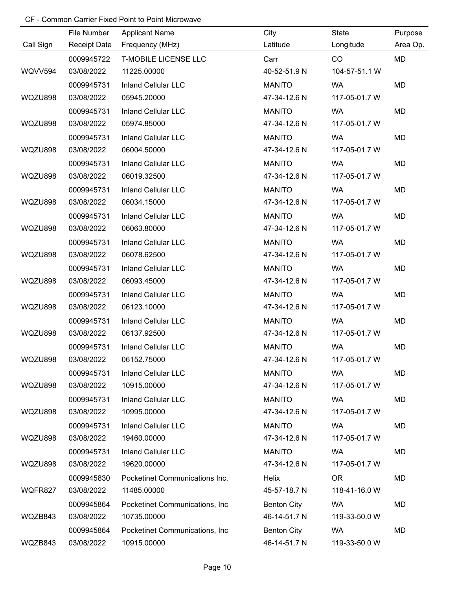|           | File Number         | <b>Applicant Name</b>           | City               | State         | Purpose   |
|-----------|---------------------|---------------------------------|--------------------|---------------|-----------|
| Call Sign | <b>Receipt Date</b> | Frequency (MHz)                 | Latitude           | Longitude     | Area Op.  |
|           | 0009945722          | <b>T-MOBILE LICENSE LLC</b>     | Carr               | CO            | <b>MD</b> |
| WQVV594   | 03/08/2022          | 11225.00000                     | 40-52-51.9 N       | 104-57-51.1 W |           |
|           | 0009945731          | <b>Inland Cellular LLC</b>      | <b>MANITO</b>      | <b>WA</b>     | MD        |
| WQZU898   | 03/08/2022          | 05945.20000                     | 47-34-12.6 N       | 117-05-01.7 W |           |
|           | 0009945731          | <b>Inland Cellular LLC</b>      | <b>MANITO</b>      | <b>WA</b>     | MD        |
| WQZU898   | 03/08/2022          | 05974.85000                     | 47-34-12.6 N       | 117-05-01.7 W |           |
|           | 0009945731          | <b>Inland Cellular LLC</b>      | <b>MANITO</b>      | <b>WA</b>     | MD        |
| WQZU898   | 03/08/2022          | 06004.50000                     | 47-34-12.6 N       | 117-05-01.7 W |           |
|           | 0009945731          | <b>Inland Cellular LLC</b>      | <b>MANITO</b>      | <b>WA</b>     | MD        |
| WQZU898   | 03/08/2022          | 06019.32500                     | 47-34-12.6 N       | 117-05-01.7 W |           |
|           | 0009945731          | <b>Inland Cellular LLC</b>      | <b>MANITO</b>      | <b>WA</b>     | MD        |
| WQZU898   | 03/08/2022          | 06034.15000                     | 47-34-12.6 N       | 117-05-01.7 W |           |
|           | 0009945731          | <b>Inland Cellular LLC</b>      | <b>MANITO</b>      | <b>WA</b>     | MD        |
| WQZU898   | 03/08/2022          | 06063.80000                     | 47-34-12.6 N       | 117-05-01.7 W |           |
|           | 0009945731          | <b>Inland Cellular LLC</b>      | <b>MANITO</b>      | <b>WA</b>     | MD        |
| WQZU898   | 03/08/2022          | 06078.62500                     | 47-34-12.6 N       | 117-05-01.7 W |           |
|           | 0009945731          | <b>Inland Cellular LLC</b>      | <b>MANITO</b>      | <b>WA</b>     | MD        |
| WQZU898   | 03/08/2022          | 06093.45000                     | 47-34-12.6 N       | 117-05-01.7 W |           |
|           | 0009945731          | <b>Inland Cellular LLC</b>      | <b>MANITO</b>      | <b>WA</b>     | MD        |
| WQZU898   | 03/08/2022          | 06123.10000                     | 47-34-12.6 N       | 117-05-01.7 W |           |
|           | 0009945731          | <b>Inland Cellular LLC</b>      | <b>MANITO</b>      | <b>WA</b>     | MD        |
| WQZU898   | 03/08/2022          | 06137.92500                     | 47-34-12.6 N       | 117-05-01.7 W |           |
|           | 0009945731          | <b>Inland Cellular LLC</b>      | <b>MANITO</b>      | <b>WA</b>     | MD        |
| WQZU898   | 03/08/2022          | 06152.75000                     | 47-34-12.6 N       | 117-05-01.7 W |           |
|           | 0009945731          | <b>Inland Cellular LLC</b>      | <b>MANITO</b>      | <b>WA</b>     | MD        |
| WQZU898   | 03/08/2022          | 10915.00000                     | 47-34-12.6 N       | 117-05-01.7 W |           |
|           | 0009945731          | <b>Inland Cellular LLC</b>      | <b>MANITO</b>      | <b>WA</b>     | MD        |
| WQZU898   | 03/08/2022          | 10995.00000                     | 47-34-12.6 N       | 117-05-01.7 W |           |
|           | 0009945731          | <b>Inland Cellular LLC</b>      | <b>MANITO</b>      | <b>WA</b>     | MD        |
| WQZU898   | 03/08/2022          | 19460.00000                     | 47-34-12.6 N       | 117-05-01.7 W |           |
|           | 0009945731          | <b>Inland Cellular LLC</b>      | <b>MANITO</b>      | <b>WA</b>     | MD        |
| WQZU898   | 03/08/2022          | 19620.00000                     | 47-34-12.6 N       | 117-05-01.7 W |           |
|           | 0009945830          | Pocketinet Communications Inc.  | Helix              | <b>OR</b>     | MD        |
| WQFR827   | 03/08/2022          | 11485.00000                     | 45-57-18.7 N       | 118-41-16.0 W |           |
|           | 0009945864          | Pocketinet Communications, Inc. | <b>Benton City</b> | <b>WA</b>     | MD        |
| WQZB843   | 03/08/2022          | 10735.00000                     | 46-14-51.7 N       | 119-33-50.0 W |           |
|           | 0009945864          | Pocketinet Communications, Inc. | <b>Benton City</b> | <b>WA</b>     | MD        |
| WQZB843   | 03/08/2022          | 10915.00000                     | 46-14-51.7 N       | 119-33-50.0 W |           |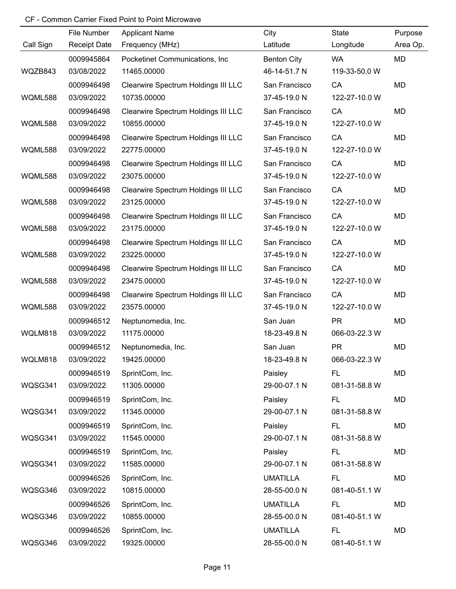|                | File Number         | <b>Applicant Name</b>               | City               | State         | Purpose  |
|----------------|---------------------|-------------------------------------|--------------------|---------------|----------|
| Call Sign      | <b>Receipt Date</b> | Frequency (MHz)                     | Latitude           | Longitude     | Area Op. |
|                | 0009945864          | Pocketinet Communications, Inc      | <b>Benton City</b> | <b>WA</b>     | MD       |
| WQZB843        | 03/08/2022          | 11465.00000                         | 46-14-51.7 N       | 119-33-50.0 W |          |
|                | 0009946498          | Clearwire Spectrum Holdings III LLC | San Francisco      | CA            | MD       |
| <b>WQML588</b> | 03/09/2022          | 10735.00000                         | 37-45-19.0 N       | 122-27-10.0 W |          |
|                | 0009946498          | Clearwire Spectrum Holdings III LLC | San Francisco      | CA            | MD       |
| WQML588        | 03/09/2022          | 10855.00000                         | 37-45-19.0 N       | 122-27-10.0 W |          |
|                | 0009946498          | Clearwire Spectrum Holdings III LLC | San Francisco      | CA            | MD       |
| <b>WQML588</b> | 03/09/2022          | 22775.00000                         | 37-45-19.0 N       | 122-27-10.0 W |          |
|                | 0009946498          | Clearwire Spectrum Holdings III LLC | San Francisco      | CA            | MD       |
| <b>WQML588</b> | 03/09/2022          | 23075.00000                         | 37-45-19.0 N       | 122-27-10.0 W |          |
|                | 0009946498          | Clearwire Spectrum Holdings III LLC | San Francisco      | CA            | MD       |
| <b>WQML588</b> | 03/09/2022          | 23125.00000                         | 37-45-19.0 N       | 122-27-10.0 W |          |
|                | 0009946498          | Clearwire Spectrum Holdings III LLC | San Francisco      | CA            | MD       |
| <b>WQML588</b> | 03/09/2022          | 23175.00000                         | 37-45-19.0 N       | 122-27-10.0 W |          |
|                | 0009946498          | Clearwire Spectrum Holdings III LLC | San Francisco      | CA            | MD       |
| <b>WQML588</b> | 03/09/2022          | 23225.00000                         | 37-45-19.0 N       | 122-27-10.0 W |          |
|                | 0009946498          | Clearwire Spectrum Holdings III LLC | San Francisco      | CA            | MD       |
| <b>WQML588</b> | 03/09/2022          | 23475.00000                         | 37-45-19.0 N       | 122-27-10.0 W |          |
|                | 0009946498          | Clearwire Spectrum Holdings III LLC | San Francisco      | CA            | MD       |
| <b>WQML588</b> | 03/09/2022          | 23575.00000                         | 37-45-19.0 N       | 122-27-10.0 W |          |
|                | 0009946512          | Neptunomedia, Inc.                  | San Juan           | <b>PR</b>     | MD       |
| WQLM818        | 03/09/2022          | 11175.00000                         | 18-23-49.8 N       | 066-03-22.3 W |          |
|                | 0009946512          | Neptunomedia, Inc.                  | San Juan           | <b>PR</b>     | MD       |
| WQLM818        | 03/09/2022          | 19425.00000                         | 18-23-49.8 N       | 066-03-22.3 W |          |
|                | 0009946519          | SprintCom, Inc.                     | Paisley            | FL.           | MD       |
| WQSG341        | 03/09/2022          | 11305.00000                         | 29-00-07.1 N       | 081-31-58.8 W |          |
|                | 0009946519          | SprintCom, Inc.                     | Paisley            | FL.           | MD       |
| WQSG341        | 03/09/2022          | 11345.00000                         | 29-00-07.1 N       | 081-31-58.8 W |          |
|                | 0009946519          | SprintCom, Inc.                     | Paisley            | FL.           | MD       |
| WQSG341        | 03/09/2022          | 11545.00000                         | 29-00-07.1 N       | 081-31-58.8 W |          |
|                | 0009946519          | SprintCom, Inc.                     | Paisley            | FL.           | MD       |
| WQSG341        | 03/09/2022          | 11585.00000                         | 29-00-07.1 N       | 081-31-58.8 W |          |
|                | 0009946526          | SprintCom, Inc.                     | <b>UMATILLA</b>    | FL.           | MD       |
| WQSG346        | 03/09/2022          | 10815.00000                         | 28-55-00.0 N       | 081-40-51.1 W |          |
|                | 0009946526          | SprintCom, Inc.                     | <b>UMATILLA</b>    | <b>FL</b>     | MD       |
| WQSG346        | 03/09/2022          | 10855.00000                         | 28-55-00.0 N       | 081-40-51.1 W |          |
|                | 0009946526          | SprintCom, Inc.                     | <b>UMATILLA</b>    | <b>FL</b>     | MD       |
| WQSG346        | 03/09/2022          | 19325.00000                         | 28-55-00.0 N       | 081-40-51.1 W |          |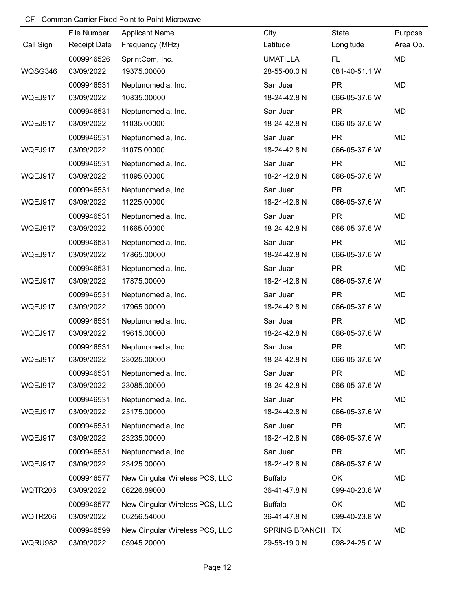|                | File Number         | <b>Applicant Name</b>          | City                 | State         | Purpose   |
|----------------|---------------------|--------------------------------|----------------------|---------------|-----------|
| Call Sign      | <b>Receipt Date</b> | Frequency (MHz)                | Latitude             | Longitude     | Area Op.  |
|                | 0009946526          | SprintCom, Inc.                | <b>UMATILLA</b>      | FL.           | <b>MD</b> |
| WQSG346        | 03/09/2022          | 19375.00000                    | 28-55-00.0 N         | 081-40-51.1 W |           |
|                | 0009946531          | Neptunomedia, Inc.             | San Juan             | <b>PR</b>     | <b>MD</b> |
| WQEJ917        | 03/09/2022          | 10835.00000                    | 18-24-42.8 N         | 066-05-37.6 W |           |
|                | 0009946531          | Neptunomedia, Inc.             | San Juan             | <b>PR</b>     | <b>MD</b> |
| WQEJ917        | 03/09/2022          | 11035.00000                    | 18-24-42.8 N         | 066-05-37.6 W |           |
|                | 0009946531          | Neptunomedia, Inc.             | San Juan             | <b>PR</b>     | MD        |
| WQEJ917        | 03/09/2022          | 11075.00000                    | 18-24-42.8 N         | 066-05-37.6 W |           |
|                | 0009946531          | Neptunomedia, Inc.             | San Juan             | <b>PR</b>     | MD        |
| WQEJ917        | 03/09/2022          | 11095.00000                    | 18-24-42.8 N         | 066-05-37.6 W |           |
|                | 0009946531          | Neptunomedia, Inc.             | San Juan             | <b>PR</b>     | MD        |
| WQEJ917        | 03/09/2022          | 11225.00000                    | 18-24-42.8 N         | 066-05-37.6 W |           |
|                | 0009946531          | Neptunomedia, Inc.             | San Juan             | <b>PR</b>     | MD        |
| WQEJ917        | 03/09/2022          | 11665.00000                    | 18-24-42.8 N         | 066-05-37.6 W |           |
|                | 0009946531          | Neptunomedia, Inc.             | San Juan             | <b>PR</b>     | MD        |
| WQEJ917        | 03/09/2022          | 17865.00000                    | 18-24-42.8 N         | 066-05-37.6 W |           |
|                | 0009946531          | Neptunomedia, Inc.             | San Juan             | <b>PR</b>     | MD        |
| WQEJ917        | 03/09/2022          | 17875.00000                    | 18-24-42.8 N         | 066-05-37.6 W |           |
|                | 0009946531          | Neptunomedia, Inc.             | San Juan             | <b>PR</b>     | MD        |
| WQEJ917        | 03/09/2022          | 17965.00000                    | 18-24-42.8 N         | 066-05-37.6 W |           |
|                | 0009946531          | Neptunomedia, Inc.             | San Juan             | <b>PR</b>     | MD        |
| WQEJ917        | 03/09/2022          | 19615.00000                    | 18-24-42.8 N         | 066-05-37.6 W |           |
|                | 0009946531          | Neptunomedia, Inc.             | San Juan             | <b>PR</b>     | MD        |
| WQEJ917        | 03/09/2022          | 23025.00000                    | 18-24-42.8 N         | 066-05-37.6 W |           |
|                | 0009946531          | Neptunomedia, Inc.             | San Juan             | <b>PR</b>     | MD        |
| WQEJ917        | 03/09/2022          | 23085.00000                    | 18-24-42.8 N         | 066-05-37.6 W |           |
|                | 0009946531          | Neptunomedia, Inc.             | San Juan             | <b>PR</b>     | MD        |
| WQEJ917        | 03/09/2022          | 23175.00000                    | 18-24-42.8 N         | 066-05-37.6 W |           |
|                | 0009946531          | Neptunomedia, Inc.             | San Juan             | <b>PR</b>     | MD        |
| WQEJ917        | 03/09/2022          | 23235.00000                    | 18-24-42.8 N         | 066-05-37.6 W |           |
|                | 0009946531          | Neptunomedia, Inc.             | San Juan             | <b>PR</b>     | MD        |
| WQEJ917        | 03/09/2022          | 23425.00000                    | 18-24-42.8 N         | 066-05-37.6 W |           |
|                | 0009946577          | New Cingular Wireless PCS, LLC | <b>Buffalo</b>       | OK            | MD        |
| WQTR206        | 03/09/2022          | 06226.89000                    | 36-41-47.8 N         | 099-40-23.8 W |           |
|                | 0009946577          | New Cingular Wireless PCS, LLC | <b>Buffalo</b>       | OK            | MD        |
| WQTR206        | 03/09/2022          | 06256.54000                    | 36-41-47.8 N         | 099-40-23.8 W |           |
|                | 0009946599          | New Cingular Wireless PCS, LLC | <b>SPRING BRANCH</b> | TX.           | MD        |
| <b>WQRU982</b> | 03/09/2022          | 05945.20000                    | 29-58-19.0 N         | 098-24-25.0 W |           |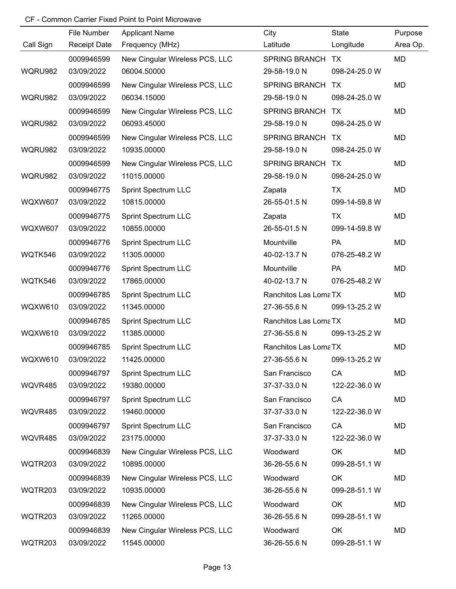|                | File Number         | <b>Applicant Name</b>          | City                 | State         | Purpose   |
|----------------|---------------------|--------------------------------|----------------------|---------------|-----------|
| Call Sign      | <b>Receipt Date</b> | Frequency (MHz)                | Latitude             | Longitude     | Area Op.  |
|                | 0009946599          | New Cingular Wireless PCS, LLC | <b>SPRING BRANCH</b> | <b>TX</b>     | <b>MD</b> |
| WQRU982        | 03/09/2022          | 06004.50000                    | 29-58-19.0 N         | 098-24-25.0 W |           |
|                | 0009946599          | New Cingular Wireless PCS, LLC | <b>SPRING BRANCH</b> | TX            | MD        |
| WQRU982        | 03/09/2022          | 06034.15000                    | 29-58-19.0 N         | 098-24-25.0 W |           |
|                | 0009946599          | New Cingular Wireless PCS, LLC | <b>SPRING BRANCH</b> | TX            | MD        |
| WQRU982        | 03/09/2022          | 06093.45000                    | 29-58-19.0 N         | 098-24-25.0 W |           |
|                | 0009946599          | New Cingular Wireless PCS, LLC | <b>SPRING BRANCH</b> | TX            | MD        |
| WQRU982        | 03/09/2022          | 10935.00000                    | 29-58-19.0 N         | 098-24-25.0 W |           |
|                | 0009946599          | New Cingular Wireless PCS, LLC | <b>SPRING BRANCH</b> | TX            | MD        |
| WQRU982        | 03/09/2022          | 11015.00000                    | 29-58-19.0 N         | 098-24-25.0 W |           |
|                | 0009946775          | <b>Sprint Spectrum LLC</b>     | Zapata               | <b>TX</b>     | MD        |
| <b>WQXW607</b> | 03/09/2022          | 10815.00000                    | 26-55-01.5 N         | 099-14-59.8 W |           |
|                | 0009946775          | <b>Sprint Spectrum LLC</b>     | Zapata               | <b>TX</b>     | MD        |
| <b>WQXW607</b> | 03/09/2022          | 10855.00000                    | 26-55-01.5 N         | 099-14-59.8 W |           |
|                | 0009946776          | Sprint Spectrum LLC            | Mountville           | PA            | MD        |
| WQTK546        | 03/09/2022          | 11305.00000                    | 40-02-13.7 N         | 076-25-48.2 W |           |
|                | 0009946776          | <b>Sprint Spectrum LLC</b>     | Mountville           | PA            | MD        |
| WQTK546        | 03/09/2022          | 17865.00000                    | 40-02-13.7 N         | 076-25-48.2 W |           |
|                | 0009946785          | Sprint Spectrum LLC            | Ranchitos Las LomaTX |               | MD        |
| <b>WQXW610</b> | 03/09/2022          | 11345.00000                    | 27-36-55.6 N         | 099-13-25.2 W |           |
|                | 0009946785          | <b>Sprint Spectrum LLC</b>     | Ranchitos Las LomaTX |               | MD        |
| <b>WQXW610</b> | 03/09/2022          | 11385.00000                    | 27-36-55.6 N         | 099-13-25.2 W |           |
|                | 0009946785          | <b>Sprint Spectrum LLC</b>     | Ranchitos Las LomaTX |               | MD        |
| WQXW610        | 03/09/2022          | 11425.00000                    | 27-36-55.6 N         | 099-13-25.2 W |           |
|                | 0009946797          | <b>Sprint Spectrum LLC</b>     | San Francisco        | CA            | MD        |
| WQVR485        | 03/09/2022          | 19380.00000                    | 37-37-33.0 N         | 122-22-36.0 W |           |
|                | 0009946797          | <b>Sprint Spectrum LLC</b>     | San Francisco        | CA            | MD        |
| WQVR485        | 03/09/2022          | 19460.00000                    | 37-37-33.0 N         | 122-22-36.0 W |           |
|                | 0009946797          | <b>Sprint Spectrum LLC</b>     | San Francisco        | CA            | MD        |
| WQVR485        | 03/09/2022          | 23175.00000                    | 37-37-33.0 N         | 122-22-36.0 W |           |
|                | 0009946839          | New Cingular Wireless PCS, LLC | Woodward             | OK            | MD        |
| WQTR203        | 03/09/2022          | 10895.00000                    | 36-26-55.6 N         | 099-28-51.1 W |           |
|                | 0009946839          | New Cingular Wireless PCS, LLC | Woodward             | OK            | MD        |
| WQTR203        | 03/09/2022          | 10935.00000                    | 36-26-55.6 N         | 099-28-51.1 W |           |
|                | 0009946839          | New Cingular Wireless PCS, LLC | Woodward             | OK            | MD        |
| WQTR203        | 03/09/2022          | 11265.00000                    | 36-26-55.6 N         | 099-28-51.1 W |           |
|                | 0009946839          | New Cingular Wireless PCS, LLC | Woodward             | OK            | MD        |
| WQTR203        | 03/09/2022          | 11545.00000                    | 36-26-55.6 N         | 099-28-51.1 W |           |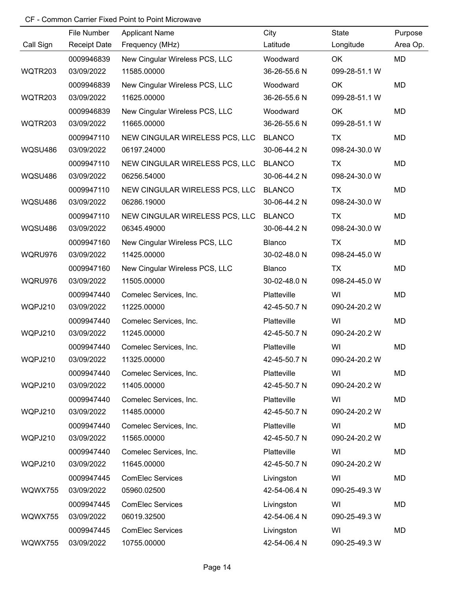|                | File Number         | <b>Applicant Name</b>          | City          | State         | Purpose   |
|----------------|---------------------|--------------------------------|---------------|---------------|-----------|
| Call Sign      | <b>Receipt Date</b> | Frequency (MHz)                | Latitude      | Longitude     | Area Op.  |
|                | 0009946839          | New Cingular Wireless PCS, LLC | Woodward      | OK            | MD        |
| WQTR203        | 03/09/2022          | 11585.00000                    | 36-26-55.6 N  | 099-28-51.1 W |           |
|                | 0009946839          | New Cingular Wireless PCS, LLC | Woodward      | OK            | <b>MD</b> |
| WQTR203        | 03/09/2022          | 11625.00000                    | 36-26-55.6 N  | 099-28-51.1 W |           |
|                | 0009946839          | New Cingular Wireless PCS, LLC | Woodward      | OK            | <b>MD</b> |
| WQTR203        | 03/09/2022          | 11665.00000                    | 36-26-55.6 N  | 099-28-51.1 W |           |
|                | 0009947110          | NEW CINGULAR WIRELESS PCS, LLC | <b>BLANCO</b> | TX            | <b>MD</b> |
| <b>WQSU486</b> | 03/09/2022          | 06197.24000                    | 30-06-44.2 N  | 098-24-30.0 W |           |
|                | 0009947110          | NEW CINGULAR WIRELESS PCS, LLC | <b>BLANCO</b> | TX            | MD        |
| <b>WQSU486</b> | 03/09/2022          | 06256.54000                    | 30-06-44.2 N  | 098-24-30.0 W |           |
|                | 0009947110          | NEW CINGULAR WIRELESS PCS, LLC | <b>BLANCO</b> | TX            | MD        |
| WQSU486        | 03/09/2022          | 06286.19000                    | 30-06-44.2 N  | 098-24-30.0 W |           |
|                | 0009947110          | NEW CINGULAR WIRELESS PCS, LLC | <b>BLANCO</b> | TX            | MD        |
| WQSU486        | 03/09/2022          | 06345.49000                    | 30-06-44.2 N  | 098-24-30.0 W |           |
|                | 0009947160          | New Cingular Wireless PCS, LLC | Blanco        | TX            | MD        |
| WQRU976        | 03/09/2022          | 11425.00000                    | 30-02-48.0 N  | 098-24-45.0 W |           |
|                | 0009947160          | New Cingular Wireless PCS, LLC | Blanco        | TX            | MD        |
| WQRU976        | 03/09/2022          | 11505.00000                    | 30-02-48.0 N  | 098-24-45.0 W |           |
|                | 0009947440          | Comelec Services, Inc.         | Platteville   | WI            | MD        |
| WQPJ210        | 03/09/2022          | 11225.00000                    | 42-45-50.7 N  | 090-24-20.2 W |           |
|                | 0009947440          | Comelec Services, Inc.         | Platteville   | WI            | MD        |
| WQPJ210        | 03/09/2022          | 11245.00000                    | 42-45-50.7 N  | 090-24-20.2 W |           |
|                | 0009947440          | Comelec Services, Inc.         | Platteville   | WI            | MD        |
| WQPJ210        | 03/09/2022          | 11325.00000                    | 42-45-50.7 N  | 090-24-20.2 W |           |
|                | 0009947440          | Comelec Services, Inc.         | Platteville   | WI            | MD        |
| WQPJ210        | 03/09/2022          | 11405.00000                    | 42-45-50.7 N  | 090-24-20.2 W |           |
|                | 0009947440          | Comelec Services, Inc.         | Platteville   | WI            | MD        |
| WQPJ210        | 03/09/2022          | 11485.00000                    | 42-45-50.7 N  | 090-24-20.2 W |           |
|                | 0009947440          | Comelec Services, Inc.         | Platteville   | WI            | MD        |
| WQPJ210        | 03/09/2022          | 11565.00000                    | 42-45-50.7 N  | 090-24-20.2 W |           |
|                | 0009947440          | Comelec Services, Inc.         | Platteville   | WI            | MD        |
| WQPJ210        | 03/09/2022          | 11645.00000                    | 42-45-50.7 N  | 090-24-20.2 W |           |
|                | 0009947445          | <b>ComElec Services</b>        | Livingston    | WI            | MD        |
| WQWX755        | 03/09/2022          | 05960.02500                    | 42-54-06.4 N  | 090-25-49.3 W |           |
|                | 0009947445          | <b>ComElec Services</b>        | Livingston    | WI            | MD        |
| WQWX755        | 03/09/2022          | 06019.32500                    | 42-54-06.4 N  | 090-25-49.3 W |           |
|                | 0009947445          | <b>ComElec Services</b>        | Livingston    | WI            | MD        |
| WQWX755        | 03/09/2022          | 10755.00000                    | 42-54-06.4 N  | 090-25-49.3 W |           |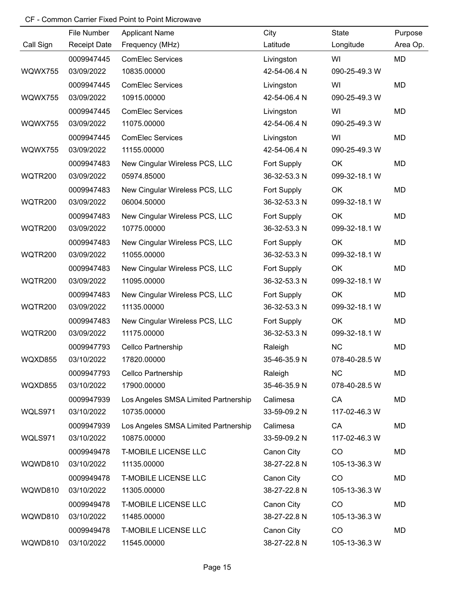|                | File Number         | <b>Applicant Name</b>                | City         | State         | Purpose   |
|----------------|---------------------|--------------------------------------|--------------|---------------|-----------|
| Call Sign      | <b>Receipt Date</b> | Frequency (MHz)                      | Latitude     | Longitude     | Area Op.  |
|                | 0009947445          | <b>ComElec Services</b>              | Livingston   | WI            | <b>MD</b> |
| WQWX755        | 03/09/2022          | 10835.00000                          | 42-54-06.4 N | 090-25-49.3 W |           |
|                | 0009947445          | <b>ComElec Services</b>              | Livingston   | WI            | <b>MD</b> |
| WQWX755        | 03/09/2022          | 10915.00000                          | 42-54-06.4 N | 090-25-49.3 W |           |
|                | 0009947445          | <b>ComElec Services</b>              | Livingston   | WI            | <b>MD</b> |
| WQWX755        | 03/09/2022          | 11075.00000                          | 42-54-06.4 N | 090-25-49.3 W |           |
|                | 0009947445          | <b>ComElec Services</b>              | Livingston   | WI            | MD        |
| WQWX755        | 03/09/2022          | 11155.00000                          | 42-54-06.4 N | 090-25-49.3 W |           |
|                | 0009947483          | New Cingular Wireless PCS, LLC       | Fort Supply  | OK            | MD        |
| <b>WQTR200</b> | 03/09/2022          | 05974.85000                          | 36-32-53.3 N | 099-32-18.1 W |           |
|                | 0009947483          | New Cingular Wireless PCS, LLC       | Fort Supply  | OK            | MD        |
| <b>WQTR200</b> | 03/09/2022          | 06004.50000                          | 36-32-53.3 N | 099-32-18.1 W |           |
|                | 0009947483          | New Cingular Wireless PCS, LLC       | Fort Supply  | OK            | MD        |
| <b>WQTR200</b> | 03/09/2022          | 10775.00000                          | 36-32-53.3 N | 099-32-18.1 W |           |
|                | 0009947483          | New Cingular Wireless PCS, LLC       | Fort Supply  | OK            | MD        |
| <b>WQTR200</b> | 03/09/2022          | 11055.00000                          | 36-32-53.3 N | 099-32-18.1 W |           |
|                | 0009947483          | New Cingular Wireless PCS, LLC       | Fort Supply  | OK            | MD        |
| <b>WQTR200</b> | 03/09/2022          | 11095.00000                          | 36-32-53.3 N | 099-32-18.1 W |           |
|                | 0009947483          | New Cingular Wireless PCS, LLC       | Fort Supply  | OK            | MD        |
| <b>WQTR200</b> | 03/09/2022          | 11135.00000                          | 36-32-53.3 N | 099-32-18.1 W |           |
|                | 0009947483          | New Cingular Wireless PCS, LLC       | Fort Supply  | OK            | MD        |
| <b>WQTR200</b> | 03/09/2022          | 11175.00000                          | 36-32-53.3 N | 099-32-18.1 W |           |
|                | 0009947793          | <b>Cellco Partnership</b>            | Raleigh      | NC            | MD        |
| WQXD855        | 03/10/2022          | 17820.00000                          | 35-46-35.9 N | 078-40-28.5 W |           |
|                | 0009947793          | Cellco Partnership                   | Raleigh      | <b>NC</b>     | MD        |
| WQXD855        | 03/10/2022          | 17900.00000                          | 35-46-35.9 N | 078-40-28.5 W |           |
|                | 0009947939          | Los Angeles SMSA Limited Partnership | Calimesa     | CA            | MD        |
| WQLS971        | 03/10/2022          | 10735.00000                          | 33-59-09.2 N | 117-02-46.3 W |           |
|                | 0009947939          | Los Angeles SMSA Limited Partnership | Calimesa     | CA            | MD        |
| WQLS971        | 03/10/2022          | 10875.00000                          | 33-59-09.2 N | 117-02-46.3 W |           |
|                | 0009949478          | <b>T-MOBILE LICENSE LLC</b>          | Canon City   | CO            | MD        |
| WQWD810        | 03/10/2022          | 11135.00000                          | 38-27-22.8 N | 105-13-36.3 W |           |
|                | 0009949478          | <b>T-MOBILE LICENSE LLC</b>          | Canon City   | CO            | MD        |
| WQWD810        | 03/10/2022          | 11305.00000                          | 38-27-22.8 N | 105-13-36.3 W |           |
|                | 0009949478          | <b>T-MOBILE LICENSE LLC</b>          | Canon City   | CO            | MD        |
| WQWD810        | 03/10/2022          | 11485.00000                          | 38-27-22.8 N | 105-13-36.3 W |           |
|                | 0009949478          | <b>T-MOBILE LICENSE LLC</b>          | Canon City   | CO            | MD        |
| WQWD810        | 03/10/2022          | 11545.00000                          | 38-27-22.8 N | 105-13-36.3 W |           |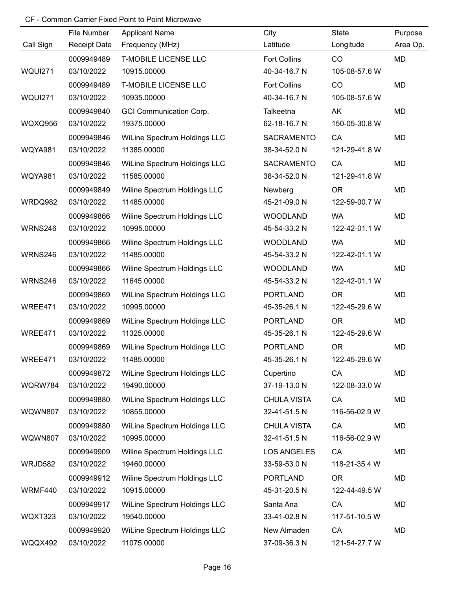|                | File Number         | <b>Applicant Name</b>          | City                | State         | Purpose   |
|----------------|---------------------|--------------------------------|---------------------|---------------|-----------|
| Call Sign      | <b>Receipt Date</b> | Frequency (MHz)                | Latitude            | Longitude     | Area Op.  |
|                | 0009949489          | <b>T-MOBILE LICENSE LLC</b>    | <b>Fort Collins</b> | CO            | <b>MD</b> |
| <b>WQUI271</b> | 03/10/2022          | 10915.00000                    | 40-34-16.7 N        | 105-08-57.6 W |           |
|                | 0009949489          | <b>T-MOBILE LICENSE LLC</b>    | <b>Fort Collins</b> | CO            | <b>MD</b> |
| <b>WQUI271</b> | 03/10/2022          | 10935.00000                    | 40-34-16.7 N        | 105-08-57.6 W |           |
|                | 0009949840          | <b>GCI Communication Corp.</b> | Talkeetna           | AK            | <b>MD</b> |
| <b>WQXQ956</b> | 03/10/2022          | 19375.00000                    | 62-18-16.7 N        | 150-05-30.8 W |           |
|                | 0009949846          | WiLine Spectrum Holdings LLC   | <b>SACRAMENTO</b>   | CA            | MD        |
| <b>WQYA981</b> | 03/10/2022          | 11385.00000                    | 38-34-52.0 N        | 121-29-41.8 W |           |
|                | 0009949846          | WiLine Spectrum Holdings LLC   | <b>SACRAMENTO</b>   | CA            | MD        |
| <b>WQYA981</b> | 03/10/2022          | 11585.00000                    | 38-34-52.0 N        | 121-29-41.8 W |           |
|                | 0009949849          | Wiline Spectrum Holdings LLC   | Newberg             | <b>OR</b>     | MD        |
| WRDQ982        | 03/10/2022          | 11485.00000                    | 45-21-09.0 N        | 122-59-00.7 W |           |
|                | 0009949866          | Wiline Spectrum Holdings LLC   | <b>WOODLAND</b>     | <b>WA</b>     | MD        |
| WRNS246        | 03/10/2022          | 10995.00000                    | 45-54-33.2 N        | 122-42-01.1 W |           |
|                | 0009949866          | Wiline Spectrum Holdings LLC   | <b>WOODLAND</b>     | <b>WA</b>     | MD        |
| WRNS246        | 03/10/2022          | 11485.00000                    | 45-54-33.2 N        | 122-42-01.1 W |           |
|                | 0009949866          | Wiline Spectrum Holdings LLC   | <b>WOODLAND</b>     | <b>WA</b>     | MD        |
| WRNS246        | 03/10/2022          | 11645.00000                    | 45-54-33.2 N        | 122-42-01.1 W |           |
|                | 0009949869          | WiLine Spectrum Holdings LLC   | <b>PORTLAND</b>     | <b>OR</b>     | MD        |
| WREE471        | 03/10/2022          | 10995.00000                    | 45-35-26.1 N        | 122-45-29.6 W |           |
|                | 0009949869          | WiLine Spectrum Holdings LLC   | <b>PORTLAND</b>     | <b>OR</b>     | MD        |
| WREE471        | 03/10/2022          | 11325.00000                    | 45-35-26.1 N        | 122-45-29.6 W |           |
|                | 0009949869          | WiLine Spectrum Holdings LLC   | <b>PORTLAND</b>     | <b>OR</b>     | MD        |
| WREE471        | 03/10/2022          | 11485.00000                    | 45-35-26.1 N        | 122-45-29.6 W |           |
|                | 0009949872          | WiLine Spectrum Holdings LLC   | Cupertino           | CA            | MD        |
| WQRW784        | 03/10/2022          | 19490.00000                    | 37-19-13.0 N        | 122-08-33.0 W |           |
|                | 0009949880          | WiLine Spectrum Holdings LLC   | <b>CHULA VISTA</b>  | CA            | MD        |
| <b>WQWN807</b> | 03/10/2022          | 10855.00000                    | 32-41-51.5 N        | 116-56-02.9 W |           |
|                | 0009949880          | WiLine Spectrum Holdings LLC   | <b>CHULA VISTA</b>  | CA            | MD        |
| <b>WQWN807</b> | 03/10/2022          | 10995.00000                    | 32-41-51.5 N        | 116-56-02.9 W |           |
|                | 0009949909          | Wiline Spectrum Holdings LLC   | <b>LOS ANGELES</b>  | CA            | MD        |
| WRJD582        | 03/10/2022          | 19460.00000                    | 33-59-53.0 N        | 118-21-35.4 W |           |
|                | 0009949912          | Wiline Spectrum Holdings LLC   | <b>PORTLAND</b>     | <b>OR</b>     | MD        |
| WRMF440        | 03/10/2022          | 10915.00000                    | 45-31-20.5 N        | 122-44-49.5 W |           |
|                | 0009949917          | WiLine Spectrum Holdings LLC   | Santa Ana           | CA            | MD        |
| WQXT323        | 03/10/2022          | 19540.00000                    | 33-41-02.8 N        | 117-51-10.5 W |           |
|                | 0009949920          | WiLine Spectrum Holdings LLC   | New Almaden         | CA            | MD        |
| WQQX492        | 03/10/2022          | 11075.00000                    | 37-09-36.3 N        | 121-54-27.7 W |           |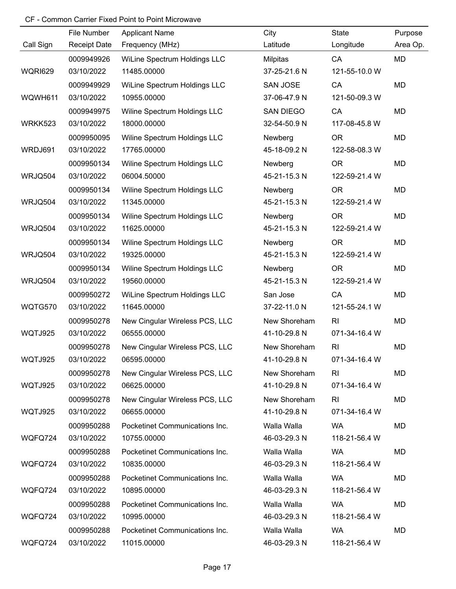|                | File Number         | <b>Applicant Name</b>          | City            | State          | Purpose  |
|----------------|---------------------|--------------------------------|-----------------|----------------|----------|
| Call Sign      | <b>Receipt Date</b> | Frequency (MHz)                | Latitude        | Longitude      | Area Op. |
|                | 0009949926          | WiLine Spectrum Holdings LLC   | Milpitas        | CA             | MD       |
| <b>WQRI629</b> | 03/10/2022          | 11485.00000                    | 37-25-21.6 N    | 121-55-10.0 W  |          |
|                | 0009949929          | WiLine Spectrum Holdings LLC   | <b>SAN JOSE</b> | CA             | MD       |
| WQWH611        | 03/10/2022          | 10955.00000                    | 37-06-47.9 N    | 121-50-09.3 W  |          |
|                | 0009949975          | Wiline Spectrum Holdings LLC   | SAN DIEGO       | CA             | MD       |
| WRKK523        | 03/10/2022          | 18000.00000                    | 32-54-50.9 N    | 117-08-45.8 W  |          |
|                | 0009950095          | Wiline Spectrum Holdings LLC   | Newberg         | <b>OR</b>      | MD       |
| WRDJ691        | 03/10/2022          | 17765.00000                    | 45-18-09.2 N    | 122-58-08.3 W  |          |
|                | 0009950134          | Wiline Spectrum Holdings LLC   | Newberg         | <b>OR</b>      | MD       |
| WRJQ504        | 03/10/2022          | 06004.50000                    | 45-21-15.3 N    | 122-59-21.4 W  |          |
|                | 0009950134          | Wiline Spectrum Holdings LLC   | Newberg         | <b>OR</b>      | MD       |
| WRJQ504        | 03/10/2022          | 11345.00000                    | 45-21-15.3 N    | 122-59-21.4 W  |          |
|                | 0009950134          | Wiline Spectrum Holdings LLC   | Newberg         | <b>OR</b>      | MD       |
| WRJQ504        | 03/10/2022          | 11625.00000                    | 45-21-15.3 N    | 122-59-21.4 W  |          |
|                | 0009950134          | Wiline Spectrum Holdings LLC   | Newberg         | <b>OR</b>      | MD       |
| WRJQ504        | 03/10/2022          | 19325.00000                    | 45-21-15.3 N    | 122-59-21.4 W  |          |
|                | 0009950134          | Wiline Spectrum Holdings LLC   | Newberg         | <b>OR</b>      | MD       |
| WRJQ504        | 03/10/2022          | 19560.00000                    | 45-21-15.3 N    | 122-59-21.4 W  |          |
|                | 0009950272          | WiLine Spectrum Holdings LLC   | San Jose        | CA             | MD       |
| WQTG570        | 03/10/2022          | 11645.00000                    | 37-22-11.0 N    | 121-55-24.1 W  |          |
|                | 0009950278          | New Cingular Wireless PCS, LLC | New Shoreham    | R <sub>l</sub> | MD       |
| WQTJ925        | 03/10/2022          | 06555.00000                    | 41-10-29.8 N    | 071-34-16.4 W  |          |
|                | 0009950278          | New Cingular Wireless PCS, LLC | New Shoreham    | R <sub>l</sub> | MD       |
| WQTJ925        | 03/10/2022          | 06595.00000                    | 41-10-29.8 N    | 071-34-16.4 W  |          |
|                | 0009950278          | New Cingular Wireless PCS, LLC | New Shoreham    | R <sub>l</sub> | MD       |
| WQTJ925        | 03/10/2022          | 06625.00000                    | 41-10-29.8 N    | 071-34-16.4 W  |          |
|                | 0009950278          | New Cingular Wireless PCS, LLC | New Shoreham    | R <sub>l</sub> | MD       |
| WQTJ925        | 03/10/2022          | 06655.00000                    | 41-10-29.8 N    | 071-34-16.4 W  |          |
|                | 0009950288          | Pocketinet Communications Inc. | Walla Walla     | <b>WA</b>      | MD       |
| WQFQ724        | 03/10/2022          | 10755.00000                    | 46-03-29.3 N    | 118-21-56.4 W  |          |
|                | 0009950288          | Pocketinet Communications Inc. | Walla Walla     | <b>WA</b>      | MD       |
| WQFQ724        | 03/10/2022          | 10835.00000                    | 46-03-29.3 N    | 118-21-56.4 W  |          |
|                | 0009950288          | Pocketinet Communications Inc. | Walla Walla     | <b>WA</b>      | MD       |
| WQFQ724        | 03/10/2022          | 10895.00000                    | 46-03-29.3 N    | 118-21-56.4 W  |          |
|                | 0009950288          | Pocketinet Communications Inc. | Walla Walla     | <b>WA</b>      | MD       |
| WQFQ724        | 03/10/2022          | 10995.00000                    | 46-03-29.3 N    | 118-21-56.4 W  |          |
|                | 0009950288          | Pocketinet Communications Inc. | Walla Walla     | <b>WA</b>      | MD       |
| WQFQ724        | 03/10/2022          | 11015.00000                    | 46-03-29.3 N    | 118-21-56.4 W  |          |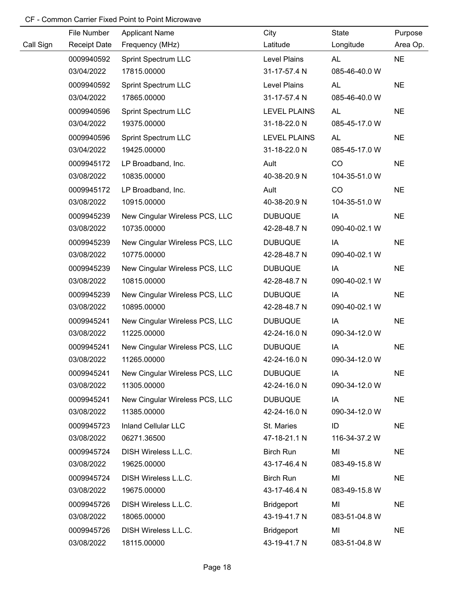|           | File Number         | <b>Applicant Name</b>          | City                | State         | Purpose   |
|-----------|---------------------|--------------------------------|---------------------|---------------|-----------|
| Call Sign | <b>Receipt Date</b> | Frequency (MHz)                | Latitude            | Longitude     | Area Op.  |
|           | 0009940592          | Sprint Spectrum LLC            | Level Plains        | AL            | <b>NE</b> |
|           | 03/04/2022          | 17815.00000                    | 31-17-57.4 N        | 085-46-40.0 W |           |
|           | 0009940592          | <b>Sprint Spectrum LLC</b>     | Level Plains        | <b>AL</b>     | <b>NE</b> |
|           | 03/04/2022          | 17865.00000                    | 31-17-57.4 N        | 085-46-40.0 W |           |
|           | 0009940596          | Sprint Spectrum LLC            | <b>LEVEL PLAINS</b> | <b>AL</b>     | <b>NE</b> |
|           | 03/04/2022          | 19375.00000                    | 31-18-22.0 N        | 085-45-17.0 W |           |
|           | 0009940596          | Sprint Spectrum LLC            | <b>LEVEL PLAINS</b> | <b>AL</b>     | <b>NE</b> |
|           | 03/04/2022          | 19425.00000                    | 31-18-22.0 N        | 085-45-17.0 W |           |
|           | 0009945172          | LP Broadband, Inc.             | Ault                | CO            | <b>NE</b> |
|           | 03/08/2022          | 10835.00000                    | 40-38-20.9 N        | 104-35-51.0 W |           |
|           | 0009945172          | LP Broadband, Inc.             | Ault                | CO            | <b>NE</b> |
|           | 03/08/2022          | 10915.00000                    | 40-38-20.9 N        | 104-35-51.0 W |           |
|           | 0009945239          | New Cingular Wireless PCS, LLC | <b>DUBUQUE</b>      | IA            | <b>NE</b> |
|           | 03/08/2022          | 10735.00000                    | 42-28-48.7 N        | 090-40-02.1 W |           |
|           | 0009945239          | New Cingular Wireless PCS, LLC | <b>DUBUQUE</b>      | IA            | <b>NE</b> |
|           | 03/08/2022          | 10775.00000                    | 42-28-48.7 N        | 090-40-02.1 W |           |
|           | 0009945239          | New Cingular Wireless PCS, LLC | <b>DUBUQUE</b>      | IA            | <b>NE</b> |
|           | 03/08/2022          | 10815.00000                    | 42-28-48.7 N        | 090-40-02.1 W |           |
|           | 0009945239          | New Cingular Wireless PCS, LLC | <b>DUBUQUE</b>      | IA            | <b>NE</b> |
|           | 03/08/2022          | 10895.00000                    | 42-28-48.7 N        | 090-40-02.1 W |           |
|           | 0009945241          | New Cingular Wireless PCS, LLC | <b>DUBUQUE</b>      | IA            | <b>NE</b> |
|           | 03/08/2022          | 11225.00000                    | 42-24-16.0 N        | 090-34-12.0 W |           |
|           | 0009945241          | New Cingular Wireless PCS, LLC | <b>DUBUQUE</b>      | IA            | <b>NE</b> |
|           | 03/08/2022          | 11265.00000                    | 42-24-16.0 N        | 090-34-12.0 W |           |
|           | 0009945241          | New Cingular Wireless PCS, LLC | <b>DUBUQUE</b>      | IA            | <b>NE</b> |
|           | 03/08/2022          | 11305.00000                    | 42-24-16.0 N        | 090-34-12.0 W |           |
|           | 0009945241          | New Cingular Wireless PCS, LLC | <b>DUBUQUE</b>      | IA            | <b>NE</b> |
|           | 03/08/2022          | 11385.00000                    | 42-24-16.0 N        | 090-34-12.0 W |           |
|           | 0009945723          | <b>Inland Cellular LLC</b>     | St. Maries          | ID            | <b>NE</b> |
|           | 03/08/2022          | 06271.36500                    | 47-18-21.1 N        | 116-34-37.2 W |           |
|           | 0009945724          | DISH Wireless L.L.C.           | <b>Birch Run</b>    | MI            | <b>NE</b> |
|           | 03/08/2022          | 19625.00000                    | 43-17-46.4 N        | 083-49-15.8 W |           |
|           | 0009945724          | DISH Wireless L.L.C.           | <b>Birch Run</b>    | MI            | <b>NE</b> |
|           | 03/08/2022          | 19675.00000                    | 43-17-46.4 N        | 083-49-15.8 W |           |
|           | 0009945726          | DISH Wireless L.L.C.           | <b>Bridgeport</b>   | MI            | <b>NE</b> |
|           | 03/08/2022          | 18065.00000                    | 43-19-41.7 N        | 083-51-04.8 W |           |
|           | 0009945726          | DISH Wireless L.L.C.           | <b>Bridgeport</b>   | MI            | <b>NE</b> |
|           | 03/08/2022          | 18115.00000                    | 43-19-41.7 N        | 083-51-04.8 W |           |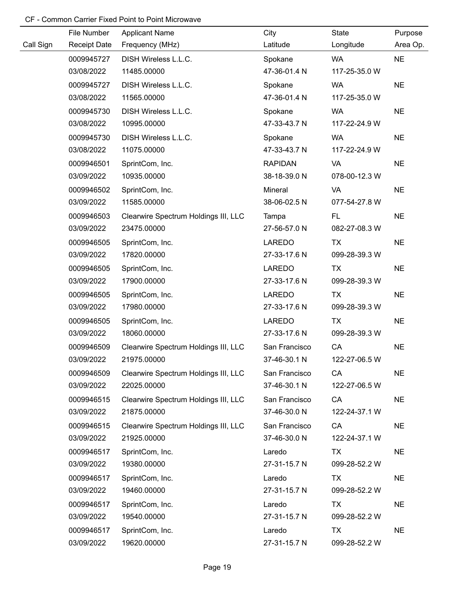|           | File Number         | <b>Applicant Name</b>                | City           | State         | Purpose   |
|-----------|---------------------|--------------------------------------|----------------|---------------|-----------|
| Call Sign | <b>Receipt Date</b> | Frequency (MHz)                      | Latitude       | Longitude     | Area Op.  |
|           | 0009945727          | DISH Wireless L.L.C.                 | Spokane        | WA            | <b>NE</b> |
|           | 03/08/2022          | 11485.00000                          | 47-36-01.4 N   | 117-25-35.0 W |           |
|           | 0009945727          | DISH Wireless L.L.C.                 | Spokane        | WA            | <b>NE</b> |
|           | 03/08/2022          | 11565.00000                          | 47-36-01.4 N   | 117-25-35.0 W |           |
|           | 0009945730          | DISH Wireless L.L.C.                 | Spokane        | <b>WA</b>     | <b>NE</b> |
|           | 03/08/2022          | 10995.00000                          | 47-33-43.7 N   | 117-22-24.9 W |           |
|           | 0009945730          | DISH Wireless L.L.C.                 | Spokane        | <b>WA</b>     | <b>NE</b> |
|           | 03/08/2022          | 11075.00000                          | 47-33-43.7 N   | 117-22-24.9 W |           |
|           | 0009946501          | SprintCom, Inc.                      | <b>RAPIDAN</b> | <b>VA</b>     | <b>NE</b> |
|           | 03/09/2022          | 10935.00000                          | 38-18-39.0 N   | 078-00-12.3 W |           |
|           | 0009946502          | SprintCom, Inc.                      | Mineral        | VA            | <b>NE</b> |
|           | 03/09/2022          | 11585.00000                          | 38-06-02.5 N   | 077-54-27.8 W |           |
|           | 0009946503          | Clearwire Spectrum Holdings III, LLC | Tampa          | FL.           | <b>NE</b> |
|           | 03/09/2022          | 23475.00000                          | 27-56-57.0 N   | 082-27-08.3 W |           |
|           | 0009946505          | SprintCom, Inc.                      | LAREDO         | <b>TX</b>     | <b>NE</b> |
|           | 03/09/2022          | 17820.00000                          | 27-33-17.6 N   | 099-28-39.3 W |           |
|           | 0009946505          | SprintCom, Inc.                      | LAREDO         | TX            | <b>NE</b> |
|           | 03/09/2022          | 17900.00000                          | 27-33-17.6 N   | 099-28-39.3 W |           |
|           | 0009946505          | SprintCom, Inc.                      | LAREDO         | TX            | <b>NE</b> |
|           | 03/09/2022          | 17980.00000                          | 27-33-17.6 N   | 099-28-39.3 W |           |
|           | 0009946505          | SprintCom, Inc.                      | <b>LAREDO</b>  | TX            | <b>NE</b> |
|           | 03/09/2022          | 18060.00000                          | 27-33-17.6 N   | 099-28-39.3 W |           |
|           | 0009946509          | Clearwire Spectrum Holdings III, LLC | San Francisco  | CA            | <b>NE</b> |
|           | 03/09/2022          | 21975.00000                          | 37-46-30.1 N   | 122-27-06.5 W |           |
|           | 0009946509          | Clearwire Spectrum Holdings III, LLC | San Francisco  | CA            | <b>NE</b> |
|           | 03/09/2022          | 22025.00000                          | 37-46-30.1 N   | 122-27-06.5 W |           |
|           | 0009946515          | Clearwire Spectrum Holdings III, LLC | San Francisco  | CA            | <b>NE</b> |
|           | 03/09/2022          | 21875.00000                          | 37-46-30.0 N   | 122-24-37.1 W |           |
|           | 0009946515          | Clearwire Spectrum Holdings III, LLC | San Francisco  | CA            | <b>NE</b> |
|           | 03/09/2022          | 21925.00000                          | 37-46-30.0 N   | 122-24-37.1 W |           |
|           | 0009946517          | SprintCom, Inc.                      | Laredo         | <b>TX</b>     | <b>NE</b> |
|           | 03/09/2022          | 19380.00000                          | 27-31-15.7 N   | 099-28-52.2 W |           |
|           | 0009946517          | SprintCom, Inc.                      | Laredo         | TX            | <b>NE</b> |
|           | 03/09/2022          | 19460.00000                          | 27-31-15.7 N   | 099-28-52.2 W |           |
|           | 0009946517          | SprintCom, Inc.                      | Laredo         | <b>TX</b>     | <b>NE</b> |
|           | 03/09/2022          | 19540.00000                          | 27-31-15.7 N   | 099-28-52.2 W |           |
|           | 0009946517          | SprintCom, Inc.                      | Laredo         | TX            | <b>NE</b> |
|           | 03/09/2022          | 19620.00000                          | 27-31-15.7 N   | 099-28-52.2 W |           |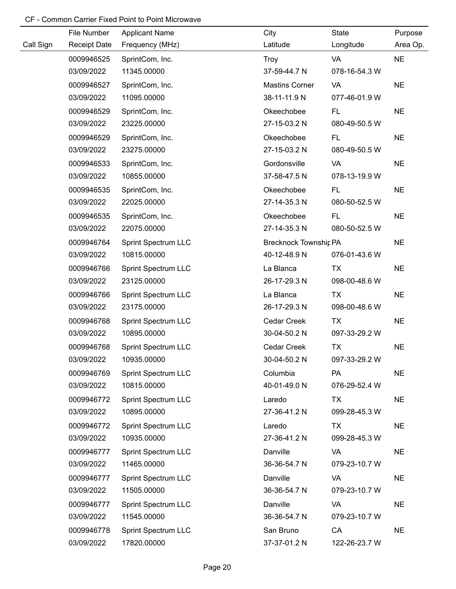|           | File Number         | <b>Applicant Name</b>      | City                         | <b>State</b>  | Purpose   |
|-----------|---------------------|----------------------------|------------------------------|---------------|-----------|
| Call Sign | <b>Receipt Date</b> | Frequency (MHz)            | Latitude                     | Longitude     | Area Op.  |
|           | 0009946525          | SprintCom, Inc.            | Troy                         | VA            | <b>NE</b> |
|           | 03/09/2022          | 11345.00000                | 37-59-44.7 N                 | 078-16-54.3 W |           |
|           | 0009946527          | SprintCom, Inc.            | <b>Mastins Corner</b>        | VA            | <b>NE</b> |
|           | 03/09/2022          | 11095.00000                | 38-11-11.9 N                 | 077-46-01.9 W |           |
|           | 0009946529          | SprintCom, Inc.            | Okeechobee                   | FL.           | <b>NE</b> |
|           | 03/09/2022          | 23225.00000                | 27-15-03.2 N                 | 080-49-50.5 W |           |
|           | 0009946529          | SprintCom, Inc.            | Okeechobee                   | FL.           | <b>NE</b> |
|           | 03/09/2022          | 23275.00000                | 27-15-03.2 N                 | 080-49-50.5 W |           |
|           | 0009946533          | SprintCom, Inc.            | Gordonsville                 | VA            | <b>NE</b> |
|           | 03/09/2022          | 10855.00000                | 37-58-47.5 N                 | 078-13-19.9 W |           |
|           | 0009946535          | SprintCom, Inc.            | Okeechobee                   | FL.           | <b>NE</b> |
|           | 03/09/2022          | 22025.00000                | 27-14-35.3 N                 | 080-50-52.5 W |           |
|           | 0009946535          | SprintCom, Inc.            | Okeechobee                   | FL.           | <b>NE</b> |
|           | 03/09/2022          | 22075.00000                | 27-14-35.3 N                 | 080-50-52.5 W |           |
|           | 0009946764          | <b>Sprint Spectrum LLC</b> | <b>Brecknock Townshir PA</b> |               | <b>NE</b> |
|           | 03/09/2022          | 10815.00000                | 40-12-48.9 N                 | 076-01-43.6 W |           |
|           | 0009946766          | <b>Sprint Spectrum LLC</b> | La Blanca                    | <b>TX</b>     | <b>NE</b> |
|           | 03/09/2022          | 23125.00000                | 26-17-29.3 N                 | 098-00-48.6 W |           |
|           | 0009946766          | <b>Sprint Spectrum LLC</b> | La Blanca                    | <b>TX</b>     | <b>NE</b> |
|           | 03/09/2022          | 23175.00000                | 26-17-29.3 N                 | 098-00-48.6 W |           |
|           | 0009946768          | <b>Sprint Spectrum LLC</b> | Cedar Creek                  | <b>TX</b>     | <b>NE</b> |
|           | 03/09/2022          | 10895.00000                | 30-04-50.2 N                 | 097-33-29.2 W |           |
|           | 0009946768          | <b>Sprint Spectrum LLC</b> | Cedar Creek                  | <b>TX</b>     | <b>NE</b> |
|           | 03/09/2022          | 10935.00000                | 30-04-50.2 N                 | 097-33-29.2 W |           |
|           | 0009946769          | <b>Sprint Spectrum LLC</b> | Columbia                     | <b>PA</b>     | <b>NE</b> |
|           | 03/09/2022          | 10815.00000                | 40-01-49.0 N                 | 076-29-52.4 W |           |
|           | 0009946772          | <b>Sprint Spectrum LLC</b> | Laredo                       | <b>TX</b>     | <b>NE</b> |
|           | 03/09/2022          | 10895.00000                | 27-36-41.2 N                 | 099-28-45.3 W |           |
|           | 0009946772          | <b>Sprint Spectrum LLC</b> | Laredo                       | TX            | <b>NE</b> |
|           | 03/09/2022          | 10935.00000                | 27-36-41.2 N                 | 099-28-45.3 W |           |
|           | 0009946777          | <b>Sprint Spectrum LLC</b> | Danville                     | VA            | <b>NE</b> |
|           | 03/09/2022          | 11465.00000                | 36-36-54.7 N                 | 079-23-10.7 W |           |
|           | 0009946777          | <b>Sprint Spectrum LLC</b> | Danville                     | VA            | <b>NE</b> |
|           | 03/09/2022          | 11505.00000                | 36-36-54.7 N                 | 079-23-10.7 W |           |
|           | 0009946777          | <b>Sprint Spectrum LLC</b> | Danville                     | VA            | <b>NE</b> |
|           | 03/09/2022          | 11545.00000                | 36-36-54.7 N                 | 079-23-10.7 W |           |
|           | 0009946778          | <b>Sprint Spectrum LLC</b> | San Bruno                    | CA            | <b>NE</b> |
|           | 03/09/2022          | 17820.00000                | 37-37-01.2 N                 | 122-26-23.7 W |           |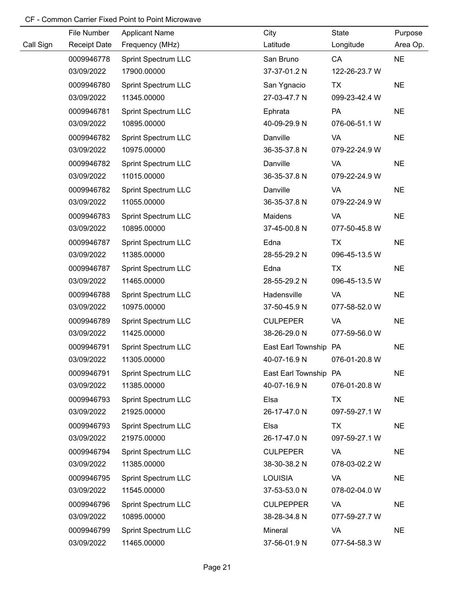|           | File Number         | <b>Applicant Name</b>      | City                  | State         | Purpose   |
|-----------|---------------------|----------------------------|-----------------------|---------------|-----------|
| Call Sign | <b>Receipt Date</b> | Frequency (MHz)            | Latitude              | Longitude     | Area Op.  |
|           | 0009946778          | <b>Sprint Spectrum LLC</b> | San Bruno             | CA            | <b>NE</b> |
|           | 03/09/2022          | 17900.00000                | 37-37-01.2 N          | 122-26-23.7 W |           |
|           | 0009946780          | <b>Sprint Spectrum LLC</b> | San Ygnacio           | <b>TX</b>     | <b>NE</b> |
|           | 03/09/2022          | 11345.00000                | 27-03-47.7 N          | 099-23-42.4 W |           |
|           | 0009946781          | <b>Sprint Spectrum LLC</b> | Ephrata               | PA            | <b>NE</b> |
|           | 03/09/2022          | 10895.00000                | 40-09-29.9 N          | 076-06-51.1 W |           |
|           | 0009946782          | <b>Sprint Spectrum LLC</b> | Danville              | VA            | <b>NE</b> |
|           | 03/09/2022          | 10975.00000                | 36-35-37.8 N          | 079-22-24.9 W |           |
|           | 0009946782          | <b>Sprint Spectrum LLC</b> | Danville              | VA            | <b>NE</b> |
|           | 03/09/2022          | 11015.00000                | 36-35-37.8 N          | 079-22-24.9 W |           |
|           | 0009946782          | <b>Sprint Spectrum LLC</b> | Danville              | VA            | <b>NE</b> |
|           | 03/09/2022          | 11055.00000                | 36-35-37.8 N          | 079-22-24.9 W |           |
|           | 0009946783          | <b>Sprint Spectrum LLC</b> | Maidens               | VA            | <b>NE</b> |
|           | 03/09/2022          | 10895.00000                | 37-45-00.8 N          | 077-50-45.8 W |           |
|           | 0009946787          | <b>Sprint Spectrum LLC</b> | Edna                  | TX            | <b>NE</b> |
|           | 03/09/2022          | 11385.00000                | 28-55-29.2 N          | 096-45-13.5 W |           |
|           | 0009946787          | <b>Sprint Spectrum LLC</b> | Edna                  | <b>TX</b>     | <b>NE</b> |
|           | 03/09/2022          | 11465.00000                | 28-55-29.2 N          | 096-45-13.5 W |           |
|           | 0009946788          | <b>Sprint Spectrum LLC</b> | Hadensville           | VA            | <b>NE</b> |
|           | 03/09/2022          | 10975.00000                | 37-50-45.9 N          | 077-58-52.0 W |           |
|           | 0009946789          | <b>Sprint Spectrum LLC</b> | <b>CULPEPER</b>       | VA            | <b>NE</b> |
|           | 03/09/2022          | 11425.00000                | 38-26-29.0 N          | 077-59-56.0 W |           |
|           | 0009946791          | <b>Sprint Spectrum LLC</b> | East Earl Township PA |               | <b>NE</b> |
|           | 03/09/2022          | 11305.00000                | 40-07-16.9 N          | 076-01-20.8 W |           |
|           | 0009946791          | Sprint Spectrum LLC        | East Earl Township PA |               | <b>NE</b> |
|           | 03/09/2022          | 11385.00000                | 40-07-16.9 N          | 076-01-20.8 W |           |
|           | 0009946793          | <b>Sprint Spectrum LLC</b> | Elsa                  | <b>TX</b>     | <b>NE</b> |
|           | 03/09/2022          | 21925.00000                | 26-17-47.0 N          | 097-59-27.1 W |           |
|           | 0009946793          | <b>Sprint Spectrum LLC</b> | Elsa                  | TX            | <b>NE</b> |
|           | 03/09/2022          | 21975.00000                | 26-17-47.0 N          | 097-59-27.1 W |           |
|           | 0009946794          | <b>Sprint Spectrum LLC</b> | <b>CULPEPER</b>       | VA            | <b>NE</b> |
|           | 03/09/2022          | 11385.00000                | 38-30-38.2 N          | 078-03-02.2 W |           |
|           | 0009946795          | <b>Sprint Spectrum LLC</b> | <b>LOUISIA</b>        | VA            | <b>NE</b> |
|           | 03/09/2022          | 11545.00000                | 37-53-53.0 N          | 078-02-04.0 W |           |
|           | 0009946796          | <b>Sprint Spectrum LLC</b> | <b>CULPEPPER</b>      | VA            | <b>NE</b> |
|           | 03/09/2022          | 10895.00000                | 38-28-34.8 N          | 077-59-27.7 W |           |
|           | 0009946799          | <b>Sprint Spectrum LLC</b> | Mineral               | VA            | <b>NE</b> |
|           | 03/09/2022          | 11465.00000                | 37-56-01.9 N          | 077-54-58.3 W |           |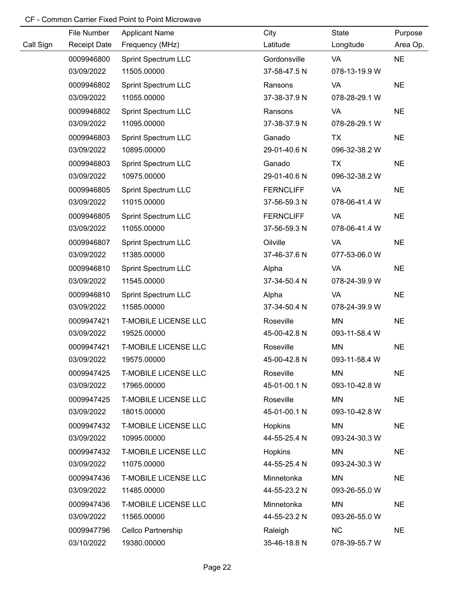|           | File Number         | <b>Applicant Name</b>       | City             | State         | Purpose   |
|-----------|---------------------|-----------------------------|------------------|---------------|-----------|
| Call Sign | <b>Receipt Date</b> | Frequency (MHz)             | Latitude         | Longitude     | Area Op.  |
|           | 0009946800          | Sprint Spectrum LLC         | Gordonsville     | VA            | <b>NE</b> |
|           | 03/09/2022          | 11505.00000                 | 37-58-47.5 N     | 078-13-19.9 W |           |
|           | 0009946802          | <b>Sprint Spectrum LLC</b>  | Ransons          | VA            | <b>NE</b> |
|           | 03/09/2022          | 11055.00000                 | 37-38-37.9 N     | 078-28-29.1 W |           |
|           | 0009946802          | <b>Sprint Spectrum LLC</b>  | Ransons          | VA            | <b>NE</b> |
|           | 03/09/2022          | 11095.00000                 | 37-38-37.9 N     | 078-28-29.1 W |           |
|           | 0009946803          | <b>Sprint Spectrum LLC</b>  | Ganado           | <b>TX</b>     | <b>NE</b> |
|           | 03/09/2022          | 10895.00000                 | 29-01-40.6 N     | 096-32-38.2 W |           |
|           | 0009946803          | <b>Sprint Spectrum LLC</b>  | Ganado           | <b>TX</b>     | <b>NE</b> |
|           | 03/09/2022          | 10975.00000                 | 29-01-40.6 N     | 096-32-38.2 W |           |
|           | 0009946805          | <b>Sprint Spectrum LLC</b>  | <b>FERNCLIFF</b> | VA            | <b>NE</b> |
|           | 03/09/2022          | 11015.00000                 | 37-56-59.3 N     | 078-06-41.4 W |           |
|           | 0009946805          | <b>Sprint Spectrum LLC</b>  | <b>FERNCLIFF</b> | VA            | <b>NE</b> |
|           | 03/09/2022          | 11055.00000                 | 37-56-59.3 N     | 078-06-41.4 W |           |
|           | 0009946807          | <b>Sprint Spectrum LLC</b>  | Oilville         | <b>VA</b>     | <b>NE</b> |
|           | 03/09/2022          | 11385.00000                 | 37-46-37.6 N     | 077-53-06.0 W |           |
|           | 0009946810          | <b>Sprint Spectrum LLC</b>  | Alpha            | VA            | <b>NE</b> |
|           | 03/09/2022          | 11545.00000                 | 37-34-50.4 N     | 078-24-39.9 W |           |
|           | 0009946810          | <b>Sprint Spectrum LLC</b>  | Alpha            | VA            | <b>NE</b> |
|           | 03/09/2022          | 11585.00000                 | 37-34-50.4 N     | 078-24-39.9 W |           |
|           | 0009947421          | <b>T-MOBILE LICENSE LLC</b> | Roseville        | MN            | <b>NE</b> |
|           | 03/09/2022          | 19525.00000                 | 45-00-42.8 N     | 093-11-58.4 W |           |
|           | 0009947421          | <b>T-MOBILE LICENSE LLC</b> | Roseville        | MN            | <b>NE</b> |
|           | 03/09/2022          | 19575.00000                 | 45-00-42.8 N     | 093-11-58.4 W |           |
|           | 0009947425          | <b>T-MOBILE LICENSE LLC</b> | Roseville        | <b>MN</b>     | <b>NE</b> |
|           | 03/09/2022          | 17965.00000                 | 45-01-00.1 N     | 093-10-42.8 W |           |
|           | 0009947425          | <b>T-MOBILE LICENSE LLC</b> | Roseville        | MN            | <b>NE</b> |
|           | 03/09/2022          | 18015.00000                 | 45-01-00.1 N     | 093-10-42.8 W |           |
|           | 0009947432          | <b>T-MOBILE LICENSE LLC</b> | Hopkins          | <b>MN</b>     | <b>NE</b> |
|           | 03/09/2022          | 10995.00000                 | 44-55-25.4 N     | 093-24-30.3 W |           |
|           | 0009947432          | <b>T-MOBILE LICENSE LLC</b> | <b>Hopkins</b>   | MN            | <b>NE</b> |
|           | 03/09/2022          | 11075.00000                 | 44-55-25.4 N     | 093-24-30.3 W |           |
|           | 0009947436          | <b>T-MOBILE LICENSE LLC</b> | Minnetonka       | <b>MN</b>     | <b>NE</b> |
|           | 03/09/2022          | 11485.00000                 | 44-55-23.2 N     | 093-26-55.0 W |           |
|           | 0009947436          | <b>T-MOBILE LICENSE LLC</b> | Minnetonka       | MN            | <b>NE</b> |
|           | 03/09/2022          | 11565.00000                 | 44-55-23.2 N     | 093-26-55.0 W |           |
|           | 0009947796          | Cellco Partnership          | Raleigh          | <b>NC</b>     | <b>NE</b> |
|           | 03/10/2022          | 19380.00000                 | 35-46-18.8 N     | 078-39-55.7 W |           |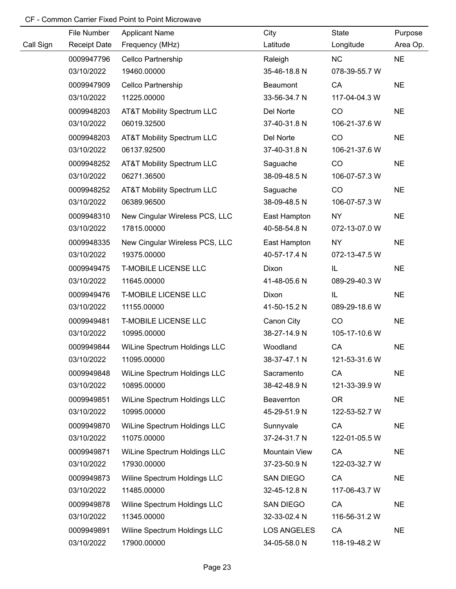|           | File Number         | <b>Applicant Name</b>                 | City               | State         | Purpose   |
|-----------|---------------------|---------------------------------------|--------------------|---------------|-----------|
| Call Sign | <b>Receipt Date</b> | Frequency (MHz)                       | Latitude           | Longitude     | Area Op.  |
|           | 0009947796          | Cellco Partnership                    | Raleigh            | <b>NC</b>     | <b>NE</b> |
|           | 03/10/2022          | 19460.00000                           | 35-46-18.8 N       | 078-39-55.7 W |           |
|           | 0009947909          | Cellco Partnership                    | Beaumont           | CA            | <b>NE</b> |
|           | 03/10/2022          | 11225.00000                           | 33-56-34.7 N       | 117-04-04.3 W |           |
|           | 0009948203          | AT&T Mobility Spectrum LLC            | Del Norte          | CO            | <b>NE</b> |
|           | 03/10/2022          | 06019.32500                           | 37-40-31.8 N       | 106-21-37.6 W |           |
|           | 0009948203          | AT&T Mobility Spectrum LLC            | Del Norte          | CO            | <b>NE</b> |
|           | 03/10/2022          | 06137.92500                           | 37-40-31.8 N       | 106-21-37.6 W |           |
|           | 0009948252          | <b>AT&amp;T Mobility Spectrum LLC</b> | Saguache           | CO            | <b>NE</b> |
|           | 03/10/2022          | 06271.36500                           | 38-09-48.5 N       | 106-07-57.3 W |           |
|           | 0009948252          | <b>AT&amp;T Mobility Spectrum LLC</b> | Saguache           | CO            | <b>NE</b> |
|           | 03/10/2022          | 06389.96500                           | 38-09-48.5 N       | 106-07-57.3 W |           |
|           | 0009948310          | New Cingular Wireless PCS, LLC        | East Hampton       | NY            | <b>NE</b> |
|           | 03/10/2022          | 17815.00000                           | 40-58-54.8 N       | 072-13-07.0 W |           |
|           | 0009948335          | New Cingular Wireless PCS, LLC        | East Hampton       | NY            | <b>NE</b> |
|           | 03/10/2022          | 19375.00000                           | 40-57-17.4 N       | 072-13-47.5 W |           |
|           | 0009949475          | <b>T-MOBILE LICENSE LLC</b>           | Dixon              | IL.           | <b>NE</b> |
|           | 03/10/2022          | 11645.00000                           | 41-48-05.6 N       | 089-29-40.3 W |           |
|           | 0009949476          | <b>T-MOBILE LICENSE LLC</b>           | Dixon              | IL            | <b>NE</b> |
|           | 03/10/2022          | 11155.00000                           | 41-50-15.2 N       | 089-29-18.6 W |           |
|           | 0009949481          | <b>T-MOBILE LICENSE LLC</b>           | Canon City         | CO            | <b>NE</b> |
|           | 03/10/2022          | 10995.00000                           | 38-27-14.9 N       | 105-17-10.6 W |           |
|           | 0009949844          | WiLine Spectrum Holdings LLC          | Woodland           | CA            | <b>NE</b> |
|           | 03/10/2022          | 11095.00000                           | 38-37-47.1 N       | 121-53-31.6 W |           |
|           | 0009949848          | WiLine Spectrum Holdings LLC          | Sacramento         | CA            | <b>NE</b> |
|           | 03/10/2022          | 10895.00000                           | 38-42-48.9 N       | 121-33-39.9 W |           |
|           | 0009949851          | WiLine Spectrum Holdings LLC          | Beaverrton         | <b>OR</b>     | <b>NE</b> |
|           | 03/10/2022          | 10995.00000                           | 45-29-51.9 N       | 122-53-52.7 W |           |
|           | 0009949870          | WiLine Spectrum Holdings LLC          | Sunnyvale          | CA            | <b>NE</b> |
|           | 03/10/2022          | 11075.00000                           | 37-24-31.7 N       | 122-01-05.5 W |           |
|           | 0009949871          | WiLine Spectrum Holdings LLC          | Mountain View      | CA            | <b>NE</b> |
|           | 03/10/2022          | 17930.00000                           | 37-23-50.9 N       | 122-03-32.7 W |           |
|           | 0009949873          | Wiline Spectrum Holdings LLC          | SAN DIEGO          | CA            | <b>NE</b> |
|           | 03/10/2022          | 11485.00000                           | 32-45-12.8 N       | 117-06-43.7 W |           |
|           | 0009949878          | Wiline Spectrum Holdings LLC          | SAN DIEGO          | CA            | <b>NE</b> |
|           | 03/10/2022          | 11345.00000                           | 32-33-02.4 N       | 116-56-31.2 W |           |
|           | 0009949891          | Wiline Spectrum Holdings LLC          | <b>LOS ANGELES</b> | CA            | <b>NE</b> |
|           | 03/10/2022          | 17900.00000                           | 34-05-58.0 N       | 118-19-48.2 W |           |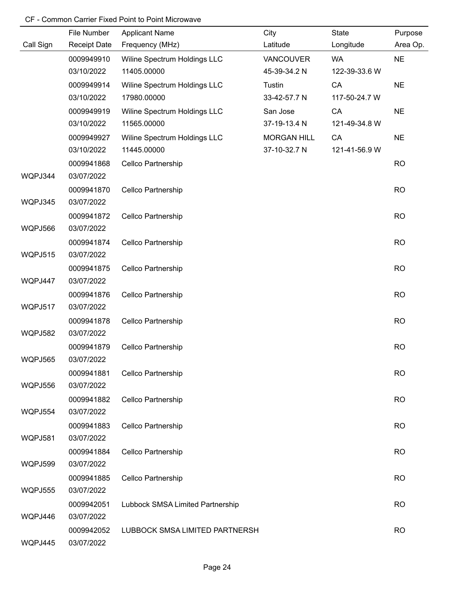|                | File Number              | <b>Applicant Name</b>            | City               | State         | Purpose   |
|----------------|--------------------------|----------------------------------|--------------------|---------------|-----------|
| Call Sign      | <b>Receipt Date</b>      | Frequency (MHz)                  | Latitude           | Longitude     | Area Op.  |
|                | 0009949910               | Wiline Spectrum Holdings LLC     | VANCOUVER          | <b>WA</b>     | <b>NE</b> |
|                | 03/10/2022               | 11405.00000                      | 45-39-34.2 N       | 122-39-33.6 W |           |
|                | 0009949914               | Wiline Spectrum Holdings LLC     | Tustin             | CA            | <b>NE</b> |
|                | 03/10/2022               | 17980.00000                      | 33-42-57.7 N       | 117-50-24.7 W |           |
|                | 0009949919               | Wiline Spectrum Holdings LLC     | San Jose           | CA            | <b>NE</b> |
|                | 03/10/2022               | 11565.00000                      | 37-19-13.4 N       | 121-49-34.8 W |           |
|                | 0009949927               | Wiline Spectrum Holdings LLC     | <b>MORGAN HILL</b> | CA            | <b>NE</b> |
|                | 03/10/2022               | 11445.00000                      | 37-10-32.7 N       | 121-41-56.9 W |           |
|                | 0009941868               | Cellco Partnership               |                    |               | <b>RO</b> |
| WQPJ344        | 03/07/2022               |                                  |                    |               |           |
| WQPJ345        | 0009941870<br>03/07/2022 | Cellco Partnership               |                    |               | <b>RO</b> |
| WQPJ566        | 0009941872<br>03/07/2022 | Cellco Partnership               |                    |               | <b>RO</b> |
|                | 0009941874               |                                  |                    |               | <b>RO</b> |
| <b>WQPJ515</b> | 03/07/2022               | Cellco Partnership               |                    |               |           |
|                | 0009941875               | Cellco Partnership               |                    |               | <b>RO</b> |
| WQPJ447        | 03/07/2022               |                                  |                    |               |           |
|                | 0009941876               | Cellco Partnership               |                    |               | <b>RO</b> |
| WQPJ517        | 03/07/2022               |                                  |                    |               |           |
|                | 0009941878               | Cellco Partnership               |                    |               | <b>RO</b> |
| <b>WQPJ582</b> | 03/07/2022               |                                  |                    |               |           |
|                | 0009941879               | Cellco Partnership               |                    |               | <b>RO</b> |
| <b>WQPJ565</b> | 03/07/2022               |                                  |                    |               |           |
|                | 0009941881               | Cellco Partnership               |                    |               | <b>RO</b> |
| WQPJ556        | 03/07/2022               |                                  |                    |               |           |
|                | 0009941882               | Cellco Partnership               |                    |               | <b>RO</b> |
| WQPJ554        | 03/07/2022               |                                  |                    |               |           |
|                | 0009941883               | Cellco Partnership               |                    |               | <b>RO</b> |
| <b>WQPJ581</b> | 03/07/2022               |                                  |                    |               |           |
|                | 0009941884               | Cellco Partnership               |                    |               | <b>RO</b> |
| <b>WQPJ599</b> | 03/07/2022               |                                  |                    |               |           |
|                | 0009941885               | Cellco Partnership               |                    |               | <b>RO</b> |
| <b>WQPJ555</b> | 03/07/2022               |                                  |                    |               |           |
|                | 0009942051               | Lubbock SMSA Limited Partnership |                    |               | <b>RO</b> |
| WQPJ446        | 03/07/2022               |                                  |                    |               |           |
| WQPJ445        | 0009942052<br>03/07/2022 | LUBBOCK SMSA LIMITED PARTNERSH   |                    |               | <b>RO</b> |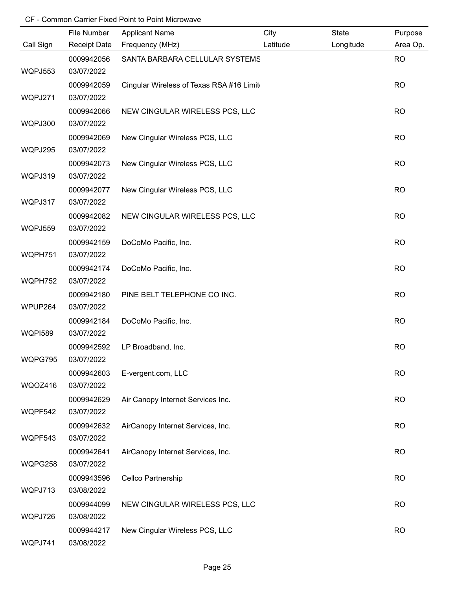|                | File Number         | <b>Applicant Name</b>                    | City     | State     | Purpose   |
|----------------|---------------------|------------------------------------------|----------|-----------|-----------|
| Call Sign      | <b>Receipt Date</b> | Frequency (MHz)                          | Latitude | Longitude | Area Op.  |
|                | 0009942056          | SANTA BARBARA CELLULAR SYSTEMS           |          |           | <b>RO</b> |
| <b>WQPJ553</b> | 03/07/2022          |                                          |          |           |           |
|                | 0009942059          | Cingular Wireless of Texas RSA #16 Limit |          |           | <b>RO</b> |
| WQPJ271        | 03/07/2022          |                                          |          |           |           |
|                | 0009942066          | NEW CINGULAR WIRELESS PCS, LLC           |          |           | <b>RO</b> |
| WQPJ300        | 03/07/2022          |                                          |          |           |           |
|                | 0009942069          | New Cingular Wireless PCS, LLC           |          |           | <b>RO</b> |
| WQPJ295        | 03/07/2022          |                                          |          |           |           |
|                | 0009942073          | New Cingular Wireless PCS, LLC           |          |           | <b>RO</b> |
| WQPJ319        | 03/07/2022          |                                          |          |           |           |
|                | 0009942077          | New Cingular Wireless PCS, LLC           |          |           | <b>RO</b> |
| WQPJ317        | 03/07/2022          |                                          |          |           |           |
|                | 0009942082          | NEW CINGULAR WIRELESS PCS, LLC           |          |           | <b>RO</b> |
| WQPJ559        | 03/07/2022          |                                          |          |           |           |
|                | 0009942159          | DoCoMo Pacific, Inc.                     |          |           | <b>RO</b> |
| WQPH751        | 03/07/2022          |                                          |          |           |           |
|                | 0009942174          | DoCoMo Pacific, Inc.                     |          |           | <b>RO</b> |
| WQPH752        | 03/07/2022          |                                          |          |           |           |
|                | 0009942180          | PINE BELT TELEPHONE CO INC.              |          |           | <b>RO</b> |
| WPUP264        | 03/07/2022          |                                          |          |           |           |
|                | 0009942184          | DoCoMo Pacific, Inc.                     |          |           | <b>RO</b> |
| <b>WQPI589</b> | 03/07/2022          |                                          |          |           |           |
|                | 0009942592          | LP Broadband, Inc.                       |          |           | <b>RO</b> |
| WQPG795        | 03/07/2022          |                                          |          |           |           |
|                | 0009942603          | E-vergent.com, LLC                       |          |           | <b>RO</b> |
| WQOZ416        | 03/07/2022          |                                          |          |           |           |
|                | 0009942629          | Air Canopy Internet Services Inc.        |          |           | <b>RO</b> |
| WQPF542        | 03/07/2022          |                                          |          |           |           |
|                | 0009942632          | AirCanopy Internet Services, Inc.        |          |           | <b>RO</b> |
| WQPF543        | 03/07/2022          |                                          |          |           |           |
|                | 0009942641          | AirCanopy Internet Services, Inc.        |          |           | <b>RO</b> |
| WQPG258        | 03/07/2022          |                                          |          |           |           |
|                | 0009943596          | Cellco Partnership                       |          |           | <b>RO</b> |
| WQPJ713        | 03/08/2022          |                                          |          |           |           |
|                | 0009944099          | NEW CINGULAR WIRELESS PCS, LLC           |          |           | <b>RO</b> |
| WQPJ726        | 03/08/2022          |                                          |          |           |           |
|                | 0009944217          | New Cingular Wireless PCS, LLC           |          |           | <b>RO</b> |
| WQPJ741        | 03/08/2022          |                                          |          |           |           |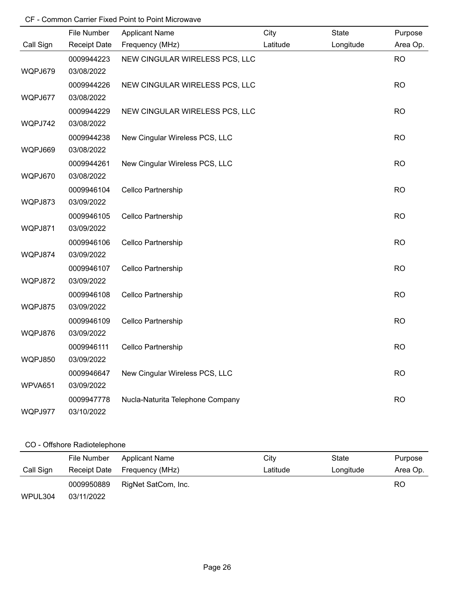|           | File Number         | <b>Applicant Name</b>            | City     | State     | Purpose   |
|-----------|---------------------|----------------------------------|----------|-----------|-----------|
| Call Sign | <b>Receipt Date</b> | Frequency (MHz)                  | Latitude | Longitude | Area Op.  |
|           | 0009944223          | NEW CINGULAR WIRELESS PCS, LLC   |          |           | <b>RO</b> |
| WQPJ679   | 03/08/2022          |                                  |          |           |           |
|           | 0009944226          | NEW CINGULAR WIRELESS PCS, LLC   |          |           | <b>RO</b> |
| WQPJ677   | 03/08/2022          |                                  |          |           |           |
|           | 0009944229          | NEW CINGULAR WIRELESS PCS, LLC   |          |           | <b>RO</b> |
| WQPJ742   | 03/08/2022          |                                  |          |           |           |
|           | 0009944238          | New Cingular Wireless PCS, LLC   |          |           | <b>RO</b> |
| WQPJ669   | 03/08/2022          |                                  |          |           |           |
|           | 0009944261          | New Cingular Wireless PCS, LLC   |          |           | <b>RO</b> |
| WQPJ670   | 03/08/2022          |                                  |          |           |           |
|           | 0009946104          | Cellco Partnership               |          |           | <b>RO</b> |
| WQPJ873   | 03/09/2022          |                                  |          |           |           |
|           | 0009946105          | Cellco Partnership               |          |           | <b>RO</b> |
| WQPJ871   | 03/09/2022          |                                  |          |           |           |
|           | 0009946106          | Cellco Partnership               |          |           | <b>RO</b> |
| WQPJ874   | 03/09/2022          |                                  |          |           |           |
|           | 0009946107          | Cellco Partnership               |          |           | <b>RO</b> |
| WQPJ872   | 03/09/2022          |                                  |          |           |           |
|           | 0009946108          | Cellco Partnership               |          |           | <b>RO</b> |
| WQPJ875   | 03/09/2022          |                                  |          |           |           |
|           | 0009946109          | Cellco Partnership               |          |           | <b>RO</b> |
| WQPJ876   | 03/09/2022          |                                  |          |           |           |
|           | 0009946111          | Cellco Partnership               |          |           | <b>RO</b> |
| WQPJ850   | 03/09/2022          |                                  |          |           |           |
|           | 0009946647          | New Cingular Wireless PCS, LLC   |          |           | <b>RO</b> |
| WPVA651   | 03/09/2022          |                                  |          |           |           |
|           | 0009947778          | Nucla-Naturita Telephone Company |          |           | <b>RO</b> |
| WQPJ977   | 03/10/2022          |                                  |          |           |           |

# CO - Offshore Radiotelephone

|           | File Number  | <b>Applicant Name</b> | City     | State     | Purpose  |
|-----------|--------------|-----------------------|----------|-----------|----------|
| Call Sign | Receipt Date | Frequency (MHz)       | Latitude | Longitude | Area Op. |
|           | 0009950889   | RigNet SatCom, Inc.   |          |           | RO       |
| WPUL304   | 03/11/2022   |                       |          |           |          |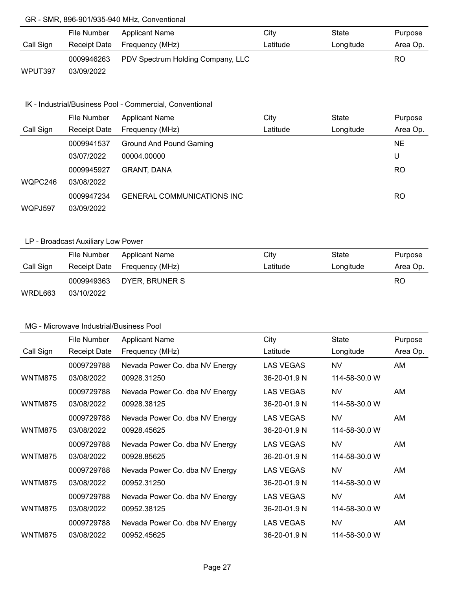#### GR - SMR, 896-901/935-940 MHz, Conventional

|           | File Number  | Applicant Name                    | City     | State     | Purpose   |
|-----------|--------------|-----------------------------------|----------|-----------|-----------|
| Call Sign | Receipt Date | Frequency (MHz)                   | Latitude | Longitude | Area Op.  |
|           | 0009946263   | PDV Spectrum Holding Company, LLC |          |           | <b>RO</b> |
| WPUT397   | 03/09/2022   |                                   |          |           |           |

#### IK - Industrial/Business Pool - Commercial, Conventional

|           | File Number         | <b>Applicant Name</b>              | City     | State     | Purpose   |
|-----------|---------------------|------------------------------------|----------|-----------|-----------|
| Call Sign | <b>Receipt Date</b> | Frequency (MHz)                    | Latitude | Longitude | Area Op.  |
|           | 0009941537          | Ground And Pound Gaming            |          |           | NE.       |
|           | 03/07/2022          | 00004.00000                        |          |           | U         |
|           | 0009945927          | <b>GRANT, DANA</b>                 |          |           | <b>RO</b> |
| WQPC246   | 03/08/2022          |                                    |          |           |           |
|           | 0009947234          | <b>GENERAL COMMUNICATIONS INC.</b> |          |           | RO        |
| WQPJ597   | 03/09/2022          |                                    |          |           |           |

### LP - Broadcast Auxiliary Low Power

|           | File Number | <b>Applicant Name</b>        | City     | State     | Purpose  |
|-----------|-------------|------------------------------|----------|-----------|----------|
| Call Sign |             | Receipt Date Frequency (MHz) | Latitude | Longitude | Area Op. |
|           | 0009949363  | DYER, BRUNER S               |          |           | RO       |
| WRDL663   | 03/10/2022  |                              |          |           |          |

|                | File Number         | <b>Applicant Name</b>          | City             | <b>State</b>  | Purpose  |
|----------------|---------------------|--------------------------------|------------------|---------------|----------|
| Call Sign      | <b>Receipt Date</b> | Frequency (MHz)                | Latitude         | Longitude     | Area Op. |
|                | 0009729788          | Nevada Power Co. dba NV Energy | <b>LAS VEGAS</b> | <b>NV</b>     | AM       |
| <b>WNTM875</b> | 03/08/2022          | 00928.31250                    | 36-20-01.9 N     | 114-58-30.0 W |          |
|                | 0009729788          | Nevada Power Co. dba NV Energy | LAS VEGAS        | <b>NV</b>     | AM       |
| <b>WNTM875</b> | 03/08/2022          | 00928.38125                    | 36-20-01.9 N     | 114-58-30.0 W |          |
|                | 0009729788          | Nevada Power Co. dba NV Energy | <b>LAS VEGAS</b> | <b>NV</b>     | AM       |
| WNTM875        | 03/08/2022          | 00928.45625                    | 36-20-01.9 N     | 114-58-30.0 W |          |
|                | 0009729788          | Nevada Power Co. dba NV Energy | <b>LAS VEGAS</b> | <b>NV</b>     | AM       |
| <b>WNTM875</b> | 03/08/2022          | 00928.85625                    | 36-20-01.9 N     | 114-58-30.0 W |          |
|                | 0009729788          | Nevada Power Co. dba NV Energy | <b>LAS VEGAS</b> | <b>NV</b>     | AM.      |
| WNTM875        | 03/08/2022          | 00952.31250                    | 36-20-01.9 N     | 114-58-30.0 W |          |
|                | 0009729788          | Nevada Power Co. dba NV Energy | <b>LAS VEGAS</b> | <b>NV</b>     | AM       |
| <b>WNTM875</b> | 03/08/2022          | 00952.38125                    | 36-20-01.9 N     | 114-58-30.0 W |          |
|                | 0009729788          | Nevada Power Co. dba NV Energy | <b>LAS VEGAS</b> | <b>NV</b>     | AM       |
| WNTM875        | 03/08/2022          | 00952.45625                    | 36-20-01.9 N     | 114-58-30.0 W |          |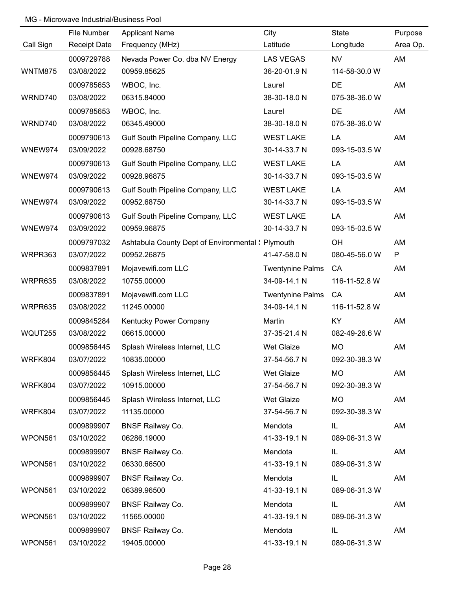|                | File Number         | <b>Applicant Name</b>                              | City                    | State         | Purpose  |
|----------------|---------------------|----------------------------------------------------|-------------------------|---------------|----------|
| Call Sign      | <b>Receipt Date</b> | Frequency (MHz)                                    | Latitude                | Longitude     | Area Op. |
|                | 0009729788          | Nevada Power Co. dba NV Energy                     | <b>LAS VEGAS</b>        | <b>NV</b>     | AM       |
| <b>WNTM875</b> | 03/08/2022          | 00959.85625                                        | 36-20-01.9 N            | 114-58-30.0 W |          |
|                | 0009785653          | WBOC, Inc.                                         | Laurel                  | <b>DE</b>     | AM       |
| WRND740        | 03/08/2022          | 06315.84000                                        | 38-30-18.0 N            | 075-38-36.0 W |          |
|                | 0009785653          | WBOC, Inc.                                         | Laurel                  | <b>DE</b>     | AM       |
| WRND740        | 03/08/2022          | 06345.49000                                        | 38-30-18.0 N            | 075-38-36.0 W |          |
|                | 0009790613          | Gulf South Pipeline Company, LLC                   | <b>WEST LAKE</b>        | LA            | AM       |
| WNEW974        | 03/09/2022          | 00928.68750                                        | 30-14-33.7 N            | 093-15-03.5 W |          |
|                | 0009790613          | Gulf South Pipeline Company, LLC                   | <b>WEST LAKE</b>        | LA            | AM       |
| WNEW974        | 03/09/2022          | 00928.96875                                        | 30-14-33.7 N            | 093-15-03.5 W |          |
|                | 0009790613          | Gulf South Pipeline Company, LLC                   | <b>WEST LAKE</b>        | LA            | AM       |
| WNEW974        | 03/09/2022          | 00952.68750                                        | 30-14-33.7 N            | 093-15-03.5 W |          |
|                | 0009790613          | Gulf South Pipeline Company, LLC                   | <b>WEST LAKE</b>        | LA            | AM       |
| WNEW974        | 03/09/2022          | 00959.96875                                        | 30-14-33.7 N            | 093-15-03.5 W |          |
|                | 0009797032          | Ashtabula County Dept of Environmental \: Plymouth |                         | OH            | AM       |
| WRPR363        | 03/07/2022          | 00952.26875                                        | 41-47-58.0 N            | 080-45-56.0 W | P        |
|                | 0009837891          | Mojavewifi.com LLC                                 | <b>Twentynine Palms</b> | CA            | AM       |
| WRPR635        | 03/08/2022          | 10755.00000                                        | 34-09-14.1 N            | 116-11-52.8 W |          |
|                | 0009837891          | Mojavewifi.com LLC                                 | <b>Twentynine Palms</b> | CA            | AM       |
| WRPR635        | 03/08/2022          | 11245.00000                                        | 34-09-14.1 N            | 116-11-52.8 W |          |
|                | 0009845284          | Kentucky Power Company                             | Martin                  | KY            | AM       |
| WQUT255        | 03/08/2022          | 06615.00000                                        | 37-35-21.4 N            | 082-49-26.6 W |          |
|                | 0009856445          | Splash Wireless Internet, LLC                      | Wet Glaize              | <b>MO</b>     | AM       |
| WRFK804        | 03/07/2022          | 10835.00000                                        | 37-54-56.7 N            | 092-30-38.3 W |          |
|                | 0009856445          | Splash Wireless Internet, LLC                      | Wet Glaize              | <b>MO</b>     | AM       |
| WRFK804        | 03/07/2022          | 10915.00000                                        | 37-54-56.7 N            | 092-30-38.3 W |          |
|                | 0009856445          | Splash Wireless Internet, LLC                      | Wet Glaize              | <b>MO</b>     | AM       |
| WRFK804        | 03/07/2022          | 11135.00000                                        | 37-54-56.7 N            | 092-30-38.3 W |          |
|                | 0009899907          | <b>BNSF Railway Co.</b>                            | Mendota                 | IL            | AM       |
| WPON561        | 03/10/2022          | 06286.19000                                        | 41-33-19.1 N            | 089-06-31.3 W |          |
|                | 0009899907          | <b>BNSF Railway Co.</b>                            | Mendota                 | IL            | AM       |
| WPON561        | 03/10/2022          | 06330.66500                                        | 41-33-19.1 N            | 089-06-31.3 W |          |
|                | 0009899907          | <b>BNSF Railway Co.</b>                            | Mendota                 | IL            | AM       |
| WPON561        | 03/10/2022          | 06389.96500                                        | 41-33-19.1 N            | 089-06-31.3 W |          |
|                | 0009899907          | <b>BNSF Railway Co.</b>                            | Mendota                 | IL            | AM       |
| WPON561        | 03/10/2022          | 11565.00000                                        | 41-33-19.1 N            | 089-06-31.3 W |          |
|                | 0009899907          | <b>BNSF Railway Co.</b>                            | Mendota                 | IL            | AM       |
| WPON561        | 03/10/2022          | 19405.00000                                        | 41-33-19.1 N            | 089-06-31.3 W |          |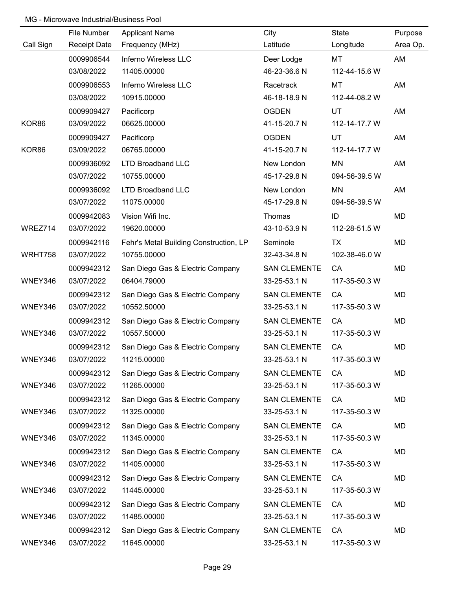|           | File Number         | <b>Applicant Name</b>                  | City                | State         | Purpose  |
|-----------|---------------------|----------------------------------------|---------------------|---------------|----------|
| Call Sign | <b>Receipt Date</b> | Frequency (MHz)                        | Latitude            | Longitude     | Area Op. |
|           | 0009906544          | Inferno Wireless LLC                   | Deer Lodge          | MT            | AM       |
|           | 03/08/2022          | 11405.00000                            | 46-23-36.6 N        | 112-44-15.6 W |          |
|           | 0009906553          | Inferno Wireless LLC                   | Racetrack           | MT            | AM       |
|           | 03/08/2022          | 10915.00000                            | 46-18-18.9 N        | 112-44-08.2 W |          |
|           | 0009909427          | Pacificorp                             | <b>OGDEN</b>        | UT            | AM       |
| KOR86     | 03/09/2022          | 06625.00000                            | 41-15-20.7 N        | 112-14-17.7 W |          |
|           | 0009909427          | Pacificorp                             | <b>OGDEN</b>        | <b>UT</b>     | AM       |
| KOR86     | 03/09/2022          | 06765.00000                            | 41-15-20.7 N        | 112-14-17.7 W |          |
|           | 0009936092          | <b>LTD Broadband LLC</b>               | New London          | MN            | AM       |
|           | 03/07/2022          | 10755.00000                            | 45-17-29.8 N        | 094-56-39.5 W |          |
|           | 0009936092          | <b>LTD Broadband LLC</b>               | New London          | <b>MN</b>     | AM       |
|           | 03/07/2022          | 11075.00000                            | 45-17-29.8 N        | 094-56-39.5 W |          |
|           | 0009942083          | Vision Wifi Inc.                       | Thomas              | ID            | MD       |
| WREZ714   | 03/07/2022          | 19620.00000                            | 43-10-53.9 N        | 112-28-51.5 W |          |
|           | 0009942116          | Fehr's Metal Building Construction, LP | Seminole            | TX            | MD       |
| WRHT758   | 03/07/2022          | 10755.00000                            | 32-43-34.8 N        | 102-38-46.0 W |          |
|           | 0009942312          | San Diego Gas & Electric Company       | <b>SAN CLEMENTE</b> | CA            | MD       |
| WNEY346   | 03/07/2022          | 06404.79000                            | 33-25-53.1 N        | 117-35-50.3 W |          |
|           | 0009942312          | San Diego Gas & Electric Company       | <b>SAN CLEMENTE</b> | CA            | MD       |
| WNEY346   | 03/07/2022          | 10552.50000                            | 33-25-53.1 N        | 117-35-50.3 W |          |
|           | 0009942312          | San Diego Gas & Electric Company       | <b>SAN CLEMENTE</b> | CA            | MD       |
| WNEY346   | 03/07/2022          | 10557.50000                            | 33-25-53.1 N        | 117-35-50.3 W |          |
|           | 0009942312          | San Diego Gas & Electric Company       | <b>SAN CLEMENTE</b> | CA            | MD       |
| WNEY346   | 03/07/2022          | 11215.00000                            | 33-25-53.1 N        | 117-35-50.3 W |          |
|           | 0009942312          | San Diego Gas & Electric Company       | <b>SAN CLEMENTE</b> | CA            | MD       |
| WNEY346   | 03/07/2022          | 11265.00000                            | 33-25-53.1 N        | 117-35-50.3 W |          |
|           | 0009942312          | San Diego Gas & Electric Company       | <b>SAN CLEMENTE</b> | CA            | MD       |
| WNEY346   | 03/07/2022          | 11325.00000                            | 33-25-53.1 N        | 117-35-50.3 W |          |
|           | 0009942312          | San Diego Gas & Electric Company       | <b>SAN CLEMENTE</b> | CA            | MD       |
| WNEY346   | 03/07/2022          | 11345.00000                            | 33-25-53.1 N        | 117-35-50.3 W |          |
|           | 0009942312          | San Diego Gas & Electric Company       | <b>SAN CLEMENTE</b> | CA            | MD       |
| WNEY346   | 03/07/2022          | 11405.00000                            | 33-25-53.1 N        | 117-35-50.3 W |          |
|           | 0009942312          | San Diego Gas & Electric Company       | <b>SAN CLEMENTE</b> | CA            | MD       |
| WNEY346   | 03/07/2022          | 11445.00000                            | 33-25-53.1 N        | 117-35-50.3 W |          |
|           | 0009942312          | San Diego Gas & Electric Company       | <b>SAN CLEMENTE</b> | CA            | MD       |
| WNEY346   | 03/07/2022          | 11485.00000                            | 33-25-53.1 N        | 117-35-50.3 W |          |
|           | 0009942312          | San Diego Gas & Electric Company       | <b>SAN CLEMENTE</b> | CA            | MD       |
| WNEY346   | 03/07/2022          | 11645.00000                            | 33-25-53.1 N        | 117-35-50.3 W |          |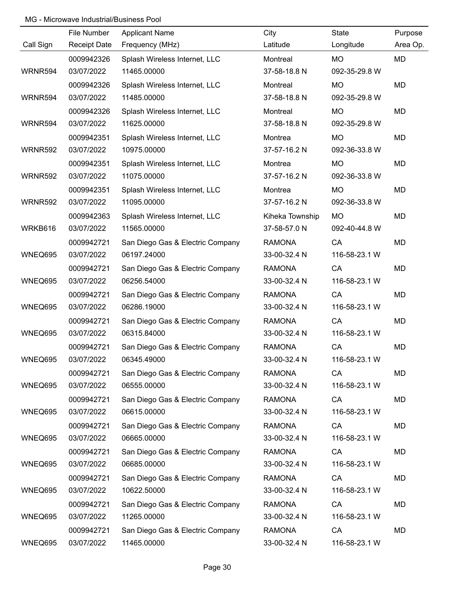|                | File Number         | <b>Applicant Name</b>            | City            | State         | Purpose   |
|----------------|---------------------|----------------------------------|-----------------|---------------|-----------|
| Call Sign      | <b>Receipt Date</b> | Frequency (MHz)                  | Latitude        | Longitude     | Area Op.  |
|                | 0009942326          | Splash Wireless Internet, LLC    | Montreal        | MO            | <b>MD</b> |
| WRNR594        | 03/07/2022          | 11465.00000                      | 37-58-18.8 N    | 092-35-29.8 W |           |
|                | 0009942326          | Splash Wireless Internet, LLC    | Montreal        | <b>MO</b>     | MD        |
| WRNR594        | 03/07/2022          | 11485.00000                      | 37-58-18.8 N    | 092-35-29.8 W |           |
|                | 0009942326          | Splash Wireless Internet, LLC    | Montreal        | <b>MO</b>     | <b>MD</b> |
| WRNR594        | 03/07/2022          | 11625.00000                      | 37-58-18.8 N    | 092-35-29.8 W |           |
|                | 0009942351          | Splash Wireless Internet, LLC    | Montrea         | <b>MO</b>     | MD        |
| <b>WRNR592</b> | 03/07/2022          | 10975.00000                      | 37-57-16.2 N    | 092-36-33.8 W |           |
|                | 0009942351          | Splash Wireless Internet, LLC    | Montrea         | <b>MO</b>     | MD        |
| <b>WRNR592</b> | 03/07/2022          | 11075.00000                      | 37-57-16.2 N    | 092-36-33.8 W |           |
|                | 0009942351          | Splash Wireless Internet, LLC    | Montrea         | <b>MO</b>     | MD        |
| <b>WRNR592</b> | 03/07/2022          | 11095.00000                      | 37-57-16.2 N    | 092-36-33.8 W |           |
|                | 0009942363          | Splash Wireless Internet, LLC    | Kiheka Township | <b>MO</b>     | MD        |
| WRKB616        | 03/07/2022          | 11565.00000                      | 37-58-57.0 N    | 092-40-44.8 W |           |
|                | 0009942721          | San Diego Gas & Electric Company | <b>RAMONA</b>   | CA            | MD        |
| WNEQ695        | 03/07/2022          | 06197.24000                      | 33-00-32.4 N    | 116-58-23.1 W |           |
|                | 0009942721          | San Diego Gas & Electric Company | <b>RAMONA</b>   | CA            | MD        |
| WNEQ695        | 03/07/2022          | 06256.54000                      | 33-00-32.4 N    | 116-58-23.1 W |           |
|                | 0009942721          | San Diego Gas & Electric Company | <b>RAMONA</b>   | CA            | MD        |
| WNEQ695        | 03/07/2022          | 06286.19000                      | 33-00-32.4 N    | 116-58-23.1 W |           |
|                | 0009942721          | San Diego Gas & Electric Company | <b>RAMONA</b>   | CA            | MD        |
| WNEQ695        | 03/07/2022          | 06315.84000                      | 33-00-32.4 N    | 116-58-23.1 W |           |
|                | 0009942721          | San Diego Gas & Electric Company | <b>RAMONA</b>   | CA            | MD        |
| WNEQ695        | 03/07/2022          | 06345.49000                      | 33-00-32.4 N    | 116-58-23.1 W |           |
|                | 0009942721          | San Diego Gas & Electric Company | <b>RAMONA</b>   | CA            | MD        |
| WNEQ695        | 03/07/2022          | 06555.00000                      | 33-00-32.4 N    | 116-58-23.1 W |           |
|                | 0009942721          | San Diego Gas & Electric Company | <b>RAMONA</b>   | CA            | MD        |
| WNEQ695        | 03/07/2022          | 06615.00000                      | 33-00-32.4 N    | 116-58-23.1 W |           |
|                | 0009942721          | San Diego Gas & Electric Company | <b>RAMONA</b>   | CA            | MD        |
| WNEQ695        | 03/07/2022          | 06665.00000                      | 33-00-32.4 N    | 116-58-23.1 W |           |
|                | 0009942721          | San Diego Gas & Electric Company | <b>RAMONA</b>   | CA            | MD        |
| WNEQ695        | 03/07/2022          | 06685.00000                      | 33-00-32.4 N    | 116-58-23.1 W |           |
|                | 0009942721          | San Diego Gas & Electric Company | <b>RAMONA</b>   | CA            | MD        |
| WNEQ695        | 03/07/2022          | 10622.50000                      | 33-00-32.4 N    | 116-58-23.1 W |           |
|                | 0009942721          | San Diego Gas & Electric Company | <b>RAMONA</b>   | CA            | MD        |
| WNEQ695        | 03/07/2022          | 11265.00000                      | 33-00-32.4 N    | 116-58-23.1 W |           |
|                | 0009942721          | San Diego Gas & Electric Company | <b>RAMONA</b>   | CA            | MD        |
| WNEQ695        | 03/07/2022          | 11465.00000                      | 33-00-32.4 N    | 116-58-23.1 W |           |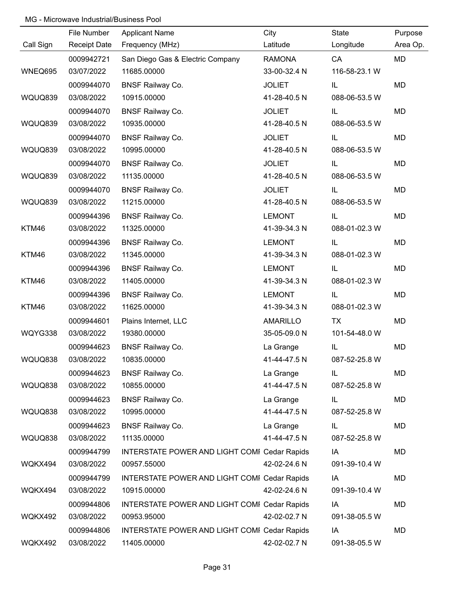|           | File Number         | <b>Applicant Name</b>                        | City            | State         | Purpose  |
|-----------|---------------------|----------------------------------------------|-----------------|---------------|----------|
| Call Sign | <b>Receipt Date</b> | Frequency (MHz)                              | Latitude        | Longitude     | Area Op. |
|           | 0009942721          | San Diego Gas & Electric Company             | <b>RAMONA</b>   | CA            | MD       |
| WNEQ695   | 03/07/2022          | 11685.00000                                  | 33-00-32.4 N    | 116-58-23.1 W |          |
|           | 0009944070          | <b>BNSF Railway Co.</b>                      | <b>JOLIET</b>   | IL            | MD       |
| WQUQ839   | 03/08/2022          | 10915.00000                                  | 41-28-40.5 N    | 088-06-53.5 W |          |
|           | 0009944070          | <b>BNSF Railway Co.</b>                      | <b>JOLIET</b>   | IL            | MD       |
| WQUQ839   | 03/08/2022          | 10935.00000                                  | 41-28-40.5 N    | 088-06-53.5 W |          |
|           | 0009944070          | <b>BNSF Railway Co.</b>                      | <b>JOLIET</b>   | IL            | MD       |
| WQUQ839   | 03/08/2022          | 10995.00000                                  | 41-28-40.5 N    | 088-06-53.5 W |          |
|           | 0009944070          | <b>BNSF Railway Co.</b>                      | <b>JOLIET</b>   | IL            | MD       |
| WQUQ839   | 03/08/2022          | 11135.00000                                  | 41-28-40.5 N    | 088-06-53.5 W |          |
|           | 0009944070          | <b>BNSF Railway Co.</b>                      | <b>JOLIET</b>   | IL            | MD       |
| WQUQ839   | 03/08/2022          | 11215.00000                                  | 41-28-40.5 N    | 088-06-53.5 W |          |
|           | 0009944396          | <b>BNSF Railway Co.</b>                      | <b>LEMONT</b>   | IL            | MD       |
| KTM46     | 03/08/2022          | 11325.00000                                  | 41-39-34.3 N    | 088-01-02.3 W |          |
|           | 0009944396          | <b>BNSF Railway Co.</b>                      | <b>LEMONT</b>   | IL            | MD       |
| KTM46     | 03/08/2022          | 11345.00000                                  | 41-39-34.3 N    | 088-01-02.3 W |          |
|           | 0009944396          | <b>BNSF Railway Co.</b>                      | <b>LEMONT</b>   | IL            | MD       |
| KTM46     | 03/08/2022          | 11405.00000                                  | 41-39-34.3 N    | 088-01-02.3 W |          |
|           | 0009944396          | <b>BNSF Railway Co.</b>                      | <b>LEMONT</b>   | IL            | MD       |
| KTM46     | 03/08/2022          | 11625.00000                                  | 41-39-34.3 N    | 088-01-02.3 W |          |
|           | 0009944601          | Plains Internet, LLC                         | <b>AMARILLO</b> | <b>TX</b>     | MD       |
| WQYG338   | 03/08/2022          | 19380.00000                                  | 35-05-09.0 N    | 101-54-48.0 W |          |
|           | 0009944623          | <b>BNSF Railway Co.</b>                      | La Grange       | IL            | MD       |
| WQUQ838   | 03/08/2022          | 10835.00000                                  | 41-44-47.5 N    | 087-52-25.8 W |          |
|           | 0009944623          | <b>BNSF Railway Co.</b>                      | La Grange       | IL.           | MD       |
| WQUQ838   | 03/08/2022          | 10855.00000                                  | 41-44-47.5 N    | 087-52-25.8 W |          |
|           | 0009944623          | <b>BNSF Railway Co.</b>                      | La Grange       | IL            | MD       |
| WQUQ838   | 03/08/2022          | 10995.00000                                  | 41-44-47.5 N    | 087-52-25.8 W |          |
|           | 0009944623          | <b>BNSF Railway Co.</b>                      | La Grange       | IL            | MD       |
| WQUQ838   | 03/08/2022          | 11135.00000                                  | 41-44-47.5 N    | 087-52-25.8 W |          |
|           | 0009944799          | INTERSTATE POWER AND LIGHT COMI Cedar Rapids |                 | IA            | MD       |
| WQKX494   | 03/08/2022          | 00957.55000                                  | 42-02-24.6 N    | 091-39-10.4 W |          |
|           | 0009944799          | INTERSTATE POWER AND LIGHT COMI Cedar Rapids |                 | IA            | MD       |
| WQKX494   | 03/08/2022          | 10915.00000                                  | 42-02-24.6 N    | 091-39-10.4 W |          |
|           | 0009944806          | INTERSTATE POWER AND LIGHT COMI Cedar Rapids |                 | IA            | MD       |
| WQKX492   | 03/08/2022          | 00953.95000                                  | 42-02-02.7 N    | 091-38-05.5 W |          |
|           | 0009944806          | INTERSTATE POWER AND LIGHT COMI Cedar Rapids |                 | IA            | MD       |
| WQKX492   | 03/08/2022          | 11405.00000                                  | 42-02-02.7 N    | 091-38-05.5 W |          |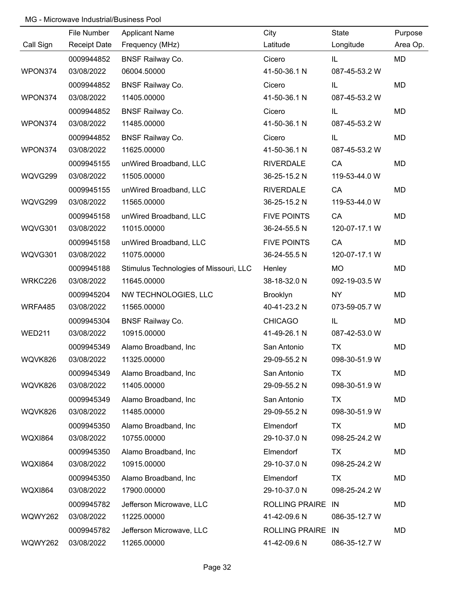|                | File Number         | <b>Applicant Name</b>                  | City               | State         | Purpose  |
|----------------|---------------------|----------------------------------------|--------------------|---------------|----------|
| Call Sign      | <b>Receipt Date</b> | Frequency (MHz)                        | Latitude           | Longitude     | Area Op. |
|                | 0009944852          | <b>BNSF Railway Co.</b>                | Cicero             | IL            | MD       |
| WPON374        | 03/08/2022          | 06004.50000                            | 41-50-36.1 N       | 087-45-53.2 W |          |
|                | 0009944852          | <b>BNSF Railway Co.</b>                | Cicero             | IL            | MD       |
| WPON374        | 03/08/2022          | 11405.00000                            | 41-50-36.1 N       | 087-45-53.2 W |          |
|                | 0009944852          | <b>BNSF Railway Co.</b>                | Cicero             | IL            | MD       |
| WPON374        | 03/08/2022          | 11485.00000                            | 41-50-36.1 N       | 087-45-53.2 W |          |
|                | 0009944852          | <b>BNSF Railway Co.</b>                | Cicero             | IL            | MD       |
| WPON374        | 03/08/2022          | 11625.00000                            | 41-50-36.1 N       | 087-45-53.2 W |          |
|                | 0009945155          | unWired Broadband, LLC                 | <b>RIVERDALE</b>   | CA            | MD       |
| WQVG299        | 03/08/2022          | 11505.00000                            | 36-25-15.2 N       | 119-53-44.0 W |          |
|                | 0009945155          | unWired Broadband, LLC                 | <b>RIVERDALE</b>   | CA            | MD       |
| WQVG299        | 03/08/2022          | 11565.00000                            | 36-25-15.2 N       | 119-53-44.0 W |          |
|                | 0009945158          | unWired Broadband, LLC                 | <b>FIVE POINTS</b> | CA            | MD       |
| WQVG301        | 03/08/2022          | 11015.00000                            | 36-24-55.5 N       | 120-07-17.1 W |          |
|                | 0009945158          | unWired Broadband, LLC                 | <b>FIVE POINTS</b> | CA            | MD       |
| WQVG301        | 03/08/2022          | 11075.00000                            | 36-24-55.5 N       | 120-07-17.1 W |          |
|                | 0009945188          | Stimulus Technologies of Missouri, LLC | Henley             | MO            | MD       |
| WRKC226        | 03/08/2022          | 11645.00000                            | 38-18-32.0 N       | 092-19-03.5 W |          |
|                | 0009945204          | NW TECHNOLOGIES, LLC                   | Brooklyn           | <b>NY</b>     | MD       |
| WRFA485        | 03/08/2022          | 11565.00000                            | 40-41-23.2 N       | 073-59-05.7 W |          |
|                | 0009945304          | <b>BNSF Railway Co.</b>                | <b>CHICAGO</b>     | IL            | MD       |
| <b>WED211</b>  | 03/08/2022          | 10915.00000                            | 41-49-26.1 N       | 087-42-53.0 W |          |
|                | 0009945349          | Alamo Broadband, Inc                   | San Antonio        | <b>TX</b>     | MD       |
| WQVK826        | 03/08/2022          | 11325.00000                            | 29-09-55.2 N       | 098-30-51.9 W |          |
|                | 0009945349          | Alamo Broadband, Inc                   | San Antonio        | TX            | MD       |
| WQVK826        | 03/08/2022          | 11405.00000                            | 29-09-55.2 N       | 098-30-51.9 W |          |
|                | 0009945349          | Alamo Broadband, Inc                   | San Antonio        | TX            | MD       |
| WQVK826        | 03/08/2022          | 11485.00000                            | 29-09-55.2 N       | 098-30-51.9 W |          |
|                | 0009945350          | Alamo Broadband, Inc                   | Elmendorf          | TX            | MD       |
| <b>WQXI864</b> | 03/08/2022          | 10755.00000                            | 29-10-37.0 N       | 098-25-24.2 W |          |
|                | 0009945350          | Alamo Broadband, Inc                   | Elmendorf          | TX            | MD       |
| <b>WQXI864</b> | 03/08/2022          | 10915.00000                            | 29-10-37.0 N       | 098-25-24.2 W |          |
|                | 0009945350          | Alamo Broadband, Inc                   | Elmendorf          | TX            | MD       |
| <b>WQXI864</b> | 03/08/2022          | 17900.00000                            | 29-10-37.0 N       | 098-25-24.2 W |          |
|                | 0009945782          | Jefferson Microwave, LLC               | ROLLING PRAIRE IN  |               | MD       |
| <b>WQWY262</b> | 03/08/2022          | 11225.00000                            | 41-42-09.6 N       | 086-35-12.7 W |          |
|                | 0009945782          | Jefferson Microwave, LLC               | ROLLING PRAIRE IN  |               | MD       |
| <b>WQWY262</b> | 03/08/2022          | 11265.00000                            | 41-42-09.6 N       | 086-35-12.7 W |          |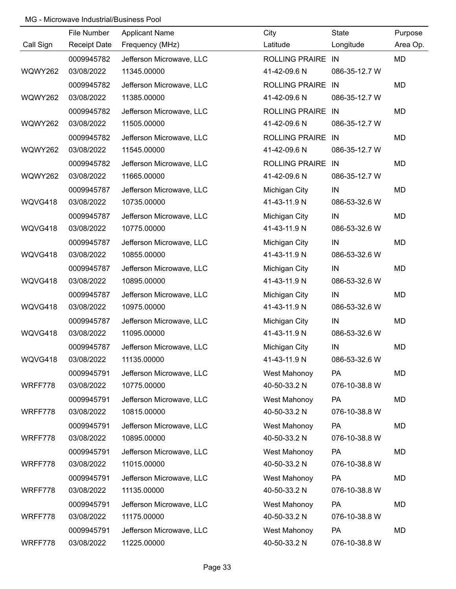|           | File Number         | <b>Applicant Name</b>    | City              | State         | Purpose  |
|-----------|---------------------|--------------------------|-------------------|---------------|----------|
| Call Sign | <b>Receipt Date</b> | Frequency (MHz)          | Latitude          | Longitude     | Area Op. |
|           | 0009945782          | Jefferson Microwave, LLC | ROLLING PRAIRE IN |               | MD       |
| WQWY262   | 03/08/2022          | 11345.00000              | 41-42-09.6 N      | 086-35-12.7 W |          |
|           | 0009945782          | Jefferson Microwave, LLC | ROLLING PRAIRE IN |               | MD       |
| WQWY262   | 03/08/2022          | 11385.00000              | 41-42-09.6 N      | 086-35-12.7 W |          |
|           | 0009945782          | Jefferson Microwave, LLC | ROLLING PRAIRE IN |               | MD       |
| WQWY262   | 03/08/2022          | 11505.00000              | 41-42-09.6 N      | 086-35-12.7 W |          |
|           | 0009945782          | Jefferson Microwave, LLC | ROLLING PRAIRE IN |               | MD       |
| WQWY262   | 03/08/2022          | 11545.00000              | 41-42-09.6 N      | 086-35-12.7 W |          |
|           | 0009945782          | Jefferson Microwave, LLC | ROLLING PRAIRE IN |               | MD       |
| WQWY262   | 03/08/2022          | 11665.00000              | 41-42-09.6 N      | 086-35-12.7 W |          |
|           | 0009945787          | Jefferson Microwave, LLC | Michigan City     | IN            | MD       |
| WQVG418   | 03/08/2022          | 10735.00000              | 41-43-11.9 N      | 086-53-32.6 W |          |
|           | 0009945787          | Jefferson Microwave, LLC | Michigan City     | IN            | MD       |
| WQVG418   | 03/08/2022          | 10775.00000              | 41-43-11.9 N      | 086-53-32.6 W |          |
|           | 0009945787          | Jefferson Microwave, LLC | Michigan City     | IN            | MD       |
| WQVG418   | 03/08/2022          | 10855.00000              | 41-43-11.9 N      | 086-53-32.6 W |          |
|           | 0009945787          | Jefferson Microwave, LLC | Michigan City     | IN            | MD       |
| WQVG418   | 03/08/2022          | 10895.00000              | 41-43-11.9 N      | 086-53-32.6 W |          |
|           | 0009945787          | Jefferson Microwave, LLC | Michigan City     | IN            | MD       |
| WQVG418   | 03/08/2022          | 10975.00000              | 41-43-11.9 N      | 086-53-32.6 W |          |
|           | 0009945787          | Jefferson Microwave, LLC | Michigan City     | IN            | MD       |
| WQVG418   | 03/08/2022          | 11095.00000              | 41-43-11.9 N      | 086-53-32.6 W |          |
|           | 0009945787          | Jefferson Microwave, LLC | Michigan City     | IN            | MD       |
| WQVG418   | 03/08/2022          | 11135.00000              | 41-43-11.9 N      | 086-53-32.6 W |          |
|           | 0009945791          | Jefferson Microwave, LLC | West Mahonoy      | PA            | MD       |
| WRFF778   | 03/08/2022          | 10775.00000              | 40-50-33.2 N      | 076-10-38.8 W |          |
|           | 0009945791          | Jefferson Microwave, LLC | West Mahonoy      | PA            | MD       |
| WRFF778   | 03/08/2022          | 10815.00000              | 40-50-33.2 N      | 076-10-38.8 W |          |
|           | 0009945791          | Jefferson Microwave, LLC | West Mahonoy      | PA            | MD       |
| WRFF778   | 03/08/2022          | 10895.00000              | 40-50-33.2 N      | 076-10-38.8 W |          |
|           | 0009945791          | Jefferson Microwave, LLC | West Mahonoy      | <b>PA</b>     | MD       |
| WRFF778   | 03/08/2022          | 11015.00000              | 40-50-33.2 N      | 076-10-38.8 W |          |
|           | 0009945791          | Jefferson Microwave, LLC | West Mahonoy      | PA            | MD       |
| WRFF778   | 03/08/2022          | 11135.00000              | 40-50-33.2 N      | 076-10-38.8 W |          |
|           | 0009945791          | Jefferson Microwave, LLC | West Mahonoy      | PA            | MD       |
| WRFF778   | 03/08/2022          | 11175.00000              | 40-50-33.2 N      | 076-10-38.8 W |          |
|           | 0009945791          | Jefferson Microwave, LLC | West Mahonoy      | PA            | MD       |
| WRFF778   | 03/08/2022          | 11225.00000              | 40-50-33.2 N      | 076-10-38.8 W |          |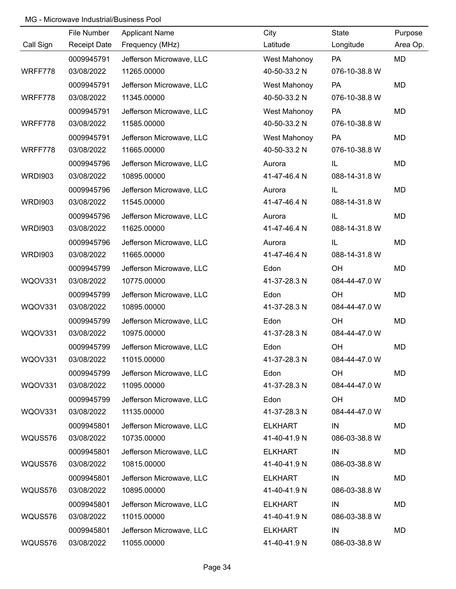|                | File Number         | <b>Applicant Name</b>    | City           | State         | Purpose  |
|----------------|---------------------|--------------------------|----------------|---------------|----------|
| Call Sign      | <b>Receipt Date</b> | Frequency (MHz)          | Latitude       | Longitude     | Area Op. |
|                | 0009945791          | Jefferson Microwave, LLC | West Mahonoy   | PA            | MD       |
| WRFF778        | 03/08/2022          | 11265.00000              | 40-50-33.2 N   | 076-10-38.8 W |          |
|                | 0009945791          | Jefferson Microwave, LLC | West Mahonoy   | PA            | MD       |
| WRFF778        | 03/08/2022          | 11345.00000              | 40-50-33.2 N   | 076-10-38.8 W |          |
|                | 0009945791          | Jefferson Microwave, LLC | West Mahonoy   | PA            | MD       |
| WRFF778        | 03/08/2022          | 11585.00000              | 40-50-33.2 N   | 076-10-38.8 W |          |
|                | 0009945791          | Jefferson Microwave, LLC | West Mahonoy   | PA            | MD       |
| WRFF778        | 03/08/2022          | 11665.00000              | 40-50-33.2 N   | 076-10-38.8 W |          |
|                | 0009945796          | Jefferson Microwave, LLC | Aurora         | IL            | MD       |
| <b>WRDI903</b> | 03/08/2022          | 10895.00000              | 41-47-46.4 N   | 088-14-31.8 W |          |
|                | 0009945796          | Jefferson Microwave, LLC | Aurora         | IL            | MD       |
| <b>WRDI903</b> | 03/08/2022          | 11545.00000              | 41-47-46.4 N   | 088-14-31.8 W |          |
|                | 0009945796          | Jefferson Microwave, LLC | Aurora         | IL            | MD       |
| <b>WRDI903</b> | 03/08/2022          | 11625.00000              | 41-47-46.4 N   | 088-14-31.8 W |          |
|                | 0009945796          | Jefferson Microwave, LLC | Aurora         | IL            | MD       |
| <b>WRDI903</b> | 03/08/2022          | 11665.00000              | 41-47-46.4 N   | 088-14-31.8 W |          |
|                | 0009945799          | Jefferson Microwave, LLC | Edon           | OH            | MD       |
| WQOV331        | 03/08/2022          | 10775.00000              | 41-37-28.3 N   | 084-44-47.0 W |          |
|                | 0009945799          | Jefferson Microwave, LLC | Edon           | OH            | MD       |
| WQOV331        | 03/08/2022          | 10895.00000              | 41-37-28.3 N   | 084-44-47.0 W |          |
|                | 0009945799          | Jefferson Microwave, LLC | Edon           | OH            | MD       |
| WQOV331        | 03/08/2022          | 10975.00000              | 41-37-28.3 N   | 084-44-47.0 W |          |
|                | 0009945799          | Jefferson Microwave, LLC | Edon           | OH            | MD       |
| WQOV331        | 03/08/2022          | 11015.00000              | 41-37-28.3 N   | 084-44-47.0 W |          |
|                | 0009945799          | Jefferson Microwave, LLC | Edon           | OH            | MD       |
| WQOV331        | 03/08/2022          | 11095.00000              | 41-37-28.3 N   | 084-44-47.0 W |          |
|                | 0009945799          | Jefferson Microwave, LLC | Edon           | OH            | MD       |
| WQOV331        | 03/08/2022          | 11135.00000              | 41-37-28.3 N   | 084-44-47.0 W |          |
|                | 0009945801          | Jefferson Microwave, LLC | <b>ELKHART</b> | IN            | MD       |
| WQUS576        | 03/08/2022          | 10735.00000              | 41-40-41.9 N   | 086-03-38.8 W |          |
|                | 0009945801          | Jefferson Microwave, LLC | <b>ELKHART</b> | IN            | MD       |
| WQUS576        | 03/08/2022          | 10815.00000              | 41-40-41.9 N   | 086-03-38.8 W |          |
|                | 0009945801          | Jefferson Microwave, LLC | <b>ELKHART</b> | IN            | MD       |
| WQUS576        | 03/08/2022          | 10895.00000              | 41-40-41.9 N   | 086-03-38.8 W |          |
|                | 0009945801          | Jefferson Microwave, LLC | <b>ELKHART</b> | IN            | MD       |
| WQUS576        | 03/08/2022          | 11015.00000              | 41-40-41.9 N   | 086-03-38.8 W |          |
|                | 0009945801          | Jefferson Microwave, LLC | <b>ELKHART</b> | IN            | MD       |
| WQUS576        | 03/08/2022          | 11055.00000              | 41-40-41.9 N   | 086-03-38.8 W |          |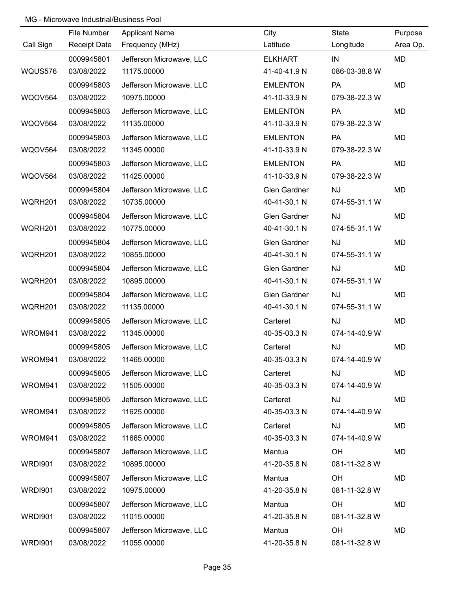|                | File Number         | <b>Applicant Name</b>    | City                | State         | Purpose   |
|----------------|---------------------|--------------------------|---------------------|---------------|-----------|
| Call Sign      | <b>Receipt Date</b> | Frequency (MHz)          | Latitude            | Longitude     | Area Op.  |
|                | 0009945801          | Jefferson Microwave, LLC | <b>ELKHART</b>      | IN            | <b>MD</b> |
| WQUS576        | 03/08/2022          | 11175.00000              | 41-40-41.9 N        | 086-03-38.8 W |           |
|                | 0009945803          | Jefferson Microwave, LLC | <b>EMLENTON</b>     | PA            | MD        |
| WQOV564        | 03/08/2022          | 10975.00000              | 41-10-33.9 N        | 079-38-22.3 W |           |
|                | 0009945803          | Jefferson Microwave, LLC | <b>EMLENTON</b>     | PA            | MD        |
| <b>WQOV564</b> | 03/08/2022          | 11135.00000              | 41-10-33.9 N        | 079-38-22.3 W |           |
|                | 0009945803          | Jefferson Microwave, LLC | <b>EMLENTON</b>     | PA            | MD        |
| <b>WQOV564</b> | 03/08/2022          | 11345.00000              | 41-10-33.9 N        | 079-38-22.3 W |           |
|                | 0009945803          | Jefferson Microwave, LLC | <b>EMLENTON</b>     | PA            | MD        |
| <b>WQOV564</b> | 03/08/2022          | 11425.00000              | 41-10-33.9 N        | 079-38-22.3 W |           |
|                | 0009945804          | Jefferson Microwave, LLC | <b>Glen Gardner</b> | <b>NJ</b>     | MD        |
| WQRH201        | 03/08/2022          | 10735.00000              | 40-41-30.1 N        | 074-55-31.1 W |           |
|                | 0009945804          | Jefferson Microwave, LLC | <b>Glen Gardner</b> | <b>NJ</b>     | MD        |
| WQRH201        | 03/08/2022          | 10775.00000              | 40-41-30.1 N        | 074-55-31.1 W |           |
|                | 0009945804          | Jefferson Microwave, LLC | <b>Glen Gardner</b> | <b>NJ</b>     | MD        |
| WQRH201        | 03/08/2022          | 10855.00000              | 40-41-30.1 N        | 074-55-31.1 W |           |
|                | 0009945804          | Jefferson Microwave, LLC | <b>Glen Gardner</b> | <b>NJ</b>     | MD        |
| WQRH201        | 03/08/2022          | 10895.00000              | 40-41-30.1 N        | 074-55-31.1 W |           |
|                | 0009945804          | Jefferson Microwave, LLC | Glen Gardner        | <b>NJ</b>     | MD        |
| WQRH201        | 03/08/2022          | 11135.00000              | 40-41-30.1 N        | 074-55-31.1 W |           |
|                | 0009945805          | Jefferson Microwave, LLC | Carteret            | <b>NJ</b>     | MD        |
| WROM941        | 03/08/2022          | 11345.00000              | 40-35-03.3 N        | 074-14-40.9 W |           |
|                | 0009945805          | Jefferson Microwave, LLC | Carteret            | <b>NJ</b>     | MD        |
| WROM941        | 03/08/2022          | 11465.00000              | 40-35-03.3 N        | 074-14-40.9 W |           |
|                | 0009945805          | Jefferson Microwave, LLC | Carteret            | <b>NJ</b>     | MD        |
| WROM941        | 03/08/2022          | 11505.00000              | 40-35-03.3 N        | 074-14-40.9 W |           |
|                | 0009945805          | Jefferson Microwave, LLC | Carteret            | <b>NJ</b>     | MD        |
| WROM941        | 03/08/2022          | 11625.00000              | 40-35-03.3 N        | 074-14-40.9 W |           |
|                | 0009945805          | Jefferson Microwave, LLC | Carteret            | <b>NJ</b>     | MD        |
| WROM941        | 03/08/2022          | 11665.00000              | 40-35-03.3 N        | 074-14-40.9 W |           |
|                | 0009945807          | Jefferson Microwave, LLC | Mantua              | OH            | MD        |
| <b>WRDI901</b> | 03/08/2022          | 10895.00000              | 41-20-35.8 N        | 081-11-32.8 W |           |
|                | 0009945807          | Jefferson Microwave, LLC | Mantua              | OH            | MD        |
| <b>WRDI901</b> | 03/08/2022          | 10975.00000              | 41-20-35.8 N        | 081-11-32.8 W |           |
|                | 0009945807          | Jefferson Microwave, LLC | Mantua              | OH            | MD        |
| <b>WRDI901</b> | 03/08/2022          | 11015.00000              | 41-20-35.8 N        | 081-11-32.8 W |           |
|                | 0009945807          | Jefferson Microwave, LLC | Mantua              | OH            | MD        |
| <b>WRDI901</b> | 03/08/2022          | 11055.00000              | 41-20-35.8 N        | 081-11-32.8 W |           |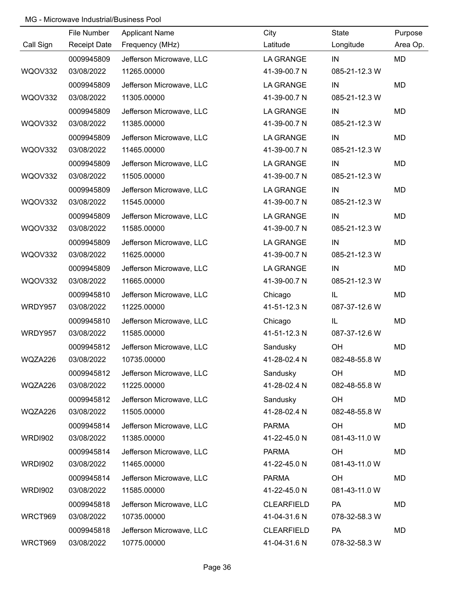|                | File Number         | <b>Applicant Name</b>    | City              | State         | Purpose   |
|----------------|---------------------|--------------------------|-------------------|---------------|-----------|
| Call Sign      | <b>Receipt Date</b> | Frequency (MHz)          | Latitude          | Longitude     | Area Op.  |
|                | 0009945809          | Jefferson Microwave, LLC | <b>LA GRANGE</b>  | IN            | <b>MD</b> |
| WQOV332        | 03/08/2022          | 11265.00000              | 41-39-00.7 N      | 085-21-12.3 W |           |
|                | 0009945809          | Jefferson Microwave, LLC | LA GRANGE         | IN            | MD        |
| WQOV332        | 03/08/2022          | 11305.00000              | 41-39-00.7 N      | 085-21-12.3 W |           |
|                | 0009945809          | Jefferson Microwave, LLC | <b>LA GRANGE</b>  | IN            | MD        |
| WQOV332        | 03/08/2022          | 11385.00000              | 41-39-00.7 N      | 085-21-12.3 W |           |
|                | 0009945809          | Jefferson Microwave, LLC | LA GRANGE         | IN            | MD        |
| WQOV332        | 03/08/2022          | 11465.00000              | 41-39-00.7 N      | 085-21-12.3 W |           |
|                | 0009945809          | Jefferson Microwave, LLC | <b>LA GRANGE</b>  | IN            | MD        |
| <b>WQOV332</b> | 03/08/2022          | 11505.00000              | 41-39-00.7 N      | 085-21-12.3 W |           |
|                | 0009945809          | Jefferson Microwave, LLC | <b>LA GRANGE</b>  | IN            | MD        |
| WQOV332        | 03/08/2022          | 11545.00000              | 41-39-00.7 N      | 085-21-12.3 W |           |
|                | 0009945809          | Jefferson Microwave, LLC | <b>LA GRANGE</b>  | IN            | MD        |
| WQOV332        | 03/08/2022          | 11585.00000              | 41-39-00.7 N      | 085-21-12.3 W |           |
|                | 0009945809          | Jefferson Microwave, LLC | <b>LA GRANGE</b>  | IN            | MD        |
| WQOV332        | 03/08/2022          | 11625.00000              | 41-39-00.7 N      | 085-21-12.3 W |           |
|                | 0009945809          | Jefferson Microwave, LLC | <b>LA GRANGE</b>  | IN            | MD        |
| WQOV332        | 03/08/2022          | 11665.00000              | 41-39-00.7 N      | 085-21-12.3 W |           |
|                | 0009945810          | Jefferson Microwave, LLC | Chicago           | IL            | MD        |
| WRDY957        | 03/08/2022          | 11225.00000              | 41-51-12.3 N      | 087-37-12.6 W |           |
|                | 0009945810          | Jefferson Microwave, LLC | Chicago           | IL            | MD        |
| WRDY957        | 03/08/2022          | 11585.00000              | 41-51-12.3 N      | 087-37-12.6 W |           |
|                | 0009945812          | Jefferson Microwave, LLC | Sandusky          | OH            | MD        |
| WQZA226        | 03/08/2022          | 10735.00000              | 41-28-02.4 N      | 082-48-55.8 W |           |
|                | 0009945812          | Jefferson Microwave, LLC | Sandusky          | OH            | MD        |
| WQZA226        | 03/08/2022          | 11225.00000              | 41-28-02.4 N      | 082-48-55.8 W |           |
|                | 0009945812          | Jefferson Microwave, LLC | Sandusky          | OH            | MD        |
| WQZA226        | 03/08/2022          | 11505.00000              | 41-28-02.4 N      | 082-48-55.8 W |           |
|                | 0009945814          | Jefferson Microwave, LLC | <b>PARMA</b>      | OH            | MD        |
| <b>WRDI902</b> | 03/08/2022          | 11385.00000              | 41-22-45.0 N      | 081-43-11.0 W |           |
|                | 0009945814          | Jefferson Microwave, LLC | <b>PARMA</b>      | OH            | MD        |
| <b>WRDI902</b> | 03/08/2022          | 11465.00000              | 41-22-45.0 N      | 081-43-11.0 W |           |
|                | 0009945814          | Jefferson Microwave, LLC | <b>PARMA</b>      | OH            | MD        |
| <b>WRDI902</b> | 03/08/2022          | 11585.00000              | 41-22-45.0 N      | 081-43-11.0 W |           |
|                | 0009945818          | Jefferson Microwave, LLC | <b>CLEARFIELD</b> | PA            | MD        |
| WRCT969        | 03/08/2022          | 10735.00000              | 41-04-31.6 N      | 078-32-58.3 W |           |
|                | 0009945818          | Jefferson Microwave, LLC | <b>CLEARFIELD</b> | PA            | MD        |
| WRCT969        | 03/08/2022          | 10775.00000              | 41-04-31.6 N      | 078-32-58.3 W |           |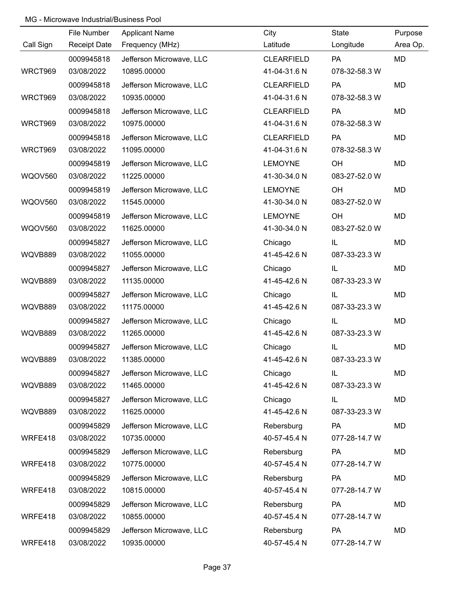|                | File Number         | <b>Applicant Name</b>    | City              | State         | Purpose   |
|----------------|---------------------|--------------------------|-------------------|---------------|-----------|
| Call Sign      | <b>Receipt Date</b> | Frequency (MHz)          | Latitude          | Longitude     | Area Op.  |
|                | 0009945818          | Jefferson Microwave, LLC | <b>CLEARFIELD</b> | <b>PA</b>     | <b>MD</b> |
| WRCT969        | 03/08/2022          | 10895.00000              | 41-04-31.6 N      | 078-32-58.3 W |           |
|                | 0009945818          | Jefferson Microwave, LLC | <b>CLEARFIELD</b> | <b>PA</b>     | <b>MD</b> |
| WRCT969        | 03/08/2022          | 10935.00000              | 41-04-31.6 N      | 078-32-58.3 W |           |
|                | 0009945818          | Jefferson Microwave, LLC | <b>CLEARFIELD</b> | PA            | <b>MD</b> |
| WRCT969        | 03/08/2022          | 10975.00000              | 41-04-31.6 N      | 078-32-58.3 W |           |
|                | 0009945818          | Jefferson Microwave, LLC | <b>CLEARFIELD</b> | PA            | <b>MD</b> |
| WRCT969        | 03/08/2022          | 11095.00000              | 41-04-31.6 N      | 078-32-58.3 W |           |
|                | 0009945819          | Jefferson Microwave, LLC | <b>LEMOYNE</b>    | OH            | <b>MD</b> |
| <b>WQOV560</b> | 03/08/2022          | 11225.00000              | 41-30-34.0 N      | 083-27-52.0 W |           |
|                | 0009945819          | Jefferson Microwave, LLC | <b>LEMOYNE</b>    | OH            | <b>MD</b> |
| <b>WQOV560</b> | 03/08/2022          | 11545.00000              | 41-30-34.0 N      | 083-27-52.0 W |           |
|                | 0009945819          | Jefferson Microwave, LLC | <b>LEMOYNE</b>    | OH            | <b>MD</b> |
| <b>WQOV560</b> | 03/08/2022          | 11625.00000              | 41-30-34.0 N      | 083-27-52.0 W |           |
|                | 0009945827          | Jefferson Microwave, LLC | Chicago           | IL            | <b>MD</b> |
| WQVB889        | 03/08/2022          | 11055.00000              | 41-45-42.6 N      | 087-33-23.3 W |           |
|                | 0009945827          | Jefferson Microwave, LLC | Chicago           | IL            | <b>MD</b> |
| WQVB889        | 03/08/2022          | 11135.00000              | 41-45-42.6 N      | 087-33-23.3 W |           |
|                | 0009945827          | Jefferson Microwave, LLC | Chicago           | IL            | <b>MD</b> |
| WQVB889        | 03/08/2022          | 11175.00000              | 41-45-42.6 N      | 087-33-23.3 W |           |
|                | 0009945827          | Jefferson Microwave, LLC | Chicago           | IL            | <b>MD</b> |
| WQVB889        | 03/08/2022          | 11265.00000              | 41-45-42.6 N      | 087-33-23.3 W |           |
|                | 0009945827          | Jefferson Microwave, LLC | Chicago           | IL            | <b>MD</b> |
| WQVB889        | 03/08/2022          | 11385.00000              | 41-45-42.6 N      | 087-33-23.3 W |           |
|                | 0009945827          | Jefferson Microwave, LLC | Chicago           | IL            | <b>MD</b> |
| WQVB889        | 03/08/2022          | 11465.00000              | 41-45-42.6 N      | 087-33-23.3 W |           |
|                | 0009945827          | Jefferson Microwave, LLC | Chicago           | IL            | <b>MD</b> |
| WQVB889        | 03/08/2022          | 11625.00000              | 41-45-42.6 N      | 087-33-23.3 W |           |
|                | 0009945829          | Jefferson Microwave, LLC | Rebersburg        | PA            | <b>MD</b> |
| WRFE418        | 03/08/2022          | 10735.00000              | 40-57-45.4 N      | 077-28-14.7 W |           |
|                | 0009945829          | Jefferson Microwave, LLC | Rebersburg        | PA            | <b>MD</b> |
| WRFE418        | 03/08/2022          | 10775.00000              | 40-57-45.4 N      | 077-28-14.7 W |           |
|                | 0009945829          | Jefferson Microwave, LLC | Rebersburg        | <b>PA</b>     | <b>MD</b> |
| WRFE418        | 03/08/2022          | 10815.00000              | 40-57-45.4 N      | 077-28-14.7 W |           |
|                | 0009945829          | Jefferson Microwave, LLC | Rebersburg        | PA            | <b>MD</b> |
| WRFE418        | 03/08/2022          | 10855.00000              | 40-57-45.4 N      | 077-28-14.7 W |           |
|                | 0009945829          | Jefferson Microwave, LLC | Rebersburg        | PA            | MD        |
| WRFE418        | 03/08/2022          | 10935.00000              | 40-57-45.4 N      | 077-28-14.7 W |           |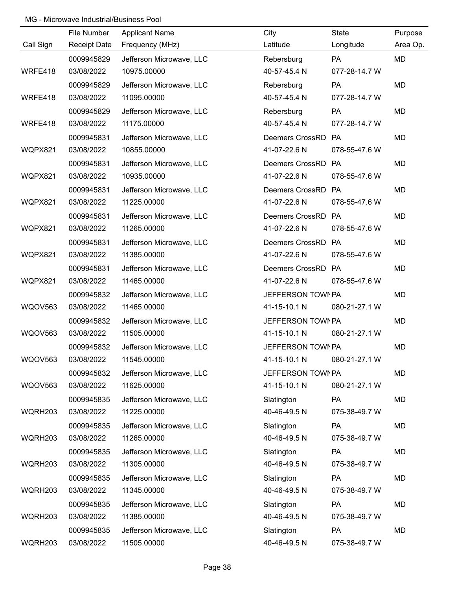|                | File Number         | <b>Applicant Name</b>    | City               | State         | Purpose   |
|----------------|---------------------|--------------------------|--------------------|---------------|-----------|
| Call Sign      | <b>Receipt Date</b> | Frequency (MHz)          | Latitude           | Longitude     | Area Op.  |
|                | 0009945829          | Jefferson Microwave, LLC | Rebersburg         | PA            | MD        |
| WRFE418        | 03/08/2022          | 10975.00000              | 40-57-45.4 N       | 077-28-14.7 W |           |
|                | 0009945829          | Jefferson Microwave, LLC | Rebersburg         | PA            | <b>MD</b> |
| WRFE418        | 03/08/2022          | 11095.00000              | 40-57-45.4 N       | 077-28-14.7 W |           |
|                | 0009945829          | Jefferson Microwave, LLC | Rebersburg         | PA            | <b>MD</b> |
| WRFE418        | 03/08/2022          | 11175.00000              | 40-57-45.4 N       | 077-28-14.7 W |           |
|                | 0009945831          | Jefferson Microwave, LLC | Deemers CrossRD PA |               | <b>MD</b> |
| WQPX821        | 03/08/2022          | 10855.00000              | 41-07-22.6 N       | 078-55-47.6 W |           |
|                | 0009945831          | Jefferson Microwave, LLC | Deemers CrossRD PA |               | MD        |
| WQPX821        | 03/08/2022          | 10935.00000              | 41-07-22.6 N       | 078-55-47.6 W |           |
|                | 0009945831          | Jefferson Microwave, LLC | Deemers CrossRD PA |               | MD        |
| WQPX821        | 03/08/2022          | 11225.00000              | 41-07-22.6 N       | 078-55-47.6 W |           |
|                | 0009945831          | Jefferson Microwave, LLC | Deemers CrossRD PA |               | MD        |
| WQPX821        | 03/08/2022          | 11265.00000              | 41-07-22.6 N       | 078-55-47.6 W |           |
|                | 0009945831          | Jefferson Microwave, LLC | Deemers CrossRD PA |               | <b>MD</b> |
| WQPX821        | 03/08/2022          | 11385.00000              | 41-07-22.6 N       | 078-55-47.6 W |           |
|                | 0009945831          | Jefferson Microwave, LLC | Deemers CrossRD PA |               | MD        |
| WQPX821        | 03/08/2022          | 11465.00000              | 41-07-22.6 N       | 078-55-47.6 W |           |
|                | 0009945832          | Jefferson Microwave, LLC | JEFFERSON TOWN PA  |               | MD        |
| <b>WQOV563</b> | 03/08/2022          | 11465.00000              | 41-15-10.1 N       | 080-21-27.1 W |           |
|                | 0009945832          | Jefferson Microwave, LLC | JEFFERSON TOWN PA  |               | MD        |
| <b>WQOV563</b> | 03/08/2022          | 11505.00000              | 41-15-10.1 N       | 080-21-27.1 W |           |
|                | 0009945832          | Jefferson Microwave, LLC | JEFFERSON TOWN PA  |               | MD        |
| WQOV563        | 03/08/2022          | 11545.00000              | 41-15-10.1 N       | 080-21-27.1 W |           |
|                | 0009945832          | Jefferson Microwave, LLC | JEFFERSON TOWN PA  |               | MD        |
| <b>WQOV563</b> | 03/08/2022          | 11625.00000              | 41-15-10.1 N       | 080-21-27.1 W |           |
|                | 0009945835          | Jefferson Microwave, LLC | Slatington         | PA            | MD        |
| WQRH203        | 03/08/2022          | 11225.00000              | 40-46-49.5 N       | 075-38-49.7 W |           |
|                | 0009945835          | Jefferson Microwave, LLC | Slatington         | PA            | <b>MD</b> |
| WQRH203        | 03/08/2022          | 11265.00000              | 40-46-49.5 N       | 075-38-49.7 W |           |
|                | 0009945835          | Jefferson Microwave, LLC | Slatington         | PA            | MD        |
| WQRH203        | 03/08/2022          | 11305.00000              | 40-46-49.5 N       | 075-38-49.7 W |           |
|                | 0009945835          | Jefferson Microwave, LLC | Slatington         | PA            | MD        |
| WQRH203        | 03/08/2022          | 11345.00000              | 40-46-49.5 N       | 075-38-49.7 W |           |
|                | 0009945835          | Jefferson Microwave, LLC | Slatington         | PA            | MD        |
| WQRH203        | 03/08/2022          | 11385.00000              | 40-46-49.5 N       | 075-38-49.7 W |           |
|                | 0009945835          | Jefferson Microwave, LLC | Slatington         | PA            | MD        |
| WQRH203        | 03/08/2022          | 11505.00000              | 40-46-49.5 N       | 075-38-49.7 W |           |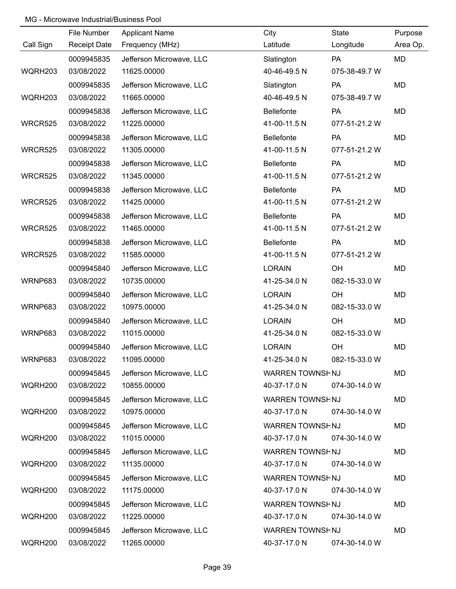|                | File Number  | <b>Applicant Name</b>    | City                   | State         | Purpose   |
|----------------|--------------|--------------------------|------------------------|---------------|-----------|
| Call Sign      | Receipt Date | Frequency (MHz)          | Latitude               | Longitude     | Area Op.  |
|                | 0009945835   | Jefferson Microwave, LLC | Slatington             | PA            | MD        |
| WQRH203        | 03/08/2022   | 11625.00000              | 40-46-49.5 N           | 075-38-49.7 W |           |
|                | 0009945835   | Jefferson Microwave, LLC | Slatington             | PA            | <b>MD</b> |
| WQRH203        | 03/08/2022   | 11665.00000              | 40-46-49.5 N           | 075-38-49.7 W |           |
|                | 0009945838   | Jefferson Microwave, LLC | <b>Bellefonte</b>      | PA            | <b>MD</b> |
| <b>WRCR525</b> | 03/08/2022   | 11225.00000              | 41-00-11.5 N           | 077-51-21.2 W |           |
|                | 0009945838   | Jefferson Microwave, LLC | <b>Bellefonte</b>      | <b>PA</b>     | MD        |
| <b>WRCR525</b> | 03/08/2022   | 11305.00000              | 41-00-11.5 N           | 077-51-21.2 W |           |
|                | 0009945838   | Jefferson Microwave, LLC | <b>Bellefonte</b>      | PA            | MD        |
| <b>WRCR525</b> | 03/08/2022   | 11345.00000              | 41-00-11.5 N           | 077-51-21.2 W |           |
|                | 0009945838   | Jefferson Microwave, LLC | <b>Bellefonte</b>      | PA            | MD        |
| <b>WRCR525</b> | 03/08/2022   | 11425.00000              | 41-00-11.5 N           | 077-51-21.2 W |           |
|                | 0009945838   | Jefferson Microwave, LLC | <b>Bellefonte</b>      | PA            | MD        |
| <b>WRCR525</b> | 03/08/2022   | 11465.00000              | 41-00-11.5 N           | 077-51-21.2 W |           |
|                | 0009945838   | Jefferson Microwave, LLC | <b>Bellefonte</b>      | PA            | MD        |
| <b>WRCR525</b> | 03/08/2022   | 11585.00000              | 41-00-11.5 N           | 077-51-21.2 W |           |
|                | 0009945840   | Jefferson Microwave, LLC | <b>LORAIN</b>          | OH            | MD        |
| WRNP683        | 03/08/2022   | 10735.00000              | 41-25-34.0 N           | 082-15-33.0 W |           |
|                | 0009945840   | Jefferson Microwave, LLC | <b>LORAIN</b>          | OH            | MD        |
| WRNP683        | 03/08/2022   | 10975.00000              | 41-25-34.0 N           | 082-15-33.0 W |           |
|                | 0009945840   | Jefferson Microwave, LLC | <b>LORAIN</b>          | OH            | MD        |
| WRNP683        | 03/08/2022   | 11015.00000              | 41-25-34.0 N           | 082-15-33.0 W |           |
|                | 0009945840   | Jefferson Microwave, LLC | <b>LORAIN</b>          | OH            | MD        |
| WRNP683        | 03/08/2022   | 11095.00000              | 41-25-34.0 N           | 082-15-33.0 W |           |
|                | 0009945845   | Jefferson Microwave, LLC | WARREN TOWNSHNJ        |               | MD        |
| WQRH200        | 03/08/2022   | 10855.00000              | 40-37-17.0 N           | 074-30-14.0 W |           |
|                | 0009945845   | Jefferson Microwave, LLC | WARREN TOWNSHNJ        |               | MD        |
| WQRH200        | 03/08/2022   | 10975.00000              | 40-37-17.0 N           | 074-30-14.0 W |           |
|                | 0009945845   | Jefferson Microwave, LLC | <b>WARREN TOWNSHNJ</b> |               | MD        |
| WQRH200        | 03/08/2022   | 11015.00000              | 40-37-17.0 N           | 074-30-14.0 W |           |
|                | 0009945845   | Jefferson Microwave, LLC | WARREN TOWNSHNJ        |               | MD        |
| WQRH200        | 03/08/2022   | 11135.00000              | 40-37-17.0 N           | 074-30-14.0 W |           |
|                | 0009945845   | Jefferson Microwave, LLC | WARREN TOWNSHNJ        |               | MD        |
| WQRH200        | 03/08/2022   | 11175.00000              | 40-37-17.0 N           | 074-30-14.0 W |           |
|                | 0009945845   | Jefferson Microwave, LLC | WARREN TOWNSHNJ        |               | MD        |
| WQRH200        | 03/08/2022   | 11225.00000              | 40-37-17.0 N           | 074-30-14.0 W |           |
|                | 0009945845   | Jefferson Microwave, LLC | WARREN TOWNSHNJ        |               | MD        |
| WQRH200        | 03/08/2022   | 11265.00000              | 40-37-17.0 N           | 074-30-14.0 W |           |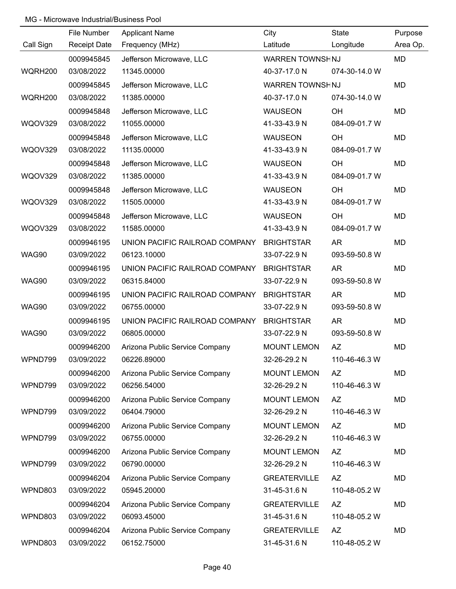|                | File Number         | <b>Applicant Name</b>          | City                | State         | Purpose   |
|----------------|---------------------|--------------------------------|---------------------|---------------|-----------|
| Call Sign      | <b>Receipt Date</b> | Frequency (MHz)                | Latitude            | Longitude     | Area Op.  |
|                | 0009945845          | Jefferson Microwave, LLC       | WARREN TOWNSHNJ     |               | <b>MD</b> |
| WQRH200        | 03/08/2022          | 11345.00000                    | 40-37-17.0 N        | 074-30-14.0 W |           |
|                | 0009945845          | Jefferson Microwave, LLC       | WARREN TOWNSHNJ     |               | <b>MD</b> |
| WQRH200        | 03/08/2022          | 11385.00000                    | 40-37-17.0 N        | 074-30-14.0 W |           |
|                | 0009945848          | Jefferson Microwave, LLC       | <b>WAUSEON</b>      | OH            | <b>MD</b> |
| WQOV329        | 03/08/2022          | 11055.00000                    | 41-33-43.9 N        | 084-09-01.7 W |           |
|                | 0009945848          | Jefferson Microwave, LLC       | <b>WAUSEON</b>      | OH            | <b>MD</b> |
| WQOV329        | 03/08/2022          | 11135.00000                    | 41-33-43.9 N        | 084-09-01.7 W |           |
|                | 0009945848          | Jefferson Microwave, LLC       | <b>WAUSEON</b>      | OH            | <b>MD</b> |
| WQOV329        | 03/08/2022          | 11385.00000                    | 41-33-43.9 N        | 084-09-01.7 W |           |
|                | 0009945848          | Jefferson Microwave, LLC       | <b>WAUSEON</b>      | OH            | <b>MD</b> |
| WQOV329        | 03/08/2022          | 11505.00000                    | 41-33-43.9 N        | 084-09-01.7 W |           |
|                | 0009945848          | Jefferson Microwave, LLC       | <b>WAUSEON</b>      | OH            | <b>MD</b> |
| <b>WQOV329</b> | 03/08/2022          | 11585.00000                    | 41-33-43.9 N        | 084-09-01.7 W |           |
|                | 0009946195          | UNION PACIFIC RAILROAD COMPANY | <b>BRIGHTSTAR</b>   | AR            | <b>MD</b> |
| WAG90          | 03/09/2022          | 06123.10000                    | 33-07-22.9 N        | 093-59-50.8 W |           |
|                | 0009946195          | UNION PACIFIC RAILROAD COMPANY | <b>BRIGHTSTAR</b>   | <b>AR</b>     | <b>MD</b> |
| WAG90          | 03/09/2022          | 06315.84000                    | 33-07-22.9 N        | 093-59-50.8 W |           |
|                | 0009946195          | UNION PACIFIC RAILROAD COMPANY | <b>BRIGHTSTAR</b>   | <b>AR</b>     | <b>MD</b> |
| WAG90          | 03/09/2022          | 06755.00000                    | 33-07-22.9 N        | 093-59-50.8 W |           |
|                | 0009946195          | UNION PACIFIC RAILROAD COMPANY | <b>BRIGHTSTAR</b>   | <b>AR</b>     | <b>MD</b> |
| WAG90          | 03/09/2022          | 06805.00000                    | 33-07-22.9 N        | 093-59-50.8 W |           |
|                | 0009946200          | Arizona Public Service Company | <b>MOUNT LEMON</b>  | AZ            | <b>MD</b> |
| WPND799        | 03/09/2022          | 06226.89000                    | 32-26-29.2 N        | 110-46-46.3 W |           |
|                | 0009946200          | Arizona Public Service Company | <b>MOUNT LEMON</b>  | <b>AZ</b>     | <b>MD</b> |
| WPND799        | 03/09/2022          | 06256.54000                    | 32-26-29.2 N        | 110-46-46.3 W |           |
|                | 0009946200          | Arizona Public Service Company | <b>MOUNT LEMON</b>  | AZ            | <b>MD</b> |
| WPND799        | 03/09/2022          | 06404.79000                    | 32-26-29.2 N        | 110-46-46.3 W |           |
|                | 0009946200          | Arizona Public Service Company | <b>MOUNT LEMON</b>  | AZ            | <b>MD</b> |
| WPND799        | 03/09/2022          | 06755.00000                    | 32-26-29.2 N        | 110-46-46.3 W |           |
|                | 0009946200          | Arizona Public Service Company | <b>MOUNT LEMON</b>  | AZ            | <b>MD</b> |
| WPND799        | 03/09/2022          | 06790.00000                    | 32-26-29.2 N        | 110-46-46.3 W |           |
|                | 0009946204          | Arizona Public Service Company | <b>GREATERVILLE</b> | AZ            | <b>MD</b> |
| WPND803        | 03/09/2022          | 05945.20000                    | 31-45-31.6 N        | 110-48-05.2 W |           |
|                | 0009946204          | Arizona Public Service Company | <b>GREATERVILLE</b> | AZ            | <b>MD</b> |
| WPND803        | 03/09/2022          | 06093.45000                    | 31-45-31.6 N        | 110-48-05.2 W |           |
|                | 0009946204          | Arizona Public Service Company | <b>GREATERVILLE</b> | <b>AZ</b>     | <b>MD</b> |
| WPND803        | 03/09/2022          | 06152.75000                    | 31-45-31.6 N        | 110-48-05.2 W |           |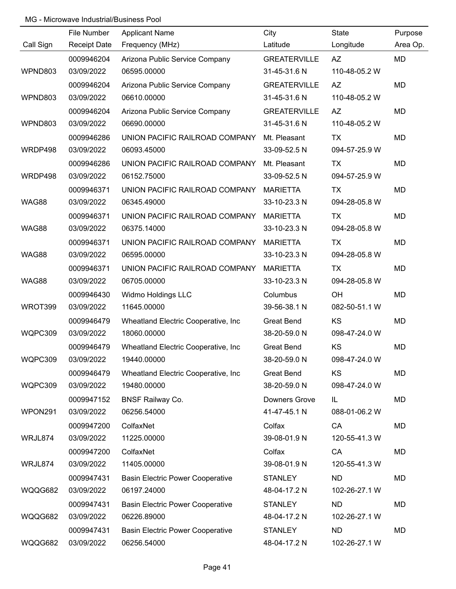|           | File Number         | <b>Applicant Name</b>                   | City                | State         | Purpose   |
|-----------|---------------------|-----------------------------------------|---------------------|---------------|-----------|
| Call Sign | <b>Receipt Date</b> | Frequency (MHz)                         | Latitude            | Longitude     | Area Op.  |
|           | 0009946204          | Arizona Public Service Company          | <b>GREATERVILLE</b> | <b>AZ</b>     | MD        |
| WPND803   | 03/09/2022          | 06595.00000                             | 31-45-31.6 N        | 110-48-05.2 W |           |
|           | 0009946204          | Arizona Public Service Company          | <b>GREATERVILLE</b> | <b>AZ</b>     | <b>MD</b> |
| WPND803   | 03/09/2022          | 06610.00000                             | 31-45-31.6 N        | 110-48-05.2 W |           |
|           | 0009946204          | Arizona Public Service Company          | <b>GREATERVILLE</b> | <b>AZ</b>     | <b>MD</b> |
| WPND803   | 03/09/2022          | 06690.00000                             | 31-45-31.6 N        | 110-48-05.2 W |           |
|           | 0009946286          | UNION PACIFIC RAILROAD COMPANY          | Mt. Pleasant        | TX            | MD        |
| WRDP498   | 03/09/2022          | 06093.45000                             | 33-09-52.5 N        | 094-57-25.9 W |           |
|           | 0009946286          | UNION PACIFIC RAILROAD COMPANY          | Mt. Pleasant        | TX            | MD        |
| WRDP498   | 03/09/2022          | 06152.75000                             | 33-09-52.5 N        | 094-57-25.9 W |           |
|           | 0009946371          | UNION PACIFIC RAILROAD COMPANY          | <b>MARIETTA</b>     | TX            | <b>MD</b> |
| WAG88     | 03/09/2022          | 06345.49000                             | 33-10-23.3 N        | 094-28-05.8 W |           |
|           | 0009946371          | UNION PACIFIC RAILROAD COMPANY          | <b>MARIETTA</b>     | TX            | MD        |
| WAG88     | 03/09/2022          | 06375.14000                             | 33-10-23.3 N        | 094-28-05.8 W |           |
|           | 0009946371          | UNION PACIFIC RAILROAD COMPANY          | <b>MARIETTA</b>     | TX            | MD        |
| WAG88     | 03/09/2022          | 06595.00000                             | 33-10-23.3 N        | 094-28-05.8 W |           |
|           | 0009946371          | UNION PACIFIC RAILROAD COMPANY          | <b>MARIETTA</b>     | <b>TX</b>     | MD        |
| WAG88     | 03/09/2022          | 06705.00000                             | 33-10-23.3 N        | 094-28-05.8 W |           |
|           | 0009946430          | Widmo Holdings LLC                      | Columbus            | OH            | <b>MD</b> |
| WROT399   | 03/09/2022          | 11645.00000                             | 39-56-38.1 N        | 082-50-51.1 W |           |
|           | 0009946479          | Wheatland Electric Cooperative, Inc.    | <b>Great Bend</b>   | KS            | MD        |
| WQPC309   | 03/09/2022          | 18060.00000                             | 38-20-59.0 N        | 098-47-24.0 W |           |
|           | 0009946479          | Wheatland Electric Cooperative, Inc.    | <b>Great Bend</b>   | KS            | MD        |
| WQPC309   | 03/09/2022          | 19440.00000                             | 38-20-59.0 N        | 098-47-24.0 W |           |
|           | 0009946479          | Wheatland Electric Cooperative, Inc.    | <b>Great Bend</b>   | KS            | MD        |
| WQPC309   | 03/09/2022          | 19480.00000                             | 38-20-59.0 N        | 098-47-24.0 W |           |
|           | 0009947152          | <b>BNSF Railway Co.</b>                 | Downers Grove       | IL            | MD        |
| WPON291   | 03/09/2022          | 06256.54000                             | 41-47-45.1 N        | 088-01-06.2 W |           |
|           | 0009947200          | ColfaxNet                               | Colfax              | CA            | MD        |
| WRJL874   | 03/09/2022          | 11225.00000                             | 39-08-01.9 N        | 120-55-41.3 W |           |
|           | 0009947200          | ColfaxNet                               | Colfax              | CA            | MD        |
| WRJL874   | 03/09/2022          | 11405.00000                             | 39-08-01.9 N        | 120-55-41.3 W |           |
|           | 0009947431          | <b>Basin Electric Power Cooperative</b> | <b>STANLEY</b>      | <b>ND</b>     | MD        |
| WQQG682   | 03/09/2022          | 06197.24000                             | 48-04-17.2 N        | 102-26-27.1 W |           |
|           | 0009947431          | <b>Basin Electric Power Cooperative</b> | <b>STANLEY</b>      | <b>ND</b>     | MD        |
| WQQG682   | 03/09/2022          | 06226.89000                             | 48-04-17.2 N        | 102-26-27.1 W |           |
|           | 0009947431          | <b>Basin Electric Power Cooperative</b> | <b>STANLEY</b>      | <b>ND</b>     | MD        |
| WQQG682   | 03/09/2022          | 06256.54000                             | 48-04-17.2 N        | 102-26-27.1 W |           |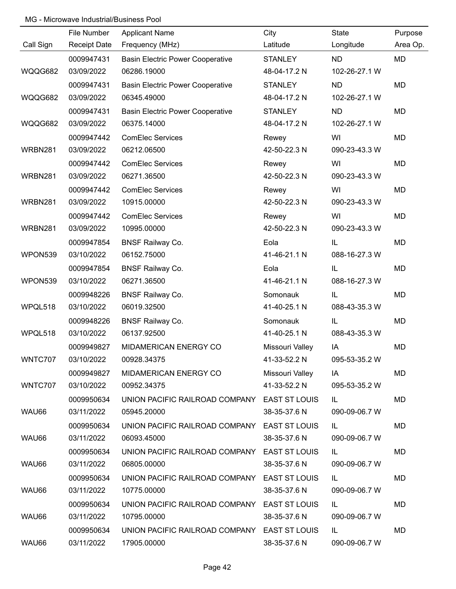|           | File Number         | <b>Applicant Name</b>                        | City            | State         | Purpose   |
|-----------|---------------------|----------------------------------------------|-----------------|---------------|-----------|
| Call Sign | <b>Receipt Date</b> | Frequency (MHz)                              | Latitude        | Longitude     | Area Op.  |
|           | 0009947431          | <b>Basin Electric Power Cooperative</b>      | <b>STANLEY</b>  | <b>ND</b>     | MD        |
| WQQG682   | 03/09/2022          | 06286.19000                                  | 48-04-17.2 N    | 102-26-27.1 W |           |
|           | 0009947431          | <b>Basin Electric Power Cooperative</b>      | <b>STANLEY</b>  | <b>ND</b>     | <b>MD</b> |
| WQQG682   | 03/09/2022          | 06345.49000                                  | 48-04-17.2 N    | 102-26-27.1 W |           |
|           | 0009947431          | <b>Basin Electric Power Cooperative</b>      | <b>STANLEY</b>  | <b>ND</b>     | <b>MD</b> |
| WQQG682   | 03/09/2022          | 06375.14000                                  | 48-04-17.2 N    | 102-26-27.1 W |           |
|           | 0009947442          | <b>ComElec Services</b>                      | Rewey           | WI            | MD        |
| WRBN281   | 03/09/2022          | 06212.06500                                  | 42-50-22.3 N    | 090-23-43.3 W |           |
|           | 0009947442          | <b>ComElec Services</b>                      | Rewey           | WI            | MD        |
| WRBN281   | 03/09/2022          | 06271.36500                                  | 42-50-22.3 N    | 090-23-43.3 W |           |
|           | 0009947442          | <b>ComElec Services</b>                      | Rewey           | WI            | MD        |
| WRBN281   | 03/09/2022          | 10915.00000                                  | 42-50-22.3 N    | 090-23-43.3 W |           |
|           | 0009947442          | <b>ComElec Services</b>                      | Rewey           | WI            | MD        |
| WRBN281   | 03/09/2022          | 10995.00000                                  | 42-50-22.3 N    | 090-23-43.3 W |           |
|           | 0009947854          | <b>BNSF Railway Co.</b>                      | Eola            | IL            | MD        |
| WPON539   | 03/10/2022          | 06152.75000                                  | 41-46-21.1 N    | 088-16-27.3 W |           |
|           | 0009947854          | <b>BNSF Railway Co.</b>                      | Eola            | IL            | MD        |
| WPON539   | 03/10/2022          | 06271.36500                                  | 41-46-21.1 N    | 088-16-27.3 W |           |
|           | 0009948226          | <b>BNSF Railway Co.</b>                      | Somonauk        | IL            | MD        |
| WPQL518   | 03/10/2022          | 06019.32500                                  | 41-40-25.1 N    | 088-43-35.3 W |           |
|           | 0009948226          | <b>BNSF Railway Co.</b>                      | Somonauk        | IL            | MD        |
| WPQL518   | 03/10/2022          | 06137.92500                                  | 41-40-25.1 N    | 088-43-35.3 W |           |
|           | 0009949827          | MIDAMERICAN ENERGY CO                        | Missouri Valley | IA            | MD        |
| WNTC707   | 03/10/2022          | 00928.34375                                  | 41-33-52.2 N    | 095-53-35.2 W |           |
|           | 0009949827          | MIDAMERICAN ENERGY CO                        | Missouri Valley | IA            | MD        |
| WNTC707   | 03/10/2022          | 00952.34375                                  | 41-33-52.2 N    | 095-53-35.2 W |           |
|           | 0009950634          | UNION PACIFIC RAILROAD COMPANY EAST ST LOUIS |                 | IL.           | MD        |
| WAU66     | 03/11/2022          | 05945.20000                                  | 38-35-37.6 N    | 090-09-06.7 W |           |
|           | 0009950634          | UNION PACIFIC RAILROAD COMPANY EAST ST LOUIS |                 | IL.           | MD        |
| WAU66     | 03/11/2022          | 06093.45000                                  | 38-35-37.6 N    | 090-09-06.7 W |           |
|           | 0009950634          | UNION PACIFIC RAILROAD COMPANY EAST ST LOUIS |                 | IL.           | MD        |
| WAU66     | 03/11/2022          | 06805.00000                                  | 38-35-37.6 N    | 090-09-06.7 W |           |
|           | 0009950634          | UNION PACIFIC RAILROAD COMPANY EAST ST LOUIS |                 | IL.           | MD        |
| WAU66     | 03/11/2022          | 10775.00000                                  | 38-35-37.6 N    | 090-09-06.7 W |           |
|           | 0009950634          | UNION PACIFIC RAILROAD COMPANY EAST ST LOUIS |                 | IL            | MD        |
| WAU66     | 03/11/2022          | 10795.00000                                  | 38-35-37.6 N    | 090-09-06.7 W |           |
|           | 0009950634          | UNION PACIFIC RAILROAD COMPANY EAST ST LOUIS |                 | IL.           | MD        |
| WAU66     | 03/11/2022          | 17905.00000                                  | 38-35-37.6 N    | 090-09-06.7 W |           |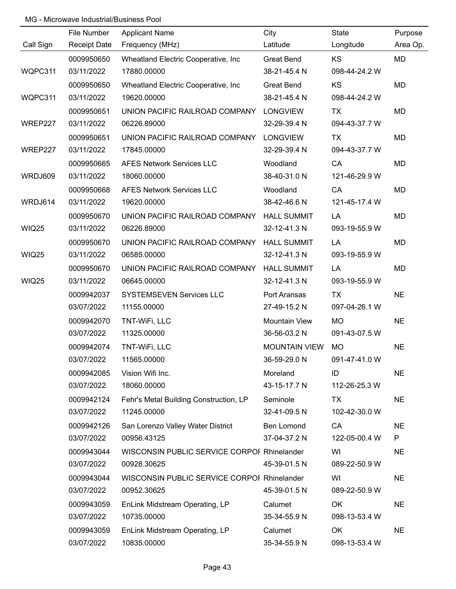|              | File Number         | <b>Applicant Name</b>                       | City                 | State         | Purpose   |
|--------------|---------------------|---------------------------------------------|----------------------|---------------|-----------|
| Call Sign    | <b>Receipt Date</b> | Frequency (MHz)                             | Latitude             | Longitude     | Area Op.  |
|              | 0009950650          | Wheatland Electric Cooperative, Inc.        | <b>Great Bend</b>    | <b>KS</b>     | MD        |
| WQPC311      | 03/11/2022          | 17880.00000                                 | 38-21-45.4 N         | 098-44-24.2 W |           |
|              | 0009950650          | Wheatland Electric Cooperative, Inc.        | <b>Great Bend</b>    | <b>KS</b>     | <b>MD</b> |
| WQPC311      | 03/11/2022          | 19620.00000                                 | 38-21-45.4 N         | 098-44-24.2 W |           |
|              | 0009950651          | UNION PACIFIC RAILROAD COMPANY              | <b>LONGVIEW</b>      | TX            | MD        |
| WREP227      | 03/11/2022          | 06226.89000                                 | 32-29-39.4 N         | 094-43-37.7 W |           |
|              | 0009950651          | UNION PACIFIC RAILROAD COMPANY              | <b>LONGVIEW</b>      | TX            | MD        |
| WREP227      | 03/11/2022          | 17845.00000                                 | 32-29-39.4 N         | 094-43-37.7 W |           |
|              | 0009950665          | <b>AFES Network Services LLC</b>            | Woodland             | CA            | MD        |
| WRDJ609      | 03/11/2022          | 18060.00000                                 | 38-40-31.0 N         | 121-46-29.9 W |           |
|              | 0009950668          | <b>AFES Network Services LLC</b>            | Woodland             | CA            | MD        |
| WRDJ614      | 03/11/2022          | 19620.00000                                 | 38-42-46.6 N         | 121-45-17.4 W |           |
|              | 0009950670          | UNION PACIFIC RAILROAD COMPANY              | <b>HALL SUMMIT</b>   | LA            | MD        |
| <b>WIQ25</b> | 03/11/2022          | 06226.89000                                 | 32-12-41.3 N         | 093-19-55.9 W |           |
|              | 0009950670          | UNION PACIFIC RAILROAD COMPANY              | <b>HALL SUMMIT</b>   | LA            | MD        |
| <b>WIQ25</b> | 03/11/2022          | 06585.00000                                 | 32-12-41.3 N         | 093-19-55.9 W |           |
|              | 0009950670          | UNION PACIFIC RAILROAD COMPANY              | <b>HALL SUMMIT</b>   | LA            | MD        |
| <b>WIQ25</b> | 03/11/2022          | 06645.00000                                 | 32-12-41.3 N         | 093-19-55.9 W |           |
|              | 0009942037          | <b>SYSTEMSEVEN Services LLC</b>             | Port Aransas         | <b>TX</b>     | <b>NE</b> |
|              | 03/07/2022          | 11155.00000                                 | 27-49-15.2 N         | 097-04-26.1 W |           |
|              | 0009942070          | TNT-WiFi, LLC                               | Mountain View        | <b>MO</b>     | <b>NE</b> |
|              | 03/07/2022          | 11325.00000                                 | 36-56-03.2 N         | 091-43-07.5 W |           |
|              | 0009942074          | TNT-WiFi, LLC                               | <b>MOUNTAIN VIEW</b> | <b>MO</b>     | <b>NE</b> |
|              | 03/07/2022          | 11565.00000                                 | 36-59-29.0 N         | 091-47-41.0 W |           |
|              | 0009942085          | Vision Wifi Inc.                            | Moreland             | ID            | <b>NE</b> |
|              | 03/07/2022          | 18060.00000                                 | 43-15-17.7 N         | 112-26-25.3 W |           |
|              | 0009942124          | Fehr's Metal Building Construction, LP      | Seminole             | TX            | <b>NE</b> |
|              | 03/07/2022          | 11245.00000                                 | 32-41-09.5 N         | 102-42-30.0 W |           |
|              | 0009942126          | San Lorenzo Valley Water District           | Ben Lomond           | CA            | <b>NE</b> |
|              | 03/07/2022          | 00956.43125                                 | 37-04-37.2 N         | 122-05-00.4 W | P         |
|              | 0009943044          | WISCONSIN PUBLIC SERVICE CORPOI Rhinelander |                      | WI            | <b>NE</b> |
|              | 03/07/2022          | 00928.30625                                 | 45-39-01.5 N         | 089-22-50.9 W |           |
|              | 0009943044          | WISCONSIN PUBLIC SERVICE CORPOI Rhinelander |                      | WI            | <b>NE</b> |
|              | 03/07/2022          | 00952.30625                                 | 45-39-01.5 N         | 089-22-50.9 W |           |
|              | 0009943059          | EnLink Midstream Operating, LP              | Calumet              | OK            | <b>NE</b> |
|              | 03/07/2022          | 10735.00000                                 | 35-34-55.9 N         | 098-13-53.4 W |           |
|              | 0009943059          | EnLink Midstream Operating, LP              | Calumet              | OK            | <b>NE</b> |
|              | 03/07/2022          | 10835.00000                                 | 35-34-55.9 N         | 098-13-53.4 W |           |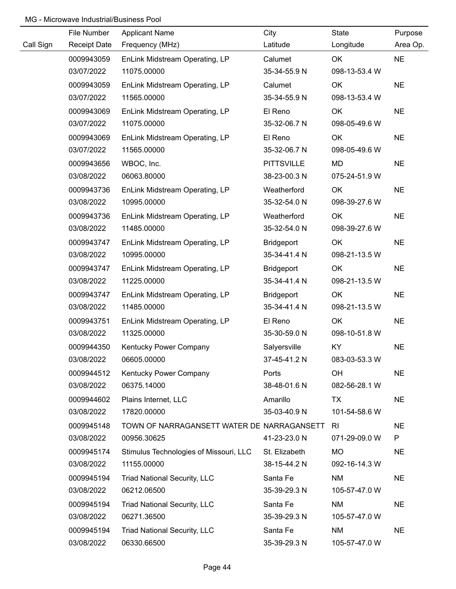|           | File Number         | <b>Applicant Name</b>                      | City              | State         | Purpose   |
|-----------|---------------------|--------------------------------------------|-------------------|---------------|-----------|
| Call Sign | <b>Receipt Date</b> | Frequency (MHz)                            | Latitude          | Longitude     | Area Op.  |
|           | 0009943059          | EnLink Midstream Operating, LP             | Calumet           | OK            | <b>NE</b> |
|           | 03/07/2022          | 11075.00000                                | 35-34-55.9 N      | 098-13-53.4 W |           |
|           | 0009943059          | EnLink Midstream Operating, LP             | Calumet           | OK            | <b>NE</b> |
|           | 03/07/2022          | 11565.00000                                | 35-34-55.9 N      | 098-13-53.4 W |           |
|           | 0009943069          | EnLink Midstream Operating, LP             | El Reno           | OK            | <b>NE</b> |
|           | 03/07/2022          | 11075.00000                                | 35-32-06.7 N      | 098-05-49.6 W |           |
|           | 0009943069          | EnLink Midstream Operating, LP             | El Reno           | OK            | <b>NE</b> |
|           | 03/07/2022          | 11565.00000                                | 35-32-06.7 N      | 098-05-49.6 W |           |
|           | 0009943656          | WBOC, Inc.                                 | <b>PITTSVILLE</b> | MD            | <b>NE</b> |
|           | 03/08/2022          | 06063.80000                                | 38-23-00.3 N      | 075-24-51.9 W |           |
|           | 0009943736          | EnLink Midstream Operating, LP             | Weatherford       | OK            | <b>NE</b> |
|           | 03/08/2022          | 10995.00000                                | 35-32-54.0 N      | 098-39-27.6 W |           |
|           | 0009943736          | EnLink Midstream Operating, LP             | Weatherford       | OK            | <b>NE</b> |
|           | 03/08/2022          | 11485.00000                                | 35-32-54.0 N      | 098-39-27.6 W |           |
|           | 0009943747          | EnLink Midstream Operating, LP             | Bridgeport        | OK            | <b>NE</b> |
|           | 03/08/2022          | 10995.00000                                | 35-34-41.4 N      | 098-21-13.5 W |           |
|           | 0009943747          | EnLink Midstream Operating, LP             | <b>Bridgeport</b> | OK            | <b>NE</b> |
|           | 03/08/2022          | 11225.00000                                | 35-34-41.4 N      | 098-21-13.5 W |           |
|           | 0009943747          | EnLink Midstream Operating, LP             | <b>Bridgeport</b> | OK            | <b>NE</b> |
|           | 03/08/2022          | 11485.00000                                | 35-34-41.4 N      | 098-21-13.5 W |           |
|           | 0009943751          | EnLink Midstream Operating, LP             | El Reno           | OK            | <b>NE</b> |
|           | 03/08/2022          | 11325.00000                                | 35-30-59.0 N      | 098-10-51.8 W |           |
|           | 0009944350          | Kentucky Power Company                     | Salyersville      | KY            | <b>NE</b> |
|           | 03/08/2022          | 06605.00000                                | 37-45-41.2 N      | 083-03-53.3 W |           |
|           | 0009944512          | Kentucky Power Company                     | Ports             | OH            | <b>NE</b> |
|           | 03/08/2022          | 06375.14000                                | 38-48-01.6 N      | 082-56-28.1 W |           |
|           | 0009944602          | Plains Internet, LLC                       | Amarillo          | TX            | <b>NE</b> |
|           | 03/08/2022          | 17820.00000                                | 35-03-40.9 N      | 101-54-58.6 W |           |
|           | 0009945148          | TOWN OF NARRAGANSETT WATER DE NARRAGANSETT |                   | RI            | <b>NE</b> |
|           | 03/08/2022          | 00956.30625                                | 41-23-23.0 N      | 071-29-09.0 W | P         |
|           | 0009945174          | Stimulus Technologies of Missouri, LLC     | St. Elizabeth     | <b>MO</b>     | <b>NE</b> |
|           | 03/08/2022          | 11155.00000                                | 38-15-44.2 N      | 092-16-14.3 W |           |
|           | 0009945194          | <b>Triad National Security, LLC</b>        | Santa Fe          | <b>NM</b>     | <b>NE</b> |
|           | 03/08/2022          | 06212.06500                                | 35-39-29.3 N      | 105-57-47.0 W |           |
|           | 0009945194          | <b>Triad National Security, LLC</b>        | Santa Fe          | <b>NM</b>     | <b>NE</b> |
|           | 03/08/2022          | 06271.36500                                | 35-39-29.3 N      | 105-57-47.0 W |           |
|           | 0009945194          | <b>Triad National Security, LLC</b>        | Santa Fe          | <b>NM</b>     | <b>NE</b> |
|           | 03/08/2022          | 06330.66500                                | 35-39-29.3 N      | 105-57-47.0 W |           |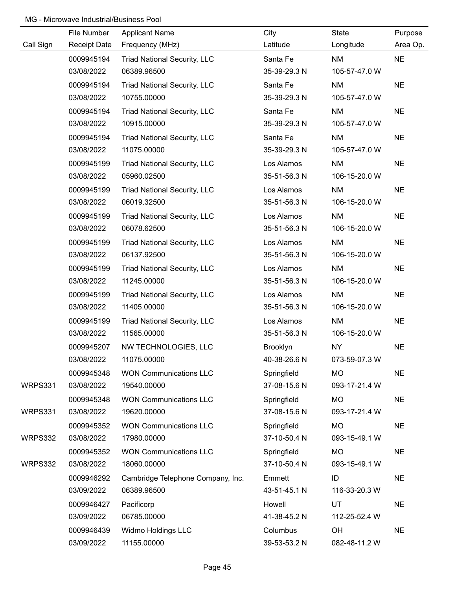|           | File Number         | <b>Applicant Name</b>               | City         | State         | Purpose   |
|-----------|---------------------|-------------------------------------|--------------|---------------|-----------|
| Call Sign | <b>Receipt Date</b> | Frequency (MHz)                     | Latitude     | Longitude     | Area Op.  |
|           | 0009945194          | <b>Triad National Security, LLC</b> | Santa Fe     | <b>NM</b>     | <b>NE</b> |
|           | 03/08/2022          | 06389.96500                         | 35-39-29.3 N | 105-57-47.0 W |           |
|           | 0009945194          | <b>Triad National Security, LLC</b> | Santa Fe     | <b>NM</b>     | <b>NE</b> |
|           | 03/08/2022          | 10755.00000                         | 35-39-29.3 N | 105-57-47.0 W |           |
|           | 0009945194          | <b>Triad National Security, LLC</b> | Santa Fe     | <b>NM</b>     | <b>NE</b> |
|           | 03/08/2022          | 10915.00000                         | 35-39-29.3 N | 105-57-47.0 W |           |
|           | 0009945194          | <b>Triad National Security, LLC</b> | Santa Fe     | <b>NM</b>     | <b>NE</b> |
|           | 03/08/2022          | 11075.00000                         | 35-39-29.3 N | 105-57-47.0 W |           |
|           | 0009945199          | <b>Triad National Security, LLC</b> | Los Alamos   | <b>NM</b>     | <b>NE</b> |
|           | 03/08/2022          | 05960.02500                         | 35-51-56.3 N | 106-15-20.0 W |           |
|           | 0009945199          | <b>Triad National Security, LLC</b> | Los Alamos   | <b>NM</b>     | <b>NE</b> |
|           | 03/08/2022          | 06019.32500                         | 35-51-56.3 N | 106-15-20.0 W |           |
|           | 0009945199          | <b>Triad National Security, LLC</b> | Los Alamos   | <b>NM</b>     | <b>NE</b> |
|           | 03/08/2022          | 06078.62500                         | 35-51-56.3 N | 106-15-20.0 W |           |
|           | 0009945199          | <b>Triad National Security, LLC</b> | Los Alamos   | <b>NM</b>     | <b>NE</b> |
|           | 03/08/2022          | 06137.92500                         | 35-51-56.3 N | 106-15-20.0 W |           |
|           | 0009945199          | <b>Triad National Security, LLC</b> | Los Alamos   | <b>NM</b>     | <b>NE</b> |
|           | 03/08/2022          | 11245.00000                         | 35-51-56.3 N | 106-15-20.0 W |           |
|           | 0009945199          | <b>Triad National Security, LLC</b> | Los Alamos   | <b>NM</b>     | <b>NE</b> |
|           | 03/08/2022          | 11405.00000                         | 35-51-56.3 N | 106-15-20.0 W |           |
|           | 0009945199          | <b>Triad National Security, LLC</b> | Los Alamos   | <b>NM</b>     | <b>NE</b> |
|           | 03/08/2022          | 11565.00000                         | 35-51-56.3 N | 106-15-20.0 W |           |
|           | 0009945207          | NW TECHNOLOGIES, LLC                | Brooklyn     | <b>NY</b>     | <b>NE</b> |
|           | 03/08/2022          | 11075.00000                         | 40-38-26.6 N | 073-59-07.3 W |           |
|           | 0009945348          | <b>WON Communications LLC</b>       | Springfield  | <b>MO</b>     | <b>NE</b> |
| WRPS331   | 03/08/2022          | 19540.00000                         | 37-08-15.6 N | 093-17-21.4 W |           |
|           | 0009945348          | <b>WON Communications LLC</b>       | Springfield  | <b>MO</b>     | <b>NE</b> |
| WRPS331   | 03/08/2022          | 19620.00000                         | 37-08-15.6 N | 093-17-21.4 W |           |
|           | 0009945352          | <b>WON Communications LLC</b>       | Springfield  | <b>MO</b>     | <b>NE</b> |
| WRPS332   | 03/08/2022          | 17980.00000                         | 37-10-50.4 N | 093-15-49.1 W |           |
|           | 0009945352          | <b>WON Communications LLC</b>       | Springfield  | <b>MO</b>     | <b>NE</b> |
| WRPS332   | 03/08/2022          | 18060.00000                         | 37-10-50.4 N | 093-15-49.1 W |           |
|           | 0009946292          | Cambridge Telephone Company, Inc.   | Emmett       | ID            | <b>NE</b> |
|           | 03/09/2022          | 06389.96500                         | 43-51-45.1 N | 116-33-20.3 W |           |
|           | 0009946427          | Pacificorp                          | Howell       | UT            | <b>NE</b> |
|           | 03/09/2022          | 06785.00000                         | 41-38-45.2 N | 112-25-52.4 W |           |
|           | 0009946439          | Widmo Holdings LLC                  | Columbus     | OH            | <b>NE</b> |
|           | 03/09/2022          | 11155.00000                         | 39-53-53.2 N | 082-48-11.2 W |           |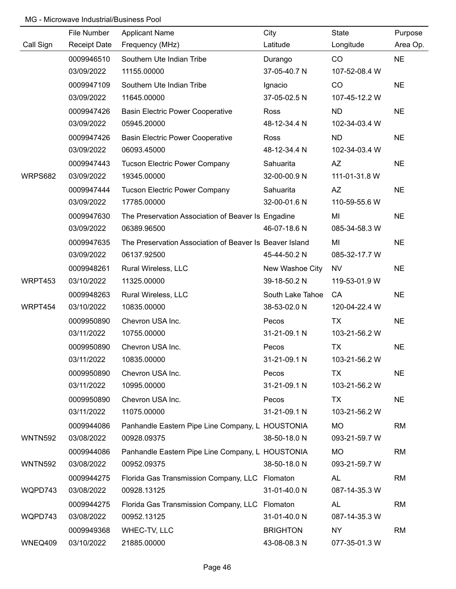|                | File Number         | <b>Applicant Name</b>                                   | City             | State         | Purpose   |
|----------------|---------------------|---------------------------------------------------------|------------------|---------------|-----------|
| Call Sign      | <b>Receipt Date</b> | Frequency (MHz)                                         | Latitude         | Longitude     | Area Op.  |
|                | 0009946510          | Southern Ute Indian Tribe                               | Durango          | CO            | <b>NE</b> |
|                | 03/09/2022          | 11155.00000                                             | 37-05-40.7 N     | 107-52-08.4 W |           |
|                | 0009947109          | Southern Ute Indian Tribe                               | Ignacio          | CO            | <b>NE</b> |
|                | 03/09/2022          | 11645.00000                                             | 37-05-02.5 N     | 107-45-12.2 W |           |
|                | 0009947426          | <b>Basin Electric Power Cooperative</b>                 | Ross             | <b>ND</b>     | <b>NE</b> |
|                | 03/09/2022          | 05945.20000                                             | 48-12-34.4 N     | 102-34-03.4 W |           |
|                | 0009947426          | <b>Basin Electric Power Cooperative</b>                 | Ross             | <b>ND</b>     | <b>NE</b> |
|                | 03/09/2022          | 06093.45000                                             | 48-12-34.4 N     | 102-34-03.4 W |           |
|                | 0009947443          | <b>Tucson Electric Power Company</b>                    | Sahuarita        | <b>AZ</b>     | <b>NE</b> |
| WRPS682        | 03/09/2022          | 19345.00000                                             | 32-00-00.9 N     | 111-01-31.8 W |           |
|                | 0009947444          | <b>Tucson Electric Power Company</b>                    | Sahuarita        | <b>AZ</b>     | <b>NE</b> |
|                | 03/09/2022          | 17785.00000                                             | 32-00-01.6 N     | 110-59-55.6 W |           |
|                | 0009947630          | The Preservation Association of Beaver Is Engadine      |                  | MI            | <b>NE</b> |
|                | 03/09/2022          | 06389.96500                                             | 46-07-18.6 N     | 085-34-58.3 W |           |
|                | 0009947635          | The Preservation Association of Beaver Is Beaver Island |                  | MI            | <b>NE</b> |
|                | 03/09/2022          | 06137.92500                                             | 45-44-50.2 N     | 085-32-17.7 W |           |
|                | 0009948261          | Rural Wireless, LLC                                     | New Washoe City  | <b>NV</b>     | <b>NE</b> |
| WRPT453        | 03/10/2022          | 11325.00000                                             | 39-18-50.2 N     | 119-53-01.9 W |           |
|                | 0009948263          | Rural Wireless, LLC                                     | South Lake Tahoe | CA            | <b>NE</b> |
| WRPT454        | 03/10/2022          | 10835.00000                                             | 38-53-02.0 N     | 120-04-22.4 W |           |
|                | 0009950890          | Chevron USA Inc.                                        | Pecos            | <b>TX</b>     | <b>NE</b> |
|                | 03/11/2022          | 10755.00000                                             | 31-21-09.1 N     | 103-21-56.2 W |           |
|                | 0009950890          | Chevron USA Inc.                                        | Pecos            | <b>TX</b>     | <b>NE</b> |
|                | 03/11/2022          | 10835.00000                                             | 31-21-09.1 N     | 103-21-56.2 W |           |
|                | 0009950890          | Chevron USA Inc.                                        | Pecos            | TX            | <b>NE</b> |
|                | 03/11/2022          | 10995.00000                                             | 31-21-09.1 N     | 103-21-56.2 W |           |
|                | 0009950890          | Chevron USA Inc.                                        | Pecos            | TX            | <b>NE</b> |
|                | 03/11/2022          | 11075.00000                                             | 31-21-09.1 N     | 103-21-56.2 W |           |
|                | 0009944086          | Panhandle Eastern Pipe Line Company, L HOUSTONIA        |                  | <b>MO</b>     | <b>RM</b> |
| <b>WNTN592</b> | 03/08/2022          | 00928.09375                                             | 38-50-18.0 N     | 093-21-59.7 W |           |
|                | 0009944086          | Panhandle Eastern Pipe Line Company, L HOUSTONIA        |                  | <b>MO</b>     | <b>RM</b> |
| <b>WNTN592</b> | 03/08/2022          | 00952.09375                                             | 38-50-18.0 N     | 093-21-59.7 W |           |
|                | 0009944275          | Florida Gas Transmission Company, LLC Flomaton          |                  | <b>AL</b>     | <b>RM</b> |
| WQPD743        | 03/08/2022          | 00928.13125                                             | 31-01-40.0 N     | 087-14-35.3 W |           |
|                | 0009944275          | Florida Gas Transmission Company, LLC Flomaton          |                  | <b>AL</b>     | <b>RM</b> |
| WQPD743        | 03/08/2022          | 00952.13125                                             | 31-01-40.0 N     | 087-14-35.3 W |           |
|                | 0009949368          | WHEC-TV, LLC                                            | <b>BRIGHTON</b>  | <b>NY</b>     | <b>RM</b> |
| WNEQ409        | 03/10/2022          | 21885.00000                                             | 43-08-08.3 N     | 077-35-01.3 W |           |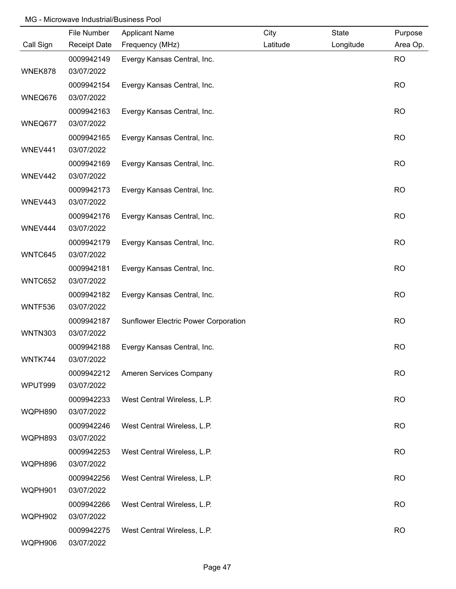|                | File Number              | <b>Applicant Name</b>                | City     | <b>State</b> | Purpose   |
|----------------|--------------------------|--------------------------------------|----------|--------------|-----------|
| Call Sign      | <b>Receipt Date</b>      | Frequency (MHz)                      | Latitude | Longitude    | Area Op.  |
|                | 0009942149               | Evergy Kansas Central, Inc.          |          |              | <b>RO</b> |
| WNEK878        | 03/07/2022               |                                      |          |              |           |
|                | 0009942154               | Evergy Kansas Central, Inc.          |          |              | <b>RO</b> |
| WNEQ676        | 03/07/2022               |                                      |          |              |           |
|                | 0009942163               | Evergy Kansas Central, Inc.          |          |              | <b>RO</b> |
| WNEQ677        | 03/07/2022               |                                      |          |              |           |
|                | 0009942165               | Evergy Kansas Central, Inc.          |          |              | <b>RO</b> |
| WNEV441        | 03/07/2022               |                                      |          |              |           |
|                | 0009942169               | Evergy Kansas Central, Inc.          |          |              | <b>RO</b> |
| WNEV442        | 03/07/2022               |                                      |          |              |           |
|                | 0009942173               | Evergy Kansas Central, Inc.          |          |              | <b>RO</b> |
| WNEV443        | 03/07/2022               |                                      |          |              |           |
|                | 0009942176               | Evergy Kansas Central, Inc.          |          |              | <b>RO</b> |
| WNEV444        | 03/07/2022               |                                      |          |              |           |
|                | 0009942179               | Evergy Kansas Central, Inc.          |          |              | <b>RO</b> |
| WNTC645        | 03/07/2022               |                                      |          |              |           |
|                | 0009942181               | Evergy Kansas Central, Inc.          |          |              | <b>RO</b> |
| WNTC652        | 03/07/2022               |                                      |          |              |           |
|                | 0009942182               | Evergy Kansas Central, Inc.          |          |              | <b>RO</b> |
| WNTF536        | 03/07/2022               |                                      |          |              |           |
| <b>WNTN303</b> | 0009942187               | Sunflower Electric Power Corporation |          |              | <b>RO</b> |
|                | 03/07/2022               |                                      |          |              |           |
| WNTK744        | 0009942188<br>03/07/2022 | Evergy Kansas Central, Inc.          |          |              | <b>RO</b> |
|                |                          |                                      |          |              |           |
| WPUT999        | 0009942212<br>03/07/2022 | Ameren Services Company              |          |              | <b>RO</b> |
|                | 0009942233               | West Central Wireless, L.P.          |          |              | <b>RO</b> |
| WQPH890        | 03/07/2022               |                                      |          |              |           |
|                | 0009942246               | West Central Wireless, L.P.          |          |              | <b>RO</b> |
| WQPH893        | 03/07/2022               |                                      |          |              |           |
|                | 0009942253               | West Central Wireless, L.P.          |          |              | <b>RO</b> |
| WQPH896        | 03/07/2022               |                                      |          |              |           |
|                | 0009942256               | West Central Wireless, L.P.          |          |              | <b>RO</b> |
| WQPH901        | 03/07/2022               |                                      |          |              |           |
|                | 0009942266               | West Central Wireless, L.P.          |          |              | <b>RO</b> |
| WQPH902        | 03/07/2022               |                                      |          |              |           |
|                | 0009942275               | West Central Wireless, L.P.          |          |              | <b>RO</b> |
| WQPH906        | 03/07/2022               |                                      |          |              |           |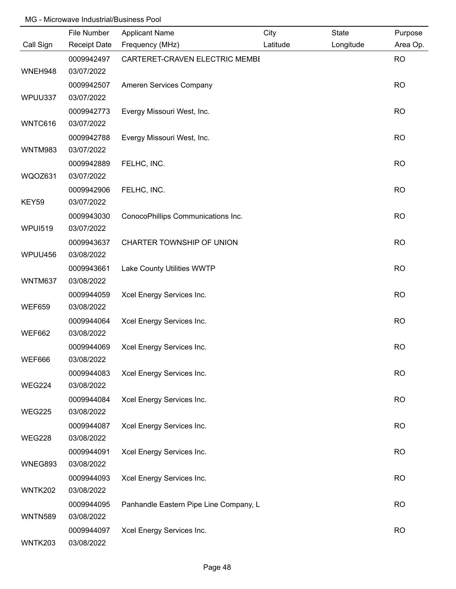|                | File Number              | <b>Applicant Name</b>                  | City     | <b>State</b> | Purpose   |
|----------------|--------------------------|----------------------------------------|----------|--------------|-----------|
| Call Sign      | <b>Receipt Date</b>      | Frequency (MHz)                        | Latitude | Longitude    | Area Op.  |
|                | 0009942497               | CARTERET-CRAVEN ELECTRIC MEMBI         |          |              | <b>RO</b> |
| WNEH948        | 03/07/2022               |                                        |          |              |           |
|                | 0009942507               | Ameren Services Company                |          |              | <b>RO</b> |
| WPUU337        | 03/07/2022               |                                        |          |              |           |
|                | 0009942773               | Evergy Missouri West, Inc.             |          |              | <b>RO</b> |
| WNTC616        | 03/07/2022               |                                        |          |              |           |
|                | 0009942788               | Evergy Missouri West, Inc.             |          |              | <b>RO</b> |
| <b>WNTM983</b> | 03/07/2022               |                                        |          |              |           |
|                | 0009942889               | FELHC, INC.                            |          |              | <b>RO</b> |
| WQOZ631        | 03/07/2022               |                                        |          |              |           |
| KEY59          | 0009942906<br>03/07/2022 | FELHC, INC.                            |          |              | <b>RO</b> |
|                | 0009943030               | ConocoPhillips Communications Inc.     |          |              | <b>RO</b> |
| <b>WPUI519</b> | 03/07/2022               |                                        |          |              |           |
|                | 0009943637               | CHARTER TOWNSHIP OF UNION              |          |              | <b>RO</b> |
| WPUU456        | 03/08/2022               |                                        |          |              |           |
|                | 0009943661               | Lake County Utilities WWTP             |          |              | <b>RO</b> |
| WNTM637        | 03/08/2022               |                                        |          |              |           |
|                | 0009944059               | Xcel Energy Services Inc.              |          |              | <b>RO</b> |
| <b>WEF659</b>  | 03/08/2022               |                                        |          |              |           |
|                | 0009944064               | Xcel Energy Services Inc.              |          |              | <b>RO</b> |
| <b>WEF662</b>  | 03/08/2022               |                                        |          |              |           |
|                | 0009944069               | Xcel Energy Services Inc.              |          |              | <b>RO</b> |
| <b>WEF666</b>  | 03/08/2022               |                                        |          |              |           |
|                | 0009944083               | Xcel Energy Services Inc.              |          |              | <b>RO</b> |
| <b>WEG224</b>  | 03/08/2022               |                                        |          |              |           |
|                | 0009944084               | Xcel Energy Services Inc.              |          |              | <b>RO</b> |
| <b>WEG225</b>  | 03/08/2022               |                                        |          |              |           |
|                | 0009944087               | Xcel Energy Services Inc.              |          |              | <b>RO</b> |
| <b>WEG228</b>  | 03/08/2022               |                                        |          |              |           |
|                | 0009944091               | Xcel Energy Services Inc.              |          |              | <b>RO</b> |
| WNEG893        | 03/08/2022               |                                        |          |              |           |
|                | 0009944093               | Xcel Energy Services Inc.              |          |              | <b>RO</b> |
| WNTK202        | 03/08/2022               |                                        |          |              |           |
|                | 0009944095               | Panhandle Eastern Pipe Line Company, L |          |              | <b>RO</b> |
| <b>WNTN589</b> | 03/08/2022               |                                        |          |              |           |
|                | 0009944097               | Xcel Energy Services Inc.              |          |              | <b>RO</b> |
| WNTK203        | 03/08/2022               |                                        |          |              |           |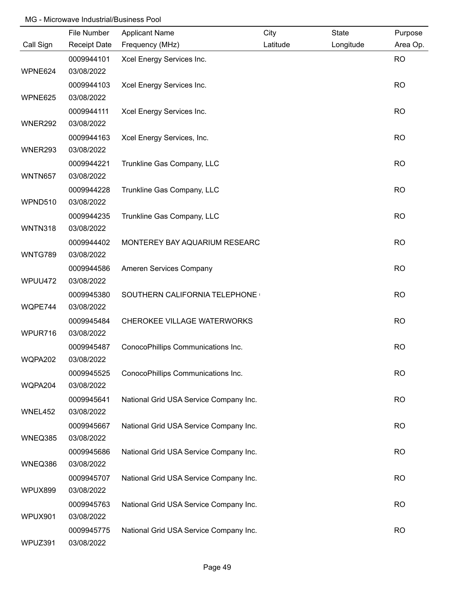|                | File Number         | <b>Applicant Name</b>                  | City     | <b>State</b> | Purpose   |
|----------------|---------------------|----------------------------------------|----------|--------------|-----------|
| Call Sign      | <b>Receipt Date</b> | Frequency (MHz)                        | Latitude | Longitude    | Area Op.  |
|                | 0009944101          | Xcel Energy Services Inc.              |          |              | <b>RO</b> |
| WPNE624        | 03/08/2022          |                                        |          |              |           |
|                | 0009944103          | Xcel Energy Services Inc.              |          |              | <b>RO</b> |
| WPNE625        | 03/08/2022          |                                        |          |              |           |
|                | 0009944111          | Xcel Energy Services Inc.              |          |              | <b>RO</b> |
| WNER292        | 03/08/2022          |                                        |          |              |           |
|                | 0009944163          | Xcel Energy Services, Inc.             |          |              | <b>RO</b> |
| WNER293        | 03/08/2022          |                                        |          |              |           |
|                | 0009944221          | Trunkline Gas Company, LLC             |          |              | <b>RO</b> |
| <b>WNTN657</b> | 03/08/2022          |                                        |          |              |           |
|                | 0009944228          | Trunkline Gas Company, LLC             |          |              | <b>RO</b> |
| WPND510        | 03/08/2022          |                                        |          |              |           |
|                | 0009944235          | Trunkline Gas Company, LLC             |          |              | <b>RO</b> |
| <b>WNTN318</b> | 03/08/2022          |                                        |          |              |           |
|                | 0009944402          | MONTEREY BAY AQUARIUM RESEARC          |          |              | <b>RO</b> |
| WNTG789        | 03/08/2022          |                                        |          |              |           |
|                | 0009944586          | Ameren Services Company                |          |              | <b>RO</b> |
| WPUU472        | 03/08/2022          |                                        |          |              |           |
|                | 0009945380          | SOUTHERN CALIFORNIA TELEPHONE          |          |              | <b>RO</b> |
| WQPE744        | 03/08/2022          |                                        |          |              |           |
|                | 0009945484          | CHEROKEE VILLAGE WATERWORKS            |          |              | <b>RO</b> |
| WPUR716        | 03/08/2022          |                                        |          |              |           |
|                | 0009945487          | ConocoPhillips Communications Inc.     |          |              | <b>RO</b> |
| WQPA202        | 03/08/2022          |                                        |          |              |           |
|                | 0009945525          | ConocoPhillips Communications Inc.     |          |              | <b>RO</b> |
| WQPA204        | 03/08/2022          |                                        |          |              |           |
|                | 0009945641          | National Grid USA Service Company Inc. |          |              | <b>RO</b> |
| WNEL452        | 03/08/2022          |                                        |          |              |           |
|                | 0009945667          | National Grid USA Service Company Inc. |          |              | <b>RO</b> |
| WNEQ385        | 03/08/2022          |                                        |          |              |           |
|                | 0009945686          | National Grid USA Service Company Inc. |          |              | <b>RO</b> |
| WNEQ386        | 03/08/2022          |                                        |          |              |           |
|                | 0009945707          | National Grid USA Service Company Inc. |          |              | <b>RO</b> |
| WPUX899        | 03/08/2022          |                                        |          |              |           |
|                | 0009945763          | National Grid USA Service Company Inc. |          |              | <b>RO</b> |
| WPUX901        | 03/08/2022          |                                        |          |              |           |
|                | 0009945775          | National Grid USA Service Company Inc. |          |              | <b>RO</b> |
| WPUZ391        | 03/08/2022          |                                        |          |              |           |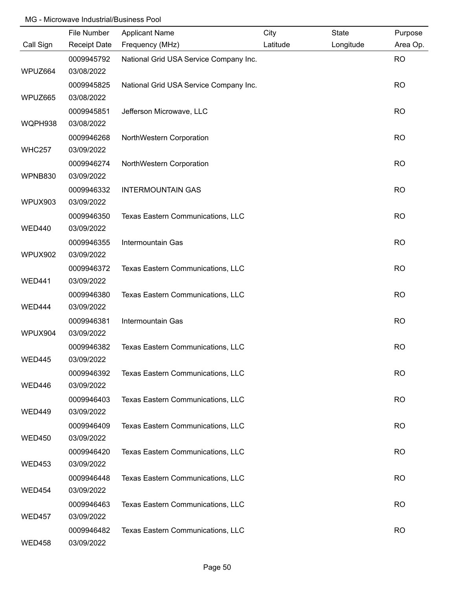|               | File Number         | <b>Applicant Name</b>                  | City     | State     | Purpose   |
|---------------|---------------------|----------------------------------------|----------|-----------|-----------|
| Call Sign     | <b>Receipt Date</b> | Frequency (MHz)                        | Latitude | Longitude | Area Op.  |
|               | 0009945792          | National Grid USA Service Company Inc. |          |           | <b>RO</b> |
| WPUZ664       | 03/08/2022          |                                        |          |           |           |
|               | 0009945825          | National Grid USA Service Company Inc. |          |           | <b>RO</b> |
| WPUZ665       | 03/08/2022          |                                        |          |           |           |
|               | 0009945851          | Jefferson Microwave, LLC               |          |           | <b>RO</b> |
| WQPH938       | 03/08/2022          |                                        |          |           |           |
|               | 0009946268          | NorthWestern Corporation               |          |           | <b>RO</b> |
| <b>WHC257</b> | 03/09/2022          |                                        |          |           |           |
|               | 0009946274          | NorthWestern Corporation               |          |           | <b>RO</b> |
| WPNB830       | 03/09/2022          |                                        |          |           |           |
|               | 0009946332          | <b>INTERMOUNTAIN GAS</b>               |          |           | <b>RO</b> |
| WPUX903       | 03/09/2022          |                                        |          |           |           |
|               | 0009946350          | Texas Eastern Communications, LLC      |          |           | <b>RO</b> |
| <b>WED440</b> | 03/09/2022          |                                        |          |           |           |
|               | 0009946355          | Intermountain Gas                      |          |           | <b>RO</b> |
| WPUX902       | 03/09/2022          |                                        |          |           |           |
|               | 0009946372          | Texas Eastern Communications, LLC      |          |           | <b>RO</b> |
| <b>WED441</b> | 03/09/2022          |                                        |          |           |           |
|               | 0009946380          | Texas Eastern Communications, LLC      |          |           | <b>RO</b> |
| WED444        | 03/09/2022          |                                        |          |           |           |
|               | 0009946381          | Intermountain Gas                      |          |           | <b>RO</b> |
| WPUX904       | 03/09/2022          |                                        |          |           |           |
|               | 0009946382          | Texas Eastern Communications, LLC      |          |           | <b>RO</b> |
| <b>WED445</b> | 03/09/2022          |                                        |          |           |           |
|               | 0009946392          | Texas Eastern Communications, LLC      |          |           | <b>RO</b> |
| WED446        | 03/09/2022          |                                        |          |           |           |
|               | 0009946403          | Texas Eastern Communications, LLC      |          |           | <b>RO</b> |
| <b>WED449</b> | 03/09/2022          |                                        |          |           |           |
|               | 0009946409          | Texas Eastern Communications, LLC      |          |           | <b>RO</b> |
| <b>WED450</b> | 03/09/2022          |                                        |          |           |           |
|               | 0009946420          | Texas Eastern Communications, LLC      |          |           | <b>RO</b> |
| <b>WED453</b> | 03/09/2022          |                                        |          |           |           |
|               | 0009946448          | Texas Eastern Communications, LLC      |          |           | <b>RO</b> |
| <b>WED454</b> | 03/09/2022          |                                        |          |           |           |
|               | 0009946463          | Texas Eastern Communications, LLC      |          |           | <b>RO</b> |
| <b>WED457</b> | 03/09/2022          |                                        |          |           |           |
|               | 0009946482          | Texas Eastern Communications, LLC      |          |           | <b>RO</b> |
| <b>WED458</b> | 03/09/2022          |                                        |          |           |           |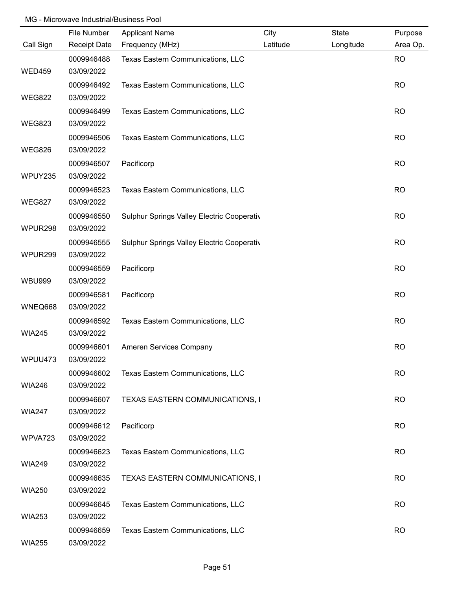|               | File Number         | <b>Applicant Name</b>                      | City     | <b>State</b> | Purpose   |
|---------------|---------------------|--------------------------------------------|----------|--------------|-----------|
| Call Sign     | <b>Receipt Date</b> | Frequency (MHz)                            | Latitude | Longitude    | Area Op.  |
|               | 0009946488          | Texas Eastern Communications, LLC          |          |              | <b>RO</b> |
| <b>WED459</b> | 03/09/2022          |                                            |          |              |           |
|               | 0009946492          | Texas Eastern Communications, LLC          |          |              | <b>RO</b> |
| <b>WEG822</b> | 03/09/2022          |                                            |          |              |           |
|               | 0009946499          | Texas Eastern Communications, LLC          |          |              | <b>RO</b> |
| <b>WEG823</b> | 03/09/2022          |                                            |          |              |           |
|               | 0009946506          | Texas Eastern Communications, LLC          |          |              | <b>RO</b> |
| <b>WEG826</b> | 03/09/2022          |                                            |          |              |           |
|               | 0009946507          | Pacificorp                                 |          |              | <b>RO</b> |
| WPUY235       | 03/09/2022          |                                            |          |              |           |
|               | 0009946523          | Texas Eastern Communications, LLC          |          |              | <b>RO</b> |
| <b>WEG827</b> | 03/09/2022          |                                            |          |              |           |
|               | 0009946550          | Sulphur Springs Valley Electric Cooperativ |          |              | <b>RO</b> |
| WPUR298       | 03/09/2022          |                                            |          |              |           |
|               | 0009946555          | Sulphur Springs Valley Electric Cooperativ |          |              | <b>RO</b> |
| WPUR299       | 03/09/2022          |                                            |          |              |           |
|               | 0009946559          | Pacificorp                                 |          |              | <b>RO</b> |
| <b>WBU999</b> | 03/09/2022          |                                            |          |              |           |
|               | 0009946581          | Pacificorp                                 |          |              | <b>RO</b> |
| WNEQ668       | 03/09/2022          |                                            |          |              |           |
|               | 0009946592          | Texas Eastern Communications, LLC          |          |              | <b>RO</b> |
| <b>WIA245</b> | 03/09/2022          |                                            |          |              |           |
|               | 0009946601          | Ameren Services Company                    |          |              | <b>RO</b> |
| WPUU473       | 03/09/2022          |                                            |          |              |           |
|               | 0009946602          | Texas Eastern Communications, LLC          |          |              | <b>RO</b> |
| <b>WIA246</b> | 03/09/2022          |                                            |          |              |           |
|               | 0009946607          | TEXAS EASTERN COMMUNICATIONS, I            |          |              | <b>RO</b> |
| <b>WIA247</b> | 03/09/2022          |                                            |          |              |           |
|               | 0009946612          | Pacificorp                                 |          |              | <b>RO</b> |
| WPVA723       | 03/09/2022          |                                            |          |              |           |
|               | 0009946623          | Texas Eastern Communications, LLC          |          |              | <b>RO</b> |
| <b>WIA249</b> | 03/09/2022          |                                            |          |              |           |
|               | 0009946635          | TEXAS EASTERN COMMUNICATIONS, I            |          |              | <b>RO</b> |
| <b>WIA250</b> | 03/09/2022          |                                            |          |              |           |
|               | 0009946645          | Texas Eastern Communications, LLC          |          |              | <b>RO</b> |
| <b>WIA253</b> | 03/09/2022          |                                            |          |              |           |
|               | 0009946659          | Texas Eastern Communications, LLC          |          |              | <b>RO</b> |
| <b>WIA255</b> | 03/09/2022          |                                            |          |              |           |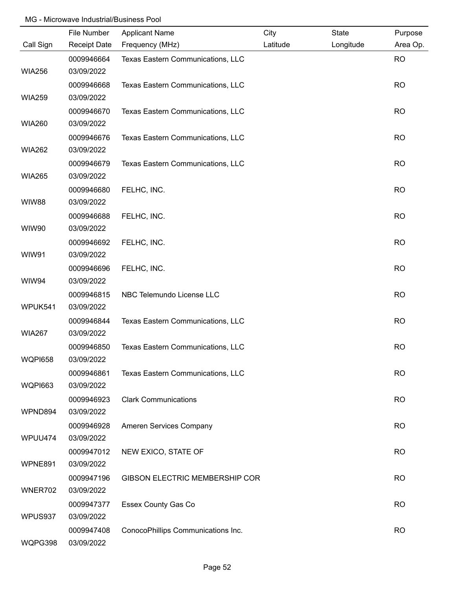|                | File Number         | <b>Applicant Name</b>              | City     | <b>State</b> | Purpose   |
|----------------|---------------------|------------------------------------|----------|--------------|-----------|
| Call Sign      | <b>Receipt Date</b> | Frequency (MHz)                    | Latitude | Longitude    | Area Op.  |
|                | 0009946664          | Texas Eastern Communications, LLC  |          |              | <b>RO</b> |
| <b>WIA256</b>  | 03/09/2022          |                                    |          |              |           |
|                | 0009946668          | Texas Eastern Communications, LLC  |          |              | <b>RO</b> |
| <b>WIA259</b>  | 03/09/2022          |                                    |          |              |           |
|                | 0009946670          | Texas Eastern Communications, LLC  |          |              | <b>RO</b> |
| <b>WIA260</b>  | 03/09/2022          |                                    |          |              |           |
|                | 0009946676          | Texas Eastern Communications, LLC  |          |              | <b>RO</b> |
| <b>WIA262</b>  | 03/09/2022          |                                    |          |              |           |
|                | 0009946679          | Texas Eastern Communications, LLC  |          |              | <b>RO</b> |
| <b>WIA265</b>  | 03/09/2022          |                                    |          |              |           |
|                | 0009946680          | FELHC, INC.                        |          |              | <b>RO</b> |
| <b>WIW88</b>   | 03/09/2022          |                                    |          |              |           |
|                | 0009946688          | FELHC, INC.                        |          |              | <b>RO</b> |
| WIW90          | 03/09/2022          |                                    |          |              |           |
|                | 0009946692          | FELHC, INC.                        |          |              | <b>RO</b> |
| WIW91          | 03/09/2022          |                                    |          |              |           |
|                | 0009946696          | FELHC, INC.                        |          |              | <b>RO</b> |
| WIW94          | 03/09/2022          |                                    |          |              |           |
|                | 0009946815          | NBC Telemundo License LLC          |          |              | <b>RO</b> |
| WPUK541        | 03/09/2022          |                                    |          |              |           |
|                | 0009946844          | Texas Eastern Communications, LLC  |          |              | <b>RO</b> |
| <b>WIA267</b>  | 03/09/2022          |                                    |          |              |           |
|                | 0009946850          | Texas Eastern Communications, LLC  |          |              | <b>RO</b> |
| <b>WQPI658</b> | 03/09/2022          |                                    |          |              |           |
|                | 0009946861          | Texas Eastern Communications, LLC  |          |              | <b>RO</b> |
| <b>WQPI663</b> | 03/09/2022          |                                    |          |              |           |
|                | 0009946923          | <b>Clark Communications</b>        |          |              | <b>RO</b> |
| WPND894        | 03/09/2022          |                                    |          |              |           |
|                | 0009946928          | Ameren Services Company            |          |              | <b>RO</b> |
| WPUU474        | 03/09/2022          |                                    |          |              |           |
|                | 0009947012          | NEW EXICO, STATE OF                |          |              | <b>RO</b> |
| WPNE891        | 03/09/2022          |                                    |          |              |           |
|                | 0009947196          | GIBSON ELECTRIC MEMBERSHIP COR     |          |              | <b>RO</b> |
| WNER702        | 03/09/2022          |                                    |          |              |           |
|                | 0009947377          | <b>Essex County Gas Co</b>         |          |              | <b>RO</b> |
| WPUS937        | 03/09/2022          |                                    |          |              |           |
|                | 0009947408          | ConocoPhillips Communications Inc. |          |              | <b>RO</b> |
| WQPG398        | 03/09/2022          |                                    |          |              |           |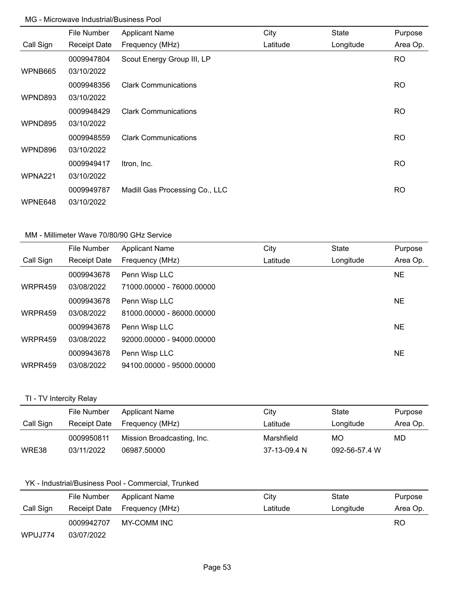|           | File Number         | <b>Applicant Name</b>          | City     | <b>State</b> | Purpose   |
|-----------|---------------------|--------------------------------|----------|--------------|-----------|
| Call Sign | <b>Receipt Date</b> | Frequency (MHz)                | Latitude | Longitude    | Area Op.  |
|           | 0009947804          | Scout Energy Group III, LP     |          |              | RO.       |
| WPNB665   | 03/10/2022          |                                |          |              |           |
|           | 0009948356          | <b>Clark Communications</b>    |          |              | <b>RO</b> |
| WPND893   | 03/10/2022          |                                |          |              |           |
|           | 0009948429          | <b>Clark Communications</b>    |          |              | <b>RO</b> |
| WPND895   | 03/10/2022          |                                |          |              |           |
|           | 0009948559          | <b>Clark Communications</b>    |          |              | <b>RO</b> |
| WPND896   | 03/10/2022          |                                |          |              |           |
|           | 0009949417          | Itron, Inc.                    |          |              | <b>RO</b> |
| WPNA221   | 03/10/2022          |                                |          |              |           |
|           | 0009949787          | Madill Gas Processing Co., LLC |          |              | <b>RO</b> |
| WPNE648   | 03/10/2022          |                                |          |              |           |

## MM - Millimeter Wave 70/80/90 GHz Service

|           | File Number         | <b>Applicant Name</b>     | City     | <b>State</b> | Purpose   |
|-----------|---------------------|---------------------------|----------|--------------|-----------|
| Call Sign | <b>Receipt Date</b> | Frequency (MHz)           | Latitude | Longitude    | Area Op.  |
|           | 0009943678          | Penn Wisp LLC             |          |              | NE        |
| WRPR459   | 03/08/2022          | 71000.00000 - 76000.00000 |          |              |           |
|           | 0009943678          | Penn Wisp LLC             |          |              | <b>NE</b> |
| WRPR459   | 03/08/2022          | 81000.00000 - 86000.00000 |          |              |           |
|           | 0009943678          | Penn Wisp LLC             |          |              | <b>NE</b> |
| WRPR459   | 03/08/2022          | 92000.00000 - 94000.00000 |          |              |           |
|           | 0009943678          | Penn Wisp LLC             |          |              | NE        |
| WRPR459   | 03/08/2022          | 94100.00000 - 95000.00000 |          |              |           |

# TI - TV Intercity Relay

|           | File Number  | Applicant Name             | City       | State     | Purpose  |
|-----------|--------------|----------------------------|------------|-----------|----------|
| Call Sign | Receipt Date | Frequency (MHz)            | Latitude   | Longitude | Area Op. |
|           | 0009950811   | Mission Broadcasting, Inc. | Marshfield | MO        | MD       |
|           |              |                            |            |           |          |

## YK - Industrial/Business Pool - Commercial, Trunked

|           | File Number  | Applicant Name  | City     | State     | Purpose  |
|-----------|--------------|-----------------|----------|-----------|----------|
| Call Sign | Receipt Date | Frequency (MHz) | Latitude | Longitude | Area Op. |
|           | 0009942707   | MY-COMM INC     |          |           | RO       |
| WPUJ774   | 03/07/2022   |                 |          |           |          |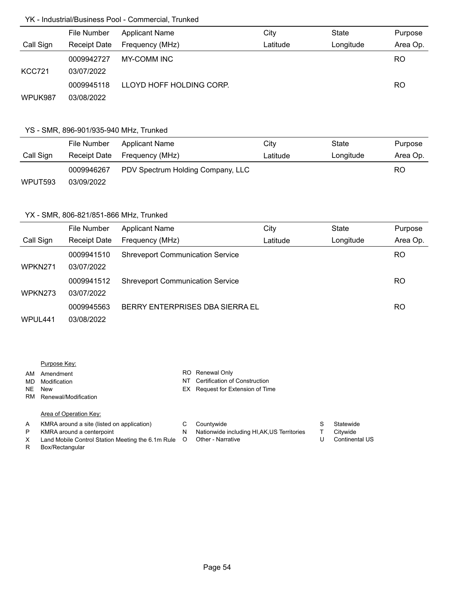#### YK - Industrial/Business Pool - Commercial, Trunked

|               | File Number  | <b>Applicant Name</b>    | City     | State     | Purpose  |
|---------------|--------------|--------------------------|----------|-----------|----------|
| Call Sign     | Receipt Date | Frequency (MHz)          | Latitude | Longitude | Area Op. |
|               | 0009942727   | MY-COMM INC              |          |           | RO.      |
| <b>KCC721</b> | 03/07/2022   |                          |          |           |          |
|               | 0009945118   | LLOYD HOFF HOLDING CORP. |          |           | RO.      |
| WPUK987       | 03/08/2022   |                          |          |           |          |

### YS - SMR, 896-901/935-940 MHz, Trunked

|           | File Number  | Applicant Name                    | City     | State     | Purpose  |
|-----------|--------------|-----------------------------------|----------|-----------|----------|
| Call Sign | Receipt Date | Frequency (MHz)                   | Latitude | Longitude | Area Op. |
|           | 0009946267   | PDV Spectrum Holding Company, LLC |          |           | RO       |
| WPUT593   | 03/09/2022   |                                   |          |           |          |

### YX - SMR, 806-821/851-866 MHz, Trunked

|           | File Number         | <b>Applicant Name</b>                   | City     | <b>State</b> | Purpose  |
|-----------|---------------------|-----------------------------------------|----------|--------------|----------|
| Call Sign | <b>Receipt Date</b> | Frequency (MHz)                         | Latitude | Longitude    | Area Op. |
|           | 0009941510          | <b>Shreveport Communication Service</b> |          |              | RO       |
| WPKN271   | 03/07/2022          |                                         |          |              |          |
|           | 0009941512          | <b>Shreveport Communication Service</b> |          |              | RO.      |
| WPKN273   | 03/07/2022          |                                         |          |              |          |
|           | 0009945563          | BERRY ENTERPRISES DBA SIERRA EL         |          |              | RO       |
| WPUL441   | 03/08/2022          |                                         |          |              |          |

#### Purpose Key:

Amendment AM

MD Modification

NE New

A P

RM Renewal/Modification

NT Certification of Construction EX Request for Extension of Time

RO Renewal Only

Area of Operation Key:

KMRA around a centerpoint

KMRA around a site (listed on application)

- C Countywide C S Statewide
- N Nationwide including HI, AK, US Territories T Citywide

Box/Rectangular X R

- 
- Land Mobile Control Station Meeting the 6.1m Rule O Other Narrative **Let Continental US** Continental US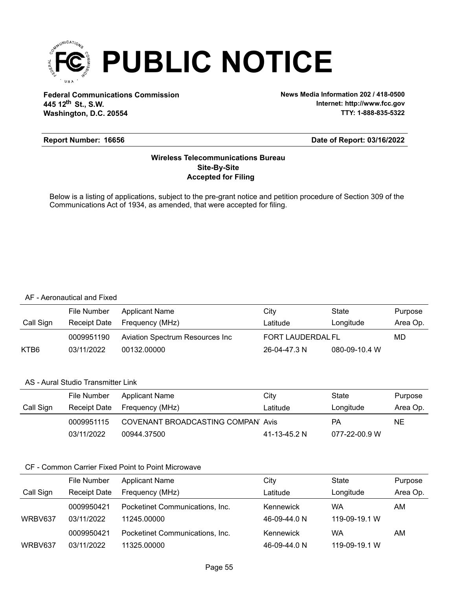

**Federal Communications Commission News Media Information 202 / 418-0500 Washington, D.C. 20554 th 445 12 St., S.W.**

**Internet: http://www.fcc.gov TTY: 1-888-835-5322**

### **Report Number: 16656**

### **Date of Report: 03/16/2022**

### **Accepted for Filing Site-By-Site Wireless Telecommunications Bureau**

Below is a listing of applications, subject to the pre-grant notice and petition procedure of Section 309 of the Communications Act of 1934, as amended, that were accepted for filing.

#### AF - Aeronautical and Fixed

|           | File Number  | Applicant Name                  | City              | State         | Purpose  |
|-----------|--------------|---------------------------------|-------------------|---------------|----------|
| Call Sign | Receipt Date | Frequency (MHz)                 | Latitude          | Longitude     | Area Op. |
|           | 0009951190   | Aviation Spectrum Resources Inc | FORT LAUDERDAL FL |               | MD       |
| KTB6      | 03/11/2022   | 00132.00000                     | 26-04-47.3 N      | 080-09-10.4 W |          |

### AS - Aural Studio Transmitter Link

|           | File Number  | <b>Applicant Name</b>             | City         | State         | Purpose  |
|-----------|--------------|-----------------------------------|--------------|---------------|----------|
| Call Sign | Receipt Date | Frequency (MHz)                   | Latitude     | Longitude     | Area Op. |
|           | 0009951115   | COVENANT BROADCASTING COMPAN Avis |              | РA            | NE.      |
|           | 03/11/2022   | 00944.37500                       | 41-13-45.2 N | 077-22-00.9 W |          |

|           | <b>File Number</b>  | <b>Applicant Name</b>           | City         | State         | Purpose  |
|-----------|---------------------|---------------------------------|--------------|---------------|----------|
| Call Sign | <b>Receipt Date</b> | Frequency (MHz)                 | ∟atitude     | Longitude     | Area Op. |
|           | 0009950421          | Pocketinet Communications, Inc. | Kennewick    | WA            | AM.      |
| WRBV637   | 03/11/2022          | 11245.00000                     | 46-09-44.0 N | 119-09-19.1 W |          |
|           | 0009950421          | Pocketinet Communications, Inc. | Kennewick    | WA            | AM       |
| WRBV637   | 03/11/2022          | 11325.00000                     | 46-09-44.0 N | 119-09-19.1 W |          |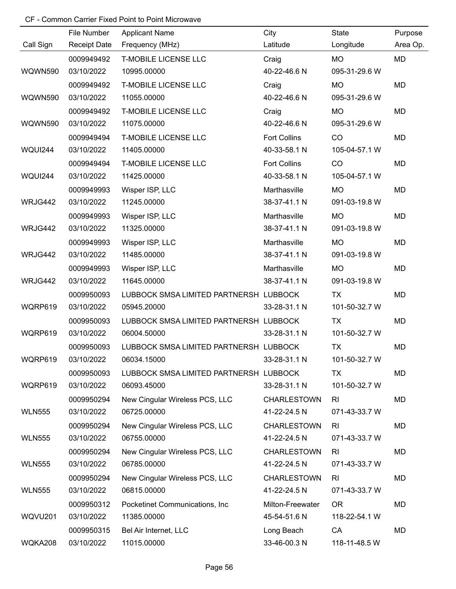|                | File Number         | <b>Applicant Name</b>                  | City                | State          | Purpose   |
|----------------|---------------------|----------------------------------------|---------------------|----------------|-----------|
| Call Sign      | <b>Receipt Date</b> | Frequency (MHz)                        | Latitude            | Longitude      | Area Op.  |
|                | 0009949492          | <b>T-MOBILE LICENSE LLC</b>            | Craig               | <b>MO</b>      | MD        |
| WQWN590        | 03/10/2022          | 10995.00000                            | 40-22-46.6 N        | 095-31-29.6 W  |           |
|                | 0009949492          | <b>T-MOBILE LICENSE LLC</b>            | Craig               | <b>MO</b>      | MD        |
| WQWN590        | 03/10/2022          | 11055.00000                            | 40-22-46.6 N        | 095-31-29.6 W  |           |
|                | 0009949492          | <b>T-MOBILE LICENSE LLC</b>            | Craig               | <b>MO</b>      | MD        |
| WQWN590        | 03/10/2022          | 11075.00000                            | 40-22-46.6 N        | 095-31-29.6 W  |           |
|                | 0009949494          | <b>T-MOBILE LICENSE LLC</b>            | <b>Fort Collins</b> | CO             | <b>MD</b> |
| WQUI244        | 03/10/2022          | 11405.00000                            | 40-33-58.1 N        | 105-04-57.1 W  |           |
|                | 0009949494          | <b>T-MOBILE LICENSE LLC</b>            | <b>Fort Collins</b> | CO             | MD        |
| <b>WQUI244</b> | 03/10/2022          | 11425.00000                            | 40-33-58.1 N        | 105-04-57.1 W  |           |
|                | 0009949993          | Wisper ISP, LLC                        | Marthasville        | <b>MO</b>      | MD        |
| WRJG442        | 03/10/2022          | 11245.00000                            | 38-37-41.1 N        | 091-03-19.8 W  |           |
|                | 0009949993          | Wisper ISP, LLC                        | Marthasville        | <b>MO</b>      | MD        |
| WRJG442        | 03/10/2022          | 11325.00000                            | 38-37-41.1 N        | 091-03-19.8 W  |           |
|                | 0009949993          | Wisper ISP, LLC                        | Marthasville        | <b>MO</b>      | MD        |
| WRJG442        | 03/10/2022          | 11485.00000                            | 38-37-41.1 N        | 091-03-19.8 W  |           |
|                | 0009949993          | Wisper ISP, LLC                        | Marthasville        | <b>MO</b>      | MD        |
| WRJG442        | 03/10/2022          | 11645.00000                            | 38-37-41.1 N        | 091-03-19.8 W  |           |
|                | 0009950093          | LUBBOCK SMSA LIMITED PARTNERSH LUBBOCK |                     | <b>TX</b>      | MD        |
| WQRP619        | 03/10/2022          | 05945.20000                            | 33-28-31.1 N        | 101-50-32.7 W  |           |
|                | 0009950093          | LUBBOCK SMSA LIMITED PARTNERSH LUBBOCK |                     | <b>TX</b>      | MD        |
| WQRP619        | 03/10/2022          | 06004.50000                            | 33-28-31.1 N        | 101-50-32.7 W  |           |
|                | 0009950093          | LUBBOCK SMSA LIMITED PARTNERSH LUBBOCK |                     | <b>TX</b>      | MD        |
| WQRP619        | 03/10/2022          | 06034.15000                            | 33-28-31.1 N        | 101-50-32.7 W  |           |
|                | 0009950093          | LUBBOCK SMSA LIMITED PARTNERSH LUBBOCK |                     | TX             | MD        |
| WQRP619        | 03/10/2022          | 06093.45000                            | 33-28-31.1 N        | 101-50-32.7 W  |           |
|                | 0009950294          | New Cingular Wireless PCS, LLC         | <b>CHARLESTOWN</b>  | R <sub>l</sub> | MD        |
| <b>WLN555</b>  | 03/10/2022          | 06725.00000                            | 41-22-24.5 N        | 071-43-33.7 W  |           |
|                | 0009950294          | New Cingular Wireless PCS, LLC         | <b>CHARLESTOWN</b>  | R <sub>l</sub> | MD        |
| <b>WLN555</b>  | 03/10/2022          | 06755.00000                            | 41-22-24.5 N        | 071-43-33.7 W  |           |
|                | 0009950294          | New Cingular Wireless PCS, LLC         | <b>CHARLESTOWN</b>  | R <sub>l</sub> | MD        |
| <b>WLN555</b>  | 03/10/2022          | 06785.00000                            | 41-22-24.5 N        | 071-43-33.7 W  |           |
|                | 0009950294          | New Cingular Wireless PCS, LLC         | <b>CHARLESTOWN</b>  | R <sub>l</sub> | MD        |
| <b>WLN555</b>  | 03/10/2022          | 06815.00000                            | 41-22-24.5 N        | 071-43-33.7 W  |           |
|                | 0009950312          | Pocketinet Communications, Inc.        | Milton-Freewater    | <b>OR</b>      | MD        |
| WQVU201        | 03/10/2022          | 11385.00000                            | 45-54-51.6 N        | 118-22-54.1 W  |           |
|                | 0009950315          | Bel Air Internet, LLC                  | Long Beach          | CA             | MD        |
| WQKA208        | 03/10/2022          | 11015.00000                            | 33-46-00.3 N        | 118-11-48.5 W  |           |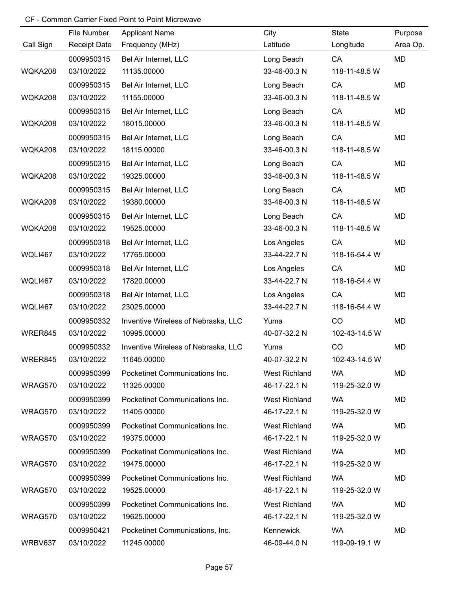|                | File Number         | <b>Applicant Name</b>               | City          | State         | Purpose   |
|----------------|---------------------|-------------------------------------|---------------|---------------|-----------|
| Call Sign      | <b>Receipt Date</b> | Frequency (MHz)                     | Latitude      | Longitude     | Area Op.  |
|                | 0009950315          | Bel Air Internet, LLC               | Long Beach    | CA            | <b>MD</b> |
| WQKA208        | 03/10/2022          | 11135.00000                         | 33-46-00.3 N  | 118-11-48.5 W |           |
|                | 0009950315          | Bel Air Internet, LLC               | Long Beach    | CA            | <b>MD</b> |
| WQKA208        | 03/10/2022          | 11155.00000                         | 33-46-00.3 N  | 118-11-48.5 W |           |
|                | 0009950315          | Bel Air Internet, LLC               | Long Beach    | CA            | <b>MD</b> |
| WQKA208        | 03/10/2022          | 18015.00000                         | 33-46-00.3 N  | 118-11-48.5 W |           |
|                | 0009950315          | Bel Air Internet, LLC               | Long Beach    | CA            | MD        |
| WQKA208        | 03/10/2022          | 18115.00000                         | 33-46-00.3 N  | 118-11-48.5 W |           |
|                | 0009950315          | Bel Air Internet, LLC               | Long Beach    | CA            | MD        |
| WQKA208        | 03/10/2022          | 19325.00000                         | 33-46-00.3 N  | 118-11-48.5 W |           |
|                | 0009950315          | Bel Air Internet, LLC               | Long Beach    | CA            | MD        |
| WQKA208        | 03/10/2022          | 19380.00000                         | 33-46-00.3 N  | 118-11-48.5 W |           |
|                | 0009950315          | Bel Air Internet, LLC               | Long Beach    | CA            | MD        |
| WQKA208        | 03/10/2022          | 19525.00000                         | 33-46-00.3 N  | 118-11-48.5 W |           |
|                | 0009950318          | Bel Air Internet, LLC               | Los Angeles   | CA            | MD        |
| <b>WQLI467</b> | 03/10/2022          | 17765.00000                         | 33-44-22.7 N  | 118-16-54.4 W |           |
|                | 0009950318          | Bel Air Internet, LLC               | Los Angeles   | CA            | MD        |
| WQLI467        | 03/10/2022          | 17820.00000                         | 33-44-22.7 N  | 118-16-54.4 W |           |
|                | 0009950318          | Bel Air Internet, LLC               | Los Angeles   | CA            | MD        |
| <b>WQLI467</b> | 03/10/2022          | 23025.00000                         | 33-44-22.7 N  | 118-16-54.4 W |           |
|                | 0009950332          | Inventive Wireless of Nebraska, LLC | Yuma          | CO            | MD        |
| WRER845        | 03/10/2022          | 10995.00000                         | 40-07-32.2 N  | 102-43-14.5 W |           |
|                | 0009950332          | Inventive Wireless of Nebraska, LLC | Yuma          | CO            | MD        |
| WRER845        | 03/10/2022          | 11645.00000                         | 40-07-32.2 N  | 102-43-14.5 W |           |
|                | 0009950399          | Pocketinet Communications Inc.      | West Richland | <b>WA</b>     | MD        |
| WRAG570        | 03/10/2022          | 11325.00000                         | 46-17-22.1 N  | 119-25-32.0 W |           |
|                | 0009950399          | Pocketinet Communications Inc.      | West Richland | <b>WA</b>     | MD        |
| WRAG570        | 03/10/2022          | 11405.00000                         | 46-17-22.1 N  | 119-25-32.0 W |           |
|                | 0009950399          | Pocketinet Communications Inc.      | West Richland | <b>WA</b>     | MD        |
| WRAG570        | 03/10/2022          | 19375.00000                         | 46-17-22.1 N  | 119-25-32.0 W |           |
|                | 0009950399          | Pocketinet Communications Inc.      | West Richland | <b>WA</b>     | MD        |
| WRAG570        | 03/10/2022          | 19475.00000                         | 46-17-22.1 N  | 119-25-32.0 W |           |
|                | 0009950399          | Pocketinet Communications Inc.      | West Richland | <b>WA</b>     | MD        |
| WRAG570        | 03/10/2022          | 19525.00000                         | 46-17-22.1 N  | 119-25-32.0 W |           |
|                | 0009950399          | Pocketinet Communications Inc.      | West Richland | <b>WA</b>     | MD        |
| WRAG570        | 03/10/2022          | 19625.00000                         | 46-17-22.1 N  | 119-25-32.0 W |           |
|                | 0009950421          | Pocketinet Communications, Inc.     | Kennewick     | <b>WA</b>     | MD        |
| WRBV637        | 03/10/2022          | 11245.00000                         | 46-09-44.0 N  | 119-09-19.1 W |           |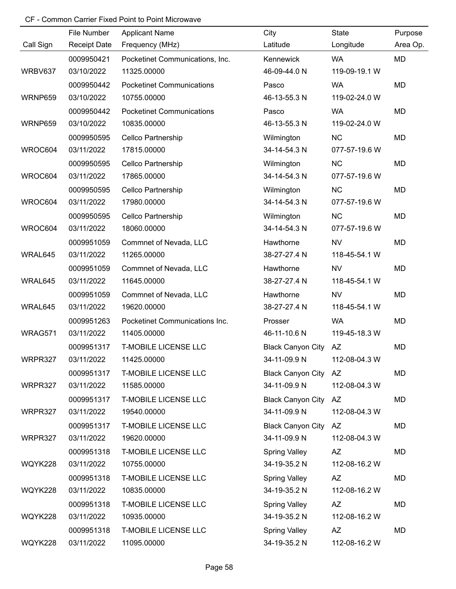| File Number<br>City<br><b>Applicant Name</b><br>Call Sign<br><b>Receipt Date</b><br>Frequency (MHz)<br>Latitude<br>Pocketinet Communications, Inc.<br>0009950421<br>Kennewick | State<br>Longitude<br><b>WA</b><br>119-09-19.1 W<br><b>WA</b> | Purpose<br>Area Op.<br>MD |
|-------------------------------------------------------------------------------------------------------------------------------------------------------------------------------|---------------------------------------------------------------|---------------------------|
|                                                                                                                                                                               |                                                               |                           |
|                                                                                                                                                                               |                                                               |                           |
| 03/10/2022<br>46-09-44.0 N<br>WRBV637<br>11325.00000                                                                                                                          |                                                               |                           |
| 0009950442<br><b>Pocketinet Communications</b><br>Pasco                                                                                                                       |                                                               | <b>MD</b>                 |
| WRNP659<br>03/10/2022<br>10755.00000<br>46-13-55.3 N                                                                                                                          | 119-02-24.0 W                                                 |                           |
| 0009950442<br><b>Pocketinet Communications</b><br>Pasco                                                                                                                       | <b>WA</b>                                                     | MD                        |
| 03/10/2022<br>10835.00000<br>WRNP659<br>46-13-55.3 N                                                                                                                          | 119-02-24.0 W                                                 |                           |
| Wilmington<br>0009950595<br>Cellco Partnership                                                                                                                                | <b>NC</b>                                                     | <b>MD</b>                 |
| WROC604<br>03/11/2022<br>17815.00000<br>34-14-54.3 N                                                                                                                          | 077-57-19.6 W                                                 |                           |
| 0009950595<br>Cellco Partnership<br>Wilmington                                                                                                                                | <b>NC</b>                                                     | <b>MD</b>                 |
| WROC604<br>03/11/2022<br>17865.00000<br>34-14-54.3 N                                                                                                                          | 077-57-19.6 W                                                 |                           |
| Cellco Partnership<br>0009950595<br>Wilmington                                                                                                                                | <b>NC</b>                                                     | MD                        |
| WROC604<br>03/11/2022<br>34-14-54.3 N<br>17980.00000                                                                                                                          | 077-57-19.6 W                                                 |                           |
| 0009950595<br>Cellco Partnership<br>Wilmington                                                                                                                                | <b>NC</b>                                                     | <b>MD</b>                 |
| WROC604<br>03/11/2022<br>18060.00000<br>34-14-54.3 N                                                                                                                          | 077-57-19.6 W                                                 |                           |
| 0009951059<br>Hawthorne<br>Commnet of Nevada, LLC                                                                                                                             | <b>NV</b>                                                     | <b>MD</b>                 |
| 03/11/2022<br>11265.00000<br>38-27-27.4 N<br>WRAL645                                                                                                                          | 118-45-54.1 W                                                 |                           |
| 0009951059<br>Commnet of Nevada, LLC<br>Hawthorne                                                                                                                             | <b>NV</b>                                                     | MD                        |
| 03/11/2022<br>11645.00000<br>38-27-27.4 N<br>WRAL645                                                                                                                          | 118-45-54.1 W                                                 |                           |
| Hawthorne<br>0009951059<br>Commnet of Nevada, LLC                                                                                                                             | <b>NV</b>                                                     | MD                        |
| 03/11/2022<br>38-27-27.4 N<br>WRAL645<br>19620.00000                                                                                                                          | 118-45-54.1 W                                                 |                           |
| 0009951263<br>Pocketinet Communications Inc.<br>Prosser                                                                                                                       | <b>WA</b>                                                     | <b>MD</b>                 |
| WRAG571<br>03/11/2022<br>11405.00000<br>46-11-10.6 N                                                                                                                          | 119-45-18.3 W                                                 |                           |
| <b>T-MOBILE LICENSE LLC</b><br>0009951317<br><b>Black Canyon City</b>                                                                                                         | AZ                                                            | MD                        |
| 03/11/2022<br>34-11-09.9 N<br>WRPR327<br>11425.00000                                                                                                                          | 112-08-04.3 W                                                 |                           |
| 0009951317<br><b>T-MOBILE LICENSE LLC</b><br>Black Canyon City AZ                                                                                                             |                                                               | MD                        |
| 03/11/2022<br>11585.00000<br>34-11-09.9 N<br>WRPR327                                                                                                                          | 112-08-04.3 W                                                 |                           |
| <b>T-MOBILE LICENSE LLC</b><br>0009951317<br><b>Black Canyon City</b>                                                                                                         | AZ                                                            | MD                        |
| 03/11/2022<br>34-11-09.9 N<br>WRPR327<br>19540.00000                                                                                                                          | 112-08-04.3 W                                                 |                           |
| 0009951317<br><b>T-MOBILE LICENSE LLC</b><br><b>Black Canyon City</b>                                                                                                         | AZ                                                            | MD                        |
| 03/11/2022<br>34-11-09.9 N<br>WRPR327<br>19620.00000                                                                                                                          | 112-08-04.3 W                                                 |                           |
| <b>T-MOBILE LICENSE LLC</b><br>0009951318<br><b>Spring Valley</b>                                                                                                             | <b>AZ</b>                                                     | MD                        |
| 03/11/2022<br>10755.00000<br>34-19-35.2 N<br>WQYK228                                                                                                                          | 112-08-16.2 W                                                 |                           |
| 0009951318<br><b>T-MOBILE LICENSE LLC</b><br><b>Spring Valley</b>                                                                                                             | <b>AZ</b>                                                     | MD                        |
| WQYK228<br>03/11/2022<br>10835.00000<br>34-19-35.2 N                                                                                                                          | 112-08-16.2 W                                                 |                           |
| <b>T-MOBILE LICENSE LLC</b><br>0009951318<br><b>Spring Valley</b>                                                                                                             | <b>AZ</b>                                                     | MD                        |
| 03/11/2022<br>10935.00000<br>34-19-35.2 N<br>WQYK228                                                                                                                          | 112-08-16.2 W                                                 |                           |
| 0009951318<br><b>T-MOBILE LICENSE LLC</b><br><b>Spring Valley</b>                                                                                                             | <b>AZ</b>                                                     | MD                        |
| WQYK228<br>03/11/2022<br>11095.00000<br>34-19-35.2 N                                                                                                                          | 112-08-16.2 W                                                 |                           |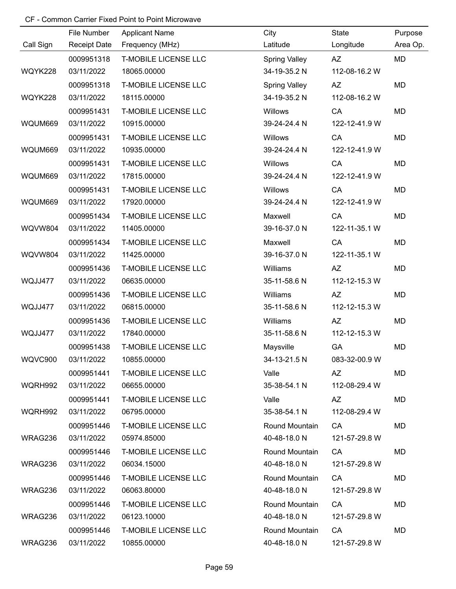|                | File Number         | <b>Applicant Name</b>       | City                 | State         | Purpose   |
|----------------|---------------------|-----------------------------|----------------------|---------------|-----------|
| Call Sign      | <b>Receipt Date</b> | Frequency (MHz)             | Latitude             | Longitude     | Area Op.  |
|                | 0009951318          | <b>T-MOBILE LICENSE LLC</b> | <b>Spring Valley</b> | <b>AZ</b>     | <b>MD</b> |
| WQYK228        | 03/11/2022          | 18065.00000                 | 34-19-35.2 N         | 112-08-16.2 W |           |
|                | 0009951318          | <b>T-MOBILE LICENSE LLC</b> | <b>Spring Valley</b> | <b>AZ</b>     | MD        |
| WQYK228        | 03/11/2022          | 18115.00000                 | 34-19-35.2 N         | 112-08-16.2 W |           |
|                | 0009951431          | <b>T-MOBILE LICENSE LLC</b> | Willows              | CA            | MD        |
| WQUM669        | 03/11/2022          | 10915.00000                 | 39-24-24.4 N         | 122-12-41.9 W |           |
|                | 0009951431          | <b>T-MOBILE LICENSE LLC</b> | Willows              | CA            | MD        |
| WQUM669        | 03/11/2022          | 10935.00000                 | 39-24-24.4 N         | 122-12-41.9 W |           |
|                | 0009951431          | <b>T-MOBILE LICENSE LLC</b> | Willows              | CA            | MD        |
| WQUM669        | 03/11/2022          | 17815.00000                 | 39-24-24.4 N         | 122-12-41.9 W |           |
|                | 0009951431          | <b>T-MOBILE LICENSE LLC</b> | Willows              | CA            | <b>MD</b> |
| WQUM669        | 03/11/2022          | 17920.00000                 | 39-24-24.4 N         | 122-12-41.9 W |           |
|                | 0009951434          | <b>T-MOBILE LICENSE LLC</b> | Maxwell              | CA            | MD        |
| <b>WQVW804</b> | 03/11/2022          | 11405.00000                 | 39-16-37.0 N         | 122-11-35.1 W |           |
|                | 0009951434          | <b>T-MOBILE LICENSE LLC</b> | Maxwell              | CA            | MD        |
| <b>WQVW804</b> | 03/11/2022          | 11425.00000                 | 39-16-37.0 N         | 122-11-35.1 W |           |
|                | 0009951436          | <b>T-MOBILE LICENSE LLC</b> | Williams             | AZ            | MD        |
| WQJJ477        | 03/11/2022          | 06635.00000                 | 35-11-58.6 N         | 112-12-15.3 W |           |
|                | 0009951436          | <b>T-MOBILE LICENSE LLC</b> | Williams             | AZ            | MD        |
| WQJJ477        | 03/11/2022          | 06815.00000                 | 35-11-58.6 N         | 112-12-15.3 W |           |
|                | 0009951436          | <b>T-MOBILE LICENSE LLC</b> | Williams             | <b>AZ</b>     | MD        |
| WQJJ477        | 03/11/2022          | 17840.00000                 | 35-11-58.6 N         | 112-12-15.3 W |           |
|                | 0009951438          | <b>T-MOBILE LICENSE LLC</b> | Maysville            | GA            | <b>MD</b> |
| WQVC900        | 03/11/2022          | 10855.00000                 | 34-13-21.5 N         | 083-32-00.9 W |           |
|                | 0009951441          | <b>T-MOBILE LICENSE LLC</b> | Valle                | AZ            | MD        |
| WQRH992        | 03/11/2022          | 06655.00000                 | 35-38-54.1 N         | 112-08-29.4 W |           |
|                | 0009951441          | <b>T-MOBILE LICENSE LLC</b> | Valle                | AZ            | MD        |
| WQRH992        | 03/11/2022          | 06795.00000                 | 35-38-54.1 N         | 112-08-29.4 W |           |
|                | 0009951446          | <b>T-MOBILE LICENSE LLC</b> | Round Mountain       | CA            | MD        |
| WRAG236        | 03/11/2022          | 05974.85000                 | 40-48-18.0 N         | 121-57-29.8 W |           |
|                | 0009951446          | <b>T-MOBILE LICENSE LLC</b> | Round Mountain       | CA            | MD        |
| WRAG236        | 03/11/2022          | 06034.15000                 | 40-48-18.0 N         | 121-57-29.8 W |           |
|                | 0009951446          | <b>T-MOBILE LICENSE LLC</b> | Round Mountain       | CA            | MD        |
| WRAG236        | 03/11/2022          | 06063.80000                 | 40-48-18.0 N         | 121-57-29.8 W |           |
|                | 0009951446          | <b>T-MOBILE LICENSE LLC</b> | Round Mountain       | CA            | MD        |
| WRAG236        | 03/11/2022          | 06123.10000                 | 40-48-18.0 N         | 121-57-29.8 W |           |
|                | 0009951446          | <b>T-MOBILE LICENSE LLC</b> | Round Mountain       | CA            | MD        |
| WRAG236        | 03/11/2022          | 10855.00000                 | 40-48-18.0 N         | 121-57-29.8 W |           |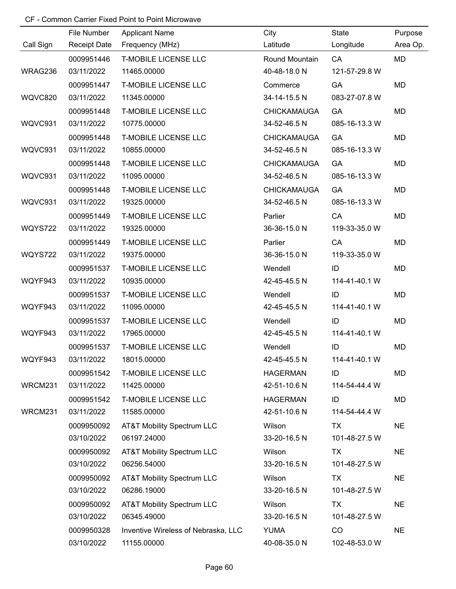|                | File Number         | <b>Applicant Name</b>                 | City               | State         | Purpose   |
|----------------|---------------------|---------------------------------------|--------------------|---------------|-----------|
| Call Sign      | <b>Receipt Date</b> | Frequency (MHz)                       | Latitude           | Longitude     | Area Op.  |
|                | 0009951446          | <b>T-MOBILE LICENSE LLC</b>           | Round Mountain     | CA            | <b>MD</b> |
| WRAG236        | 03/11/2022          | 11465.00000                           | 40-48-18.0 N       | 121-57-29.8 W |           |
|                | 0009951447          | <b>T-MOBILE LICENSE LLC</b>           | Commerce           | GA            | MD        |
| <b>WQVC820</b> | 03/11/2022          | 11345.00000                           | 34-14-15.5 N       | 083-27-07.8 W |           |
|                | 0009951448          | <b>T-MOBILE LICENSE LLC</b>           | <b>CHICKAMAUGA</b> | GA            | <b>MD</b> |
| WQVC931        | 03/11/2022          | 10775.00000                           | 34-52-46.5 N       | 085-16-13.3 W |           |
|                | 0009951448          | <b>T-MOBILE LICENSE LLC</b>           | <b>CHICKAMAUGA</b> | GA            | <b>MD</b> |
| WQVC931        | 03/11/2022          | 10855.00000                           | 34-52-46.5 N       | 085-16-13.3 W |           |
|                | 0009951448          | <b>T-MOBILE LICENSE LLC</b>           | <b>CHICKAMAUGA</b> | GA            | MD        |
| WQVC931        | 03/11/2022          | 11095.00000                           | 34-52-46.5 N       | 085-16-13.3 W |           |
|                | 0009951448          | <b>T-MOBILE LICENSE LLC</b>           | <b>CHICKAMAUGA</b> | <b>GA</b>     | MD        |
| WQVC931        | 03/11/2022          | 19325.00000                           | 34-52-46.5 N       | 085-16-13.3 W |           |
|                | 0009951449          | <b>T-MOBILE LICENSE LLC</b>           | Parlier            | CA            | MD        |
| <b>WQYS722</b> | 03/11/2022          | 19325.00000                           | 36-36-15.0 N       | 119-33-35.0 W |           |
|                | 0009951449          | <b>T-MOBILE LICENSE LLC</b>           | Parlier            | CA            | MD        |
| <b>WQYS722</b> | 03/11/2022          | 19375.00000                           | 36-36-15.0 N       | 119-33-35.0 W |           |
|                | 0009951537          | <b>T-MOBILE LICENSE LLC</b>           | Wendell            | ID            | MD        |
| WQYF943        | 03/11/2022          | 10935.00000                           | 42-45-45.5 N       | 114-41-40.1 W |           |
|                | 0009951537          | <b>T-MOBILE LICENSE LLC</b>           | Wendell            | ID            | MD        |
| WQYF943        | 03/11/2022          | 11095.00000                           | 42-45-45.5 N       | 114-41-40.1 W |           |
|                | 0009951537          | <b>T-MOBILE LICENSE LLC</b>           | Wendell            | ID            | <b>MD</b> |
| WQYF943        | 03/11/2022          | 17965.00000                           | 42-45-45.5 N       | 114-41-40.1 W |           |
|                | 0009951537          | <b>T-MOBILE LICENSE LLC</b>           | Wendell            | ID            | <b>MD</b> |
| WQYF943        | 03/11/2022          | 18015.00000                           | 42-45-45.5 N       | 114-41-40.1 W |           |
|                | 0009951542          | <b>T-MOBILE LICENSE LLC</b>           | <b>HAGERMAN</b>    | ID            | MD        |
| WRCM231        | 03/11/2022          | 11425.00000                           | 42-51-10.6 N       | 114-54-44.4 W |           |
|                | 0009951542          | <b>T-MOBILE LICENSE LLC</b>           | <b>HAGERMAN</b>    | ID            | MD        |
| WRCM231        | 03/11/2022          | 11585.00000                           | 42-51-10.6 N       | 114-54-44.4 W |           |
|                | 0009950092          | <b>AT&amp;T Mobility Spectrum LLC</b> | Wilson             | TX            | <b>NE</b> |
|                | 03/10/2022          | 06197.24000                           | 33-20-16.5 N       | 101-48-27.5 W |           |
|                | 0009950092          | <b>AT&amp;T Mobility Spectrum LLC</b> | Wilson             | <b>TX</b>     | <b>NE</b> |
|                | 03/10/2022          | 06256.54000                           | 33-20-16.5 N       | 101-48-27.5 W |           |
|                | 0009950092          | <b>AT&amp;T Mobility Spectrum LLC</b> | Wilson             | TX            | <b>NE</b> |
|                | 03/10/2022          | 06286.19000                           | 33-20-16.5 N       | 101-48-27.5 W |           |
|                | 0009950092          | AT&T Mobility Spectrum LLC            | Wilson             | <b>TX</b>     | <b>NE</b> |
|                | 03/10/2022          | 06345.49000                           | 33-20-16.5 N       | 101-48-27.5 W |           |
|                | 0009950328          | Inventive Wireless of Nebraska, LLC   | <b>YUMA</b>        | CO            | <b>NE</b> |
|                | 03/10/2022          | 11155.00000                           | 40-08-35.0 N       | 102-48-53.0 W |           |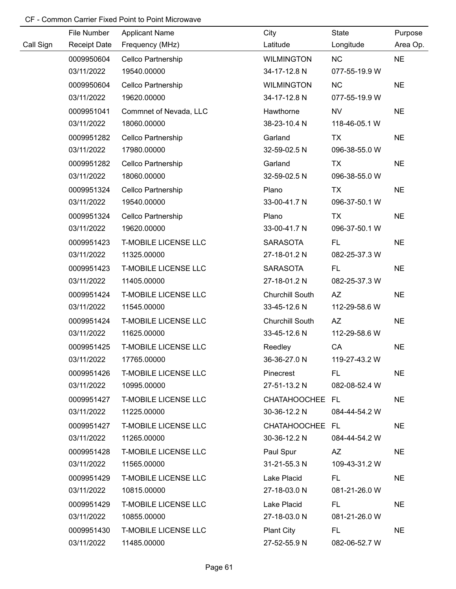|           | File Number         | <b>Applicant Name</b>       | City              | State         | Purpose   |
|-----------|---------------------|-----------------------------|-------------------|---------------|-----------|
| Call Sign | <b>Receipt Date</b> | Frequency (MHz)             | Latitude          | Longitude     | Area Op.  |
|           | 0009950604          | Cellco Partnership          | <b>WILMINGTON</b> | <b>NC</b>     | <b>NE</b> |
|           | 03/11/2022          | 19540.00000                 | 34-17-12.8 N      | 077-55-19.9 W |           |
|           | 0009950604          | Cellco Partnership          | <b>WILMINGTON</b> | <b>NC</b>     | <b>NE</b> |
|           | 03/11/2022          | 19620.00000                 | 34-17-12.8 N      | 077-55-19.9 W |           |
|           | 0009951041          | Commnet of Nevada, LLC      | Hawthorne         | <b>NV</b>     | <b>NE</b> |
|           | 03/11/2022          | 18060.00000                 | 38-23-10.4 N      | 118-46-05.1 W |           |
|           | 0009951282          | Cellco Partnership          | Garland           | <b>TX</b>     | <b>NE</b> |
|           | 03/11/2022          | 17980.00000                 | 32-59-02.5 N      | 096-38-55.0 W |           |
|           | 0009951282          | Cellco Partnership          | Garland           | <b>TX</b>     | <b>NE</b> |
|           | 03/11/2022          | 18060.00000                 | 32-59-02.5 N      | 096-38-55.0 W |           |
|           | 0009951324          | Cellco Partnership          | Plano             | <b>TX</b>     | <b>NE</b> |
|           | 03/11/2022          | 19540.00000                 | 33-00-41.7 N      | 096-37-50.1 W |           |
|           | 0009951324          | Cellco Partnership          | Plano             | TX            | <b>NE</b> |
|           | 03/11/2022          | 19620.00000                 | 33-00-41.7 N      | 096-37-50.1 W |           |
|           | 0009951423          | <b>T-MOBILE LICENSE LLC</b> | <b>SARASOTA</b>   | FL.           | <b>NE</b> |
|           | 03/11/2022          | 11325.00000                 | 27-18-01.2 N      | 082-25-37.3 W |           |
|           | 0009951423          | <b>T-MOBILE LICENSE LLC</b> | <b>SARASOTA</b>   | FL.           | <b>NE</b> |
|           | 03/11/2022          | 11405.00000                 | 27-18-01.2 N      | 082-25-37.3 W |           |
|           | 0009951424          | <b>T-MOBILE LICENSE LLC</b> | Churchill South   | AZ            | <b>NE</b> |
|           | 03/11/2022          | 11545.00000                 | 33-45-12.6 N      | 112-29-58.6 W |           |
|           | 0009951424          | <b>T-MOBILE LICENSE LLC</b> | Churchill South   | <b>AZ</b>     | <b>NE</b> |
|           | 03/11/2022          | 11625.00000                 | 33-45-12.6 N      | 112-29-58.6 W |           |
|           | 0009951425          | <b>T-MOBILE LICENSE LLC</b> | Reedley           | CA            | <b>NE</b> |
|           | 03/11/2022          | 17765.00000                 | 36-36-27.0 N      | 119-27-43.2 W |           |
|           | 0009951426          | <b>T-MOBILE LICENSE LLC</b> | Pinecrest         | FL.           | <b>NE</b> |
|           | 03/11/2022          | 10995.00000                 | 27-51-13.2 N      | 082-08-52.4 W |           |
|           | 0009951427          | <b>T-MOBILE LICENSE LLC</b> | CHATAHOOCHEE FL   |               | <b>NE</b> |
|           | 03/11/2022          | 11225.00000                 | 30-36-12.2 N      | 084-44-54.2 W |           |
|           | 0009951427          | <b>T-MOBILE LICENSE LLC</b> | CHATAHOOCHEE FL   |               | <b>NE</b> |
|           | 03/11/2022          | 11265.00000                 | 30-36-12.2 N      | 084-44-54.2 W |           |
|           | 0009951428          | <b>T-MOBILE LICENSE LLC</b> | Paul Spur         | AZ            | <b>NE</b> |
|           | 03/11/2022          | 11565.00000                 | 31-21-55.3 N      | 109-43-31.2 W |           |
|           | 0009951429          | <b>T-MOBILE LICENSE LLC</b> | Lake Placid       | FL.           | <b>NE</b> |
|           | 03/11/2022          | 10815.00000                 | 27-18-03.0 N      | 081-21-26.0 W |           |
|           | 0009951429          | <b>T-MOBILE LICENSE LLC</b> | Lake Placid       | FL.           | <b>NE</b> |
|           | 03/11/2022          | 10855.00000                 | 27-18-03.0 N      | 081-21-26.0 W |           |
|           | 0009951430          | <b>T-MOBILE LICENSE LLC</b> | <b>Plant City</b> | FL.           | <b>NE</b> |
|           | 03/11/2022          | 11485.00000                 | 27-52-55.9 N      | 082-06-52.7 W |           |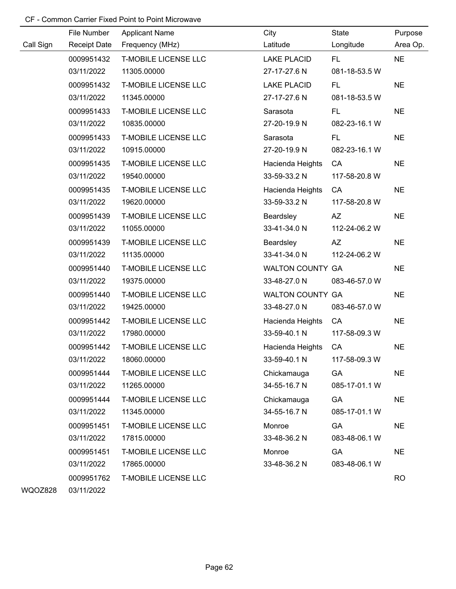|           | File Number              | <b>Applicant Name</b>                      | City                        | State               | Purpose   |
|-----------|--------------------------|--------------------------------------------|-----------------------------|---------------------|-----------|
| Call Sign | Receipt Date             | Frequency (MHz)                            | Latitude                    | Longitude           | Area Op.  |
|           | 0009951432               | <b>T-MOBILE LICENSE LLC</b>                | <b>LAKE PLACID</b>          | FL.                 | <b>NE</b> |
|           | 03/11/2022               | 11305.00000                                | 27-17-27.6 N                | 081-18-53.5 W       |           |
|           | 0009951432               | <b>T-MOBILE LICENSE LLC</b>                | <b>LAKE PLACID</b>          | FL.                 | <b>NE</b> |
|           | 03/11/2022               | 11345.00000                                | 27-17-27.6 N                | 081-18-53.5 W       |           |
|           | 0009951433               | <b>T-MOBILE LICENSE LLC</b>                | Sarasota                    | FL.                 | <b>NE</b> |
|           | 03/11/2022               | 10835.00000                                | 27-20-19.9 N                | 082-23-16.1 W       |           |
|           | 0009951433               | <b>T-MOBILE LICENSE LLC</b>                | Sarasota                    | FL.                 | <b>NE</b> |
|           | 03/11/2022               | 10915.00000                                | 27-20-19.9 N                | 082-23-16.1 W       |           |
|           | 0009951435               | <b>T-MOBILE LICENSE LLC</b>                | Hacienda Heights            | CA                  | <b>NE</b> |
|           | 03/11/2022               | 19540.00000                                | 33-59-33.2 N                | 117-58-20.8 W       |           |
|           | 0009951435               | <b>T-MOBILE LICENSE LLC</b>                | Hacienda Heights            | CA                  | <b>NE</b> |
|           | 03/11/2022               | 19620.00000                                | 33-59-33.2 N                | 117-58-20.8 W       |           |
|           | 0009951439               | <b>T-MOBILE LICENSE LLC</b>                | Beardsley                   | <b>AZ</b>           | <b>NE</b> |
|           | 03/11/2022               | 11055.00000                                | 33-41-34.0 N                | 112-24-06.2 W       |           |
|           | 0009951439               | <b>T-MOBILE LICENSE LLC</b>                | Beardsley                   | AZ                  | <b>NE</b> |
|           | 03/11/2022               | 11135.00000                                | 33-41-34.0 N                | 112-24-06.2 W       |           |
|           | 0009951440               | <b>T-MOBILE LICENSE LLC</b>                | WALTON COUNTY GA            |                     | <b>NE</b> |
|           | 03/11/2022               | 19375.00000                                | 33-48-27.0 N                | 083-46-57.0 W       |           |
|           | 0009951440               | <b>T-MOBILE LICENSE LLC</b>                | <b>WALTON COUNTY GA</b>     |                     | <b>NE</b> |
|           | 03/11/2022               | 19425.00000                                | 33-48-27.0 N                | 083-46-57.0 W       |           |
|           | 0009951442               | <b>T-MOBILE LICENSE LLC</b>                | Hacienda Heights            | CA                  | <b>NE</b> |
|           | 03/11/2022               | 17980.00000                                | 33-59-40.1 N                | 117-58-09.3 W       |           |
|           | 0009951442               | <b>T-MOBILE LICENSE LLC</b>                | Hacienda Heights            | CA                  | <b>NE</b> |
|           | 03/11/2022               | 18060.00000                                | 33-59-40.1 N                | 117-58-09.3 W       |           |
|           | 0009951444<br>03/11/2022 | <b>T-MOBILE LICENSE LLC</b><br>11265.00000 | Chickamauga<br>34-55-16.7 N | GA<br>085-17-01.1 W | <b>NE</b> |
|           | 0009951444               | <b>T-MOBILE LICENSE LLC</b>                |                             | GA                  | <b>NE</b> |
|           | 03/11/2022               | 11345.00000                                | Chickamauga<br>34-55-16.7 N | 085-17-01.1 W       |           |
|           | 0009951451               | <b>T-MOBILE LICENSE LLC</b>                | Monroe                      | GA                  | <b>NE</b> |
|           | 03/11/2022               | 17815.00000                                | 33-48-36.2 N                | 083-48-06.1 W       |           |
|           | 0009951451               | <b>T-MOBILE LICENSE LLC</b>                | Monroe                      | GA                  | <b>NE</b> |
|           | 03/11/2022               | 17865.00000                                | 33-48-36.2 N                | 083-48-06.1 W       |           |
|           | 0009951762               | <b>T-MOBILE LICENSE LLC</b>                |                             |                     | <b>RO</b> |
|           |                          |                                            |                             |                     |           |

WQOZ828 03/11/2022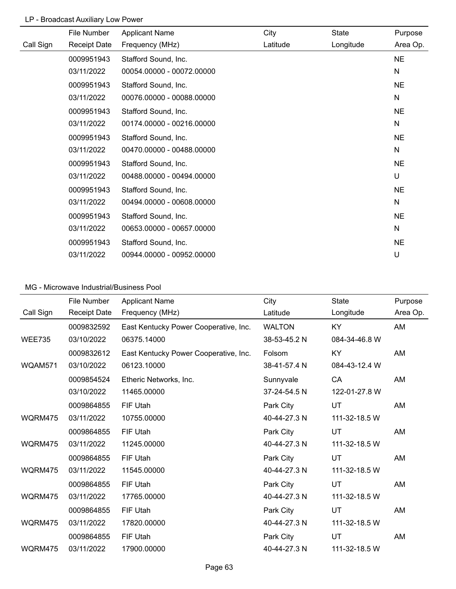# LP - Broadcast Auxiliary Low Power

|           | File Number         | <b>Applicant Name</b>     | City     | State     | Purpose      |
|-----------|---------------------|---------------------------|----------|-----------|--------------|
| Call Sign | <b>Receipt Date</b> | Frequency (MHz)           | Latitude | Longitude | Area Op.     |
|           | 0009951943          | Stafford Sound, Inc.      |          |           | <b>NE</b>    |
|           | 03/11/2022          | 00054.00000 - 00072.00000 |          |           | $\mathsf{N}$ |
|           | 0009951943          | Stafford Sound, Inc.      |          |           | <b>NE</b>    |
|           | 03/11/2022          | 00076.00000 - 00088.00000 |          |           | $\mathsf{N}$ |
|           | 0009951943          | Stafford Sound, Inc.      |          |           | <b>NE</b>    |
|           | 03/11/2022          | 00174.00000 - 00216.00000 |          |           | N            |
|           | 0009951943          | Stafford Sound, Inc.      |          |           | <b>NE</b>    |
|           | 03/11/2022          | 00470.00000 - 00488.00000 |          |           | N            |
|           | 0009951943          | Stafford Sound, Inc.      |          |           | <b>NE</b>    |
|           | 03/11/2022          | 00488.00000 - 00494.00000 |          |           | U            |
|           | 0009951943          | Stafford Sound, Inc.      |          |           | <b>NE</b>    |
|           | 03/11/2022          | 00494.00000 - 00608.00000 |          |           | N            |
|           | 0009951943          | Stafford Sound, Inc.      |          |           | <b>NE</b>    |
|           | 03/11/2022          | 00653.00000 - 00657.00000 |          |           | N            |
|           | 0009951943          | Stafford Sound, Inc.      |          |           | <b>NE</b>    |
|           | 03/11/2022          | 00944.00000 - 00952.00000 |          |           | U            |

|               | File Number         | <b>Applicant Name</b>                 | City          | <b>State</b>  | Purpose  |
|---------------|---------------------|---------------------------------------|---------------|---------------|----------|
| Call Sign     | <b>Receipt Date</b> | Frequency (MHz)                       | Latitude      | Longitude     | Area Op. |
|               | 0009832592          | East Kentucky Power Cooperative, Inc. | <b>WALTON</b> | KY            | AM       |
| <b>WEE735</b> | 03/10/2022          | 06375.14000                           | 38-53-45.2 N  | 084-34-46.8 W |          |
|               | 0009832612          | East Kentucky Power Cooperative, Inc. | Folsom        | KY            | AM       |
| WQAM571       | 03/10/2022          | 06123.10000                           | 38-41-57.4 N  | 084-43-12.4 W |          |
|               | 0009854524          | Etheric Networks, Inc.                | Sunnyvale     | CA            | AM       |
|               | 03/10/2022          | 11465.00000                           | 37-24-54.5 N  | 122-01-27.8 W |          |
|               | 0009864855          | FIF Utah                              | Park City     | UT            | AM       |
| WQRM475       | 03/11/2022          | 10755.00000                           | 40-44-27.3 N  | 111-32-18.5 W |          |
|               | 0009864855          | FIF Utah                              | Park City     | UT            | AM       |
| WQRM475       | 03/11/2022          | 11245.00000                           | 40-44-27.3 N  | 111-32-18.5 W |          |
|               | 0009864855          | FIF Utah                              | Park City     | UT            | AM       |
| WQRM475       | 03/11/2022          | 11545.00000                           | 40-44-27.3 N  | 111-32-18.5 W |          |
|               | 0009864855          | FIF Utah                              | Park City     | UT            | AM       |
| WQRM475       | 03/11/2022          | 17765.00000                           | 40-44-27.3 N  | 111-32-18.5 W |          |
|               | 0009864855          | FIF Utah                              | Park City     | UT            | AM       |
| WQRM475       | 03/11/2022          | 17820.00000                           | 40-44-27.3 N  | 111-32-18.5 W |          |
|               | 0009864855          | FIF Utah                              | Park City     | UT            | AM       |
| WQRM475       | 03/11/2022          | 17900.00000                           | 40-44-27.3 N  | 111-32-18.5 W |          |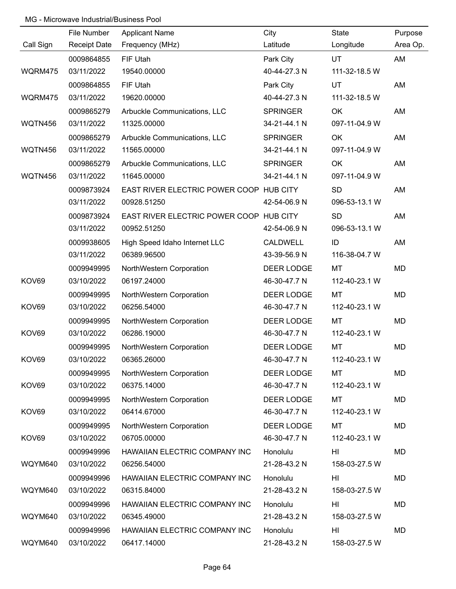|           | File Number         | <b>Applicant Name</b>                   | City            | State         | Purpose   |
|-----------|---------------------|-----------------------------------------|-----------------|---------------|-----------|
| Call Sign | <b>Receipt Date</b> | Frequency (MHz)                         | Latitude        | Longitude     | Area Op.  |
|           | 0009864855          | FIF Utah                                | Park City       | UT            | AM        |
| WQRM475   | 03/11/2022          | 19540.00000                             | 40-44-27.3 N    | 111-32-18.5 W |           |
|           | 0009864855          | FIF Utah                                | Park City       | <b>UT</b>     | AM        |
| WQRM475   | 03/11/2022          | 19620.00000                             | 40-44-27.3 N    | 111-32-18.5 W |           |
|           | 0009865279          | Arbuckle Communications, LLC            | <b>SPRINGER</b> | OK            | AM        |
| WQTN456   | 03/11/2022          | 11325.00000                             | 34-21-44.1 N    | 097-11-04.9 W |           |
|           | 0009865279          | Arbuckle Communications, LLC            | <b>SPRINGER</b> | OK            | AM        |
| WQTN456   | 03/11/2022          | 11565.00000                             | 34-21-44.1 N    | 097-11-04.9 W |           |
|           | 0009865279          | Arbuckle Communications, LLC            | <b>SPRINGER</b> | OK            | AM        |
| WQTN456   | 03/11/2022          | 11645.00000                             | 34-21-44.1 N    | 097-11-04.9 W |           |
|           | 0009873924          | EAST RIVER ELECTRIC POWER COOP HUB CITY |                 | SD            | AM        |
|           | 03/11/2022          | 00928.51250                             | 42-54-06.9 N    | 096-53-13.1 W |           |
|           | 0009873924          | EAST RIVER ELECTRIC POWER COOP HUB CITY |                 | <b>SD</b>     | AM        |
|           | 03/11/2022          | 00952.51250                             | 42-54-06.9 N    | 096-53-13.1 W |           |
|           | 0009938605          | High Speed Idaho Internet LLC           | CALDWELL        | ID            | AM        |
|           | 03/11/2022          | 06389.96500                             | 43-39-56.9 N    | 116-38-04.7 W |           |
|           | 0009949995          | NorthWestern Corporation                | DEER LODGE      | MT            | <b>MD</b> |
| KOV69     | 03/10/2022          | 06197.24000                             | 46-30-47.7 N    | 112-40-23.1 W |           |
|           | 0009949995          | NorthWestern Corporation                | DEER LODGE      | MT            | <b>MD</b> |
| KOV69     | 03/10/2022          | 06256.54000                             | 46-30-47.7 N    | 112-40-23.1 W |           |
|           | 0009949995          | NorthWestern Corporation                | DEER LODGE      | MT            | <b>MD</b> |
| KOV69     | 03/10/2022          | 06286.19000                             | 46-30-47.7 N    | 112-40-23.1 W |           |
|           | 0009949995          | NorthWestern Corporation                | DEER LODGE      | MT            | <b>MD</b> |
| KOV69     | 03/10/2022          | 06365.26000                             | 46-30-47.7 N    | 112-40-23.1 W |           |
|           | 0009949995          | NorthWestern Corporation                | DEER LODGE      | MT            | <b>MD</b> |
| KOV69     | 03/10/2022          | 06375.14000                             | 46-30-47.7 N    | 112-40-23.1 W |           |
|           | 0009949995          | NorthWestern Corporation                | DEER LODGE      | MT            | <b>MD</b> |
| KOV69     | 03/10/2022          | 06414.67000                             | 46-30-47.7 N    | 112-40-23.1 W |           |
|           | 0009949995          | NorthWestern Corporation                | DEER LODGE      | MT            | <b>MD</b> |
| KOV69     | 03/10/2022          | 06705.00000                             | 46-30-47.7 N    | 112-40-23.1 W |           |
|           | 0009949996          | HAWAIIAN ELECTRIC COMPANY INC           | Honolulu        | HI            | <b>MD</b> |
| WQYM640   | 03/10/2022          | 06256.54000                             | 21-28-43.2 N    | 158-03-27.5 W |           |
|           | 0009949996          | HAWAIIAN ELECTRIC COMPANY INC           | Honolulu        | HI            | <b>MD</b> |
| WQYM640   | 03/10/2022          | 06315.84000                             | 21-28-43.2 N    | 158-03-27.5 W |           |
|           | 0009949996          | HAWAIIAN ELECTRIC COMPANY INC           | Honolulu        | HI            | <b>MD</b> |
| WQYM640   | 03/10/2022          | 06345.49000                             | 21-28-43.2 N    | 158-03-27.5 W |           |
|           | 0009949996          | HAWAIIAN ELECTRIC COMPANY INC           | Honolulu        | HI            | <b>MD</b> |
| WQYM640   | 03/10/2022          | 06417.14000                             | 21-28-43.2 N    | 158-03-27.5 W |           |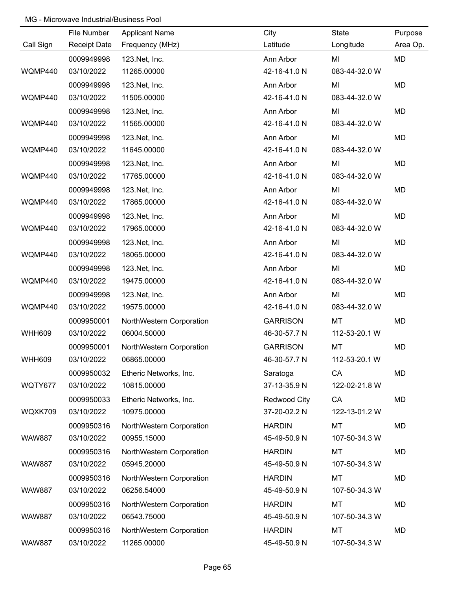|               | File Number         | <b>Applicant Name</b>    | City            | State         | Purpose   |
|---------------|---------------------|--------------------------|-----------------|---------------|-----------|
| Call Sign     | <b>Receipt Date</b> | Frequency (MHz)          | Latitude        | Longitude     | Area Op.  |
|               | 0009949998          | 123. Net, Inc.           | Ann Arbor       | MI            | <b>MD</b> |
| WQMP440       | 03/10/2022          | 11265.00000              | 42-16-41.0 N    | 083-44-32.0 W |           |
|               | 0009949998          | 123. Net, Inc.           | Ann Arbor       | MI            | <b>MD</b> |
| WQMP440       | 03/10/2022          | 11505.00000              | 42-16-41.0 N    | 083-44-32.0 W |           |
|               | 0009949998          | 123. Net, Inc.           | Ann Arbor       | MI            | MD        |
| WQMP440       | 03/10/2022          | 11565.00000              | 42-16-41.0 N    | 083-44-32.0 W |           |
|               | 0009949998          | 123. Net, Inc.           | Ann Arbor       | MI            | MD        |
| WQMP440       | 03/10/2022          | 11645.00000              | 42-16-41.0 N    | 083-44-32.0 W |           |
|               | 0009949998          | 123. Net, Inc.           | Ann Arbor       | MI            | MD        |
| WQMP440       | 03/10/2022          | 17765.00000              | 42-16-41.0 N    | 083-44-32.0 W |           |
|               | 0009949998          | 123. Net, Inc.           | Ann Arbor       | MI            | MD        |
| WQMP440       | 03/10/2022          | 17865.00000              | 42-16-41.0 N    | 083-44-32.0 W |           |
|               | 0009949998          | 123. Net, Inc.           | Ann Arbor       | MI            | MD        |
| WQMP440       | 03/10/2022          | 17965.00000              | 42-16-41.0 N    | 083-44-32.0 W |           |
|               | 0009949998          | 123. Net, Inc.           | Ann Arbor       | MI            | MD        |
| WQMP440       | 03/10/2022          | 18065.00000              | 42-16-41.0 N    | 083-44-32.0 W |           |
|               | 0009949998          | 123. Net, Inc.           | Ann Arbor       | MI            | MD        |
| WQMP440       | 03/10/2022          | 19475.00000              | 42-16-41.0 N    | 083-44-32.0 W |           |
|               | 0009949998          | 123. Net, Inc.           | Ann Arbor       | MI            | MD        |
| WQMP440       | 03/10/2022          | 19575.00000              | 42-16-41.0 N    | 083-44-32.0 W |           |
|               | 0009950001          | NorthWestern Corporation | <b>GARRISON</b> | MT            | MD        |
| <b>WHH609</b> | 03/10/2022          | 06004.50000              | 46-30-57.7 N    | 112-53-20.1 W |           |
|               | 0009950001          | NorthWestern Corporation | <b>GARRISON</b> | MT            | MD        |
| <b>WHH609</b> | 03/10/2022          | 06865.00000              | 46-30-57.7 N    | 112-53-20.1 W |           |
|               | 0009950032          | Etheric Networks, Inc.   | Saratoga        | CA            | MD        |
| WQTY677       | 03/10/2022          | 10815.00000              | 37-13-35.9 N    | 122-02-21.8 W |           |
|               | 0009950033          | Etheric Networks, Inc.   | Redwood City    | CA            | MD        |
| WQXK709       | 03/10/2022          | 10975.00000              | 37-20-02.2 N    | 122-13-01.2 W |           |
|               | 0009950316          | NorthWestern Corporation | <b>HARDIN</b>   | <b>MT</b>     | MD        |
| <b>WAW887</b> | 03/10/2022          | 00955.15000              | 45-49-50.9 N    | 107-50-34.3 W |           |
|               | 0009950316          | NorthWestern Corporation | <b>HARDIN</b>   | <b>MT</b>     | MD        |
| <b>WAW887</b> | 03/10/2022          | 05945.20000              | 45-49-50.9 N    | 107-50-34.3 W |           |
|               | 0009950316          | NorthWestern Corporation | <b>HARDIN</b>   | MT            | MD        |
| <b>WAW887</b> | 03/10/2022          | 06256.54000              | 45-49-50.9 N    | 107-50-34.3 W |           |
|               | 0009950316          | NorthWestern Corporation | <b>HARDIN</b>   | MT            | MD        |
| <b>WAW887</b> | 03/10/2022          | 06543.75000              | 45-49-50.9 N    | 107-50-34.3 W |           |
|               | 0009950316          | NorthWestern Corporation | <b>HARDIN</b>   | MT            | MD        |
| <b>WAW887</b> | 03/10/2022          | 11265.00000              | 45-49-50.9 N    | 107-50-34.3 W |           |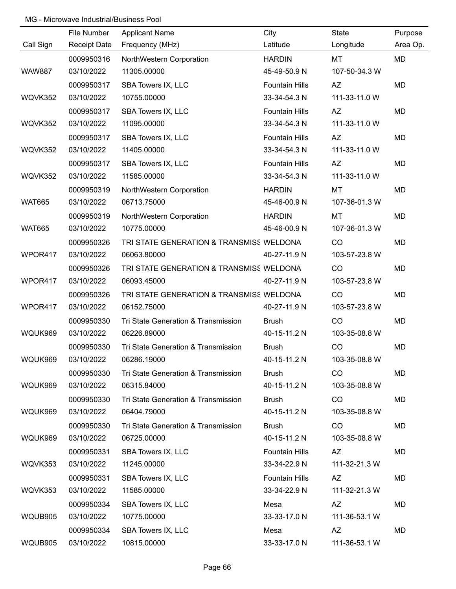|               | File Number         | <b>Applicant Name</b>                    | City                  | State         | Purpose   |
|---------------|---------------------|------------------------------------------|-----------------------|---------------|-----------|
| Call Sign     | <b>Receipt Date</b> | Frequency (MHz)                          | Latitude              | Longitude     | Area Op.  |
|               | 0009950316          | NorthWestern Corporation                 | <b>HARDIN</b>         | MT            | <b>MD</b> |
| <b>WAW887</b> | 03/10/2022          | 11305.00000                              | 45-49-50.9 N          | 107-50-34.3 W |           |
|               | 0009950317          | SBA Towers IX, LLC                       | <b>Fountain Hills</b> | <b>AZ</b>     | MD        |
| WQVK352       | 03/10/2022          | 10755.00000                              | 33-34-54.3 N          | 111-33-11.0 W |           |
|               | 0009950317          | SBA Towers IX, LLC                       | <b>Fountain Hills</b> | AZ            | MD        |
| WQVK352       | 03/10/2022          | 11095.00000                              | 33-34-54.3 N          | 111-33-11.0 W |           |
|               | 0009950317          | SBA Towers IX, LLC                       | <b>Fountain Hills</b> | AZ            | MD        |
| WQVK352       | 03/10/2022          | 11405.00000                              | 33-34-54.3 N          | 111-33-11.0 W |           |
|               | 0009950317          | SBA Towers IX, LLC                       | <b>Fountain Hills</b> | AZ            | MD        |
| WQVK352       | 03/10/2022          | 11585.00000                              | 33-34-54.3 N          | 111-33-11.0 W |           |
|               | 0009950319          | NorthWestern Corporation                 | <b>HARDIN</b>         | MT            | <b>MD</b> |
| <b>WAT665</b> | 03/10/2022          | 06713.75000                              | 45-46-00.9 N          | 107-36-01.3 W |           |
|               | 0009950319          | NorthWestern Corporation                 | <b>HARDIN</b>         | MT            | MD        |
| <b>WAT665</b> | 03/10/2022          | 10775.00000                              | 45-46-00.9 N          | 107-36-01.3 W |           |
|               | 0009950326          | TRI STATE GENERATION & TRANSMISS WELDONA |                       | CO            | <b>MD</b> |
| WPOR417       | 03/10/2022          | 06063.80000                              | 40-27-11.9 N          | 103-57-23.8 W |           |
|               | 0009950326          | TRI STATE GENERATION & TRANSMISS WELDONA |                       | CO            | <b>MD</b> |
| WPOR417       | 03/10/2022          | 06093.45000                              | 40-27-11.9 N          | 103-57-23.8 W |           |
|               | 0009950326          | TRI STATE GENERATION & TRANSMISS WELDONA |                       | CO            | <b>MD</b> |
| WPOR417       | 03/10/2022          | 06152.75000                              | 40-27-11.9 N          | 103-57-23.8 W |           |
|               | 0009950330          | Tri State Generation & Transmission      | <b>Brush</b>          | CO            | MD        |
| WQUK969       | 03/10/2022          | 06226.89000                              | 40-15-11.2 N          | 103-35-08.8 W |           |
|               | 0009950330          | Tri State Generation & Transmission      | <b>Brush</b>          | CO            | <b>MD</b> |
| WQUK969       | 03/10/2022          | 06286.19000                              | 40-15-11.2 N          | 103-35-08.8 W |           |
|               | 0009950330          | Tri State Generation & Transmission      | <b>Brush</b>          | <b>CO</b>     | MD        |
| WQUK969       | 03/10/2022          | 06315.84000                              | 40-15-11.2 N          | 103-35-08.8 W |           |
|               | 0009950330          | Tri State Generation & Transmission      | <b>Brush</b>          | CO            | MD        |
| WQUK969       | 03/10/2022          | 06404.79000                              | 40-15-11.2 N          | 103-35-08.8 W |           |
|               | 0009950330          | Tri State Generation & Transmission      | <b>Brush</b>          | CO            | MD        |
| WQUK969       | 03/10/2022          | 06725.00000                              | 40-15-11.2 N          | 103-35-08.8 W |           |
|               | 0009950331          | SBA Towers IX, LLC                       | <b>Fountain Hills</b> | AZ            | MD        |
| WQVK353       | 03/10/2022          | 11245.00000                              | 33-34-22.9 N          | 111-32-21.3 W |           |
|               | 0009950331          | SBA Towers IX, LLC                       | <b>Fountain Hills</b> | AZ            | MD        |
| WQVK353       | 03/10/2022          | 11585.00000                              | 33-34-22.9 N          | 111-32-21.3 W |           |
|               | 0009950334          | SBA Towers IX, LLC                       | Mesa                  | <b>AZ</b>     | MD        |
| WQUB905       | 03/10/2022          | 10775.00000                              | 33-33-17.0 N          | 111-36-53.1 W |           |
|               | 0009950334          | SBA Towers IX, LLC                       | Mesa                  | <b>AZ</b>     | MD        |
| WQUB905       | 03/10/2022          | 10815.00000                              | 33-33-17.0 N          | 111-36-53.1 W |           |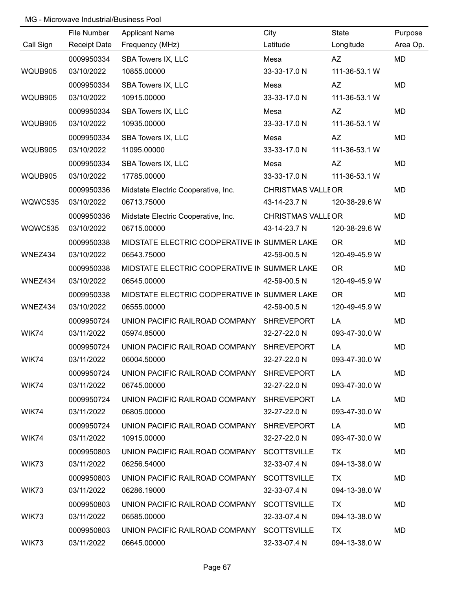|           | File Number              | <b>Applicant Name</b>                        | City                      | State                      | Purpose   |
|-----------|--------------------------|----------------------------------------------|---------------------------|----------------------------|-----------|
| Call Sign | <b>Receipt Date</b>      | Frequency (MHz)                              | Latitude                  | Longitude                  | Area Op.  |
|           | 0009950334               | SBA Towers IX, LLC                           | Mesa                      | <b>AZ</b>                  | MD        |
| WQUB905   | 03/10/2022               | 10855.00000                                  | 33-33-17.0 N              | 111-36-53.1 W              |           |
|           | 0009950334               |                                              | Mesa                      | <b>AZ</b>                  | MD        |
| WQUB905   | 03/10/2022               | SBA Towers IX, LLC<br>10915.00000            | 33-33-17.0 N              | 111-36-53.1 W              |           |
|           | 0009950334               |                                              |                           |                            |           |
| WQUB905   | 03/10/2022               | SBA Towers IX, LLC<br>10935.00000            | Mesa<br>33-33-17.0 N      | <b>AZ</b><br>111-36-53.1 W | <b>MD</b> |
|           |                          |                                              |                           |                            |           |
| WQUB905   | 0009950334<br>03/10/2022 | SBA Towers IX, LLC<br>11095.00000            | Mesa<br>33-33-17.0 N      | <b>AZ</b><br>111-36-53.1 W | <b>MD</b> |
|           |                          |                                              |                           |                            |           |
|           | 0009950334               | SBA Towers IX, LLC                           | Mesa<br>33-33-17.0 N      | AZ                         | <b>MD</b> |
| WQUB905   | 03/10/2022               | 17785.00000                                  |                           | 111-36-53.1 W              |           |
|           | 0009950336               | Midstate Electric Cooperative, Inc.          | <b>CHRISTMAS VALLE OR</b> |                            | <b>MD</b> |
| WQWC535   | 03/10/2022               | 06713.75000                                  | 43-14-23.7 N              | 120-38-29.6 W              |           |
|           | 0009950336               | Midstate Electric Cooperative, Inc.          | <b>CHRISTMAS VALLE OR</b> |                            | <b>MD</b> |
| WQWC535   | 03/10/2022               | 06715.00000                                  | 43-14-23.7 N              | 120-38-29.6 W              |           |
|           | 0009950338               | MIDSTATE ELECTRIC COOPERATIVE IN SUMMER LAKE |                           | <b>OR</b>                  | <b>MD</b> |
| WNEZ434   | 03/10/2022               | 06543.75000                                  | 42-59-00.5 N              | 120-49-45.9 W              |           |
|           | 0009950338               | MIDSTATE ELECTRIC COOPERATIVE IN SUMMER LAKE |                           | <b>OR</b>                  | <b>MD</b> |
| WNEZ434   | 03/10/2022               | 06545.00000                                  | 42-59-00.5 N              | 120-49-45.9 W              |           |
|           | 0009950338               | MIDSTATE ELECTRIC COOPERATIVE IN SUMMER LAKE |                           | <b>OR</b>                  | <b>MD</b> |
| WNEZ434   | 03/10/2022               | 06555.00000                                  | 42-59-00.5 N              | 120-49-45.9 W              |           |
|           | 0009950724               | UNION PACIFIC RAILROAD COMPANY SHREVEPORT    |                           | LA                         | <b>MD</b> |
| WIK74     | 03/11/2022               | 05974.85000                                  | 32-27-22.0 N              | 093-47-30.0 W              |           |
|           | 0009950724               | UNION PACIFIC RAILROAD COMPANY SHREVEPORT    |                           | LA                         | <b>MD</b> |
| WIK74     | 03/11/2022               | 06004.50000                                  | 32-27-22.0 N              | 093-47-30.0 W              |           |
|           | 0009950724               | UNION PACIFIC RAILROAD COMPANY SHREVEPORT    |                           | LA.                        | MD.       |
| WIK74     | 03/11/2022               | 06745.00000                                  | 32-27-22.0 N              | 093-47-30.0 W              |           |
|           | 0009950724               | UNION PACIFIC RAILROAD COMPANY SHREVEPORT    |                           | LA                         | MD        |
| WIK74     | 03/11/2022               | 06805.00000                                  | 32-27-22.0 N              | 093-47-30.0 W              |           |
|           | 0009950724               | UNION PACIFIC RAILROAD COMPANY SHREVEPORT    |                           | LA.                        | MD.       |
| WIK74     | 03/11/2022               | 10915.00000                                  | 32-27-22.0 N              | 093-47-30.0 W              |           |
|           | 0009950803               | UNION PACIFIC RAILROAD COMPANY SCOTTSVILLE   |                           | TX.                        | MD.       |
| WIK73     | 03/11/2022               | 06256.54000                                  | 32-33-07.4 N              | 094-13-38.0 W              |           |
|           | 0009950803               | UNION PACIFIC RAILROAD COMPANY SCOTTSVILLE   |                           | TX.                        | MD.       |
| WIK73     | 03/11/2022               | 06286.19000                                  | 32-33-07.4 N              | 094-13-38.0 W              |           |
|           | 0009950803               | UNION PACIFIC RAILROAD COMPANY SCOTTSVILLE   |                           | TX                         | MD.       |
| WIK73     | 03/11/2022               | 06585.00000                                  | 32-33-07.4 N              | 094-13-38.0 W              |           |
|           | 0009950803               | UNION PACIFIC RAILROAD COMPANY SCOTTSVILLE   |                           | TX                         | MD.       |
| WIK73     | 03/11/2022               | 06645.00000                                  | 32-33-07.4 N              | 094-13-38.0 W              |           |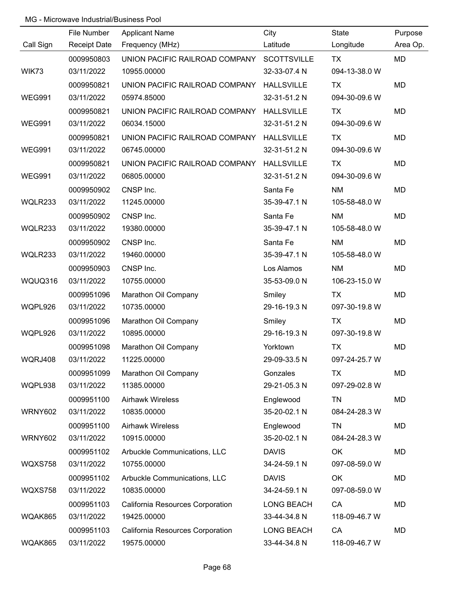|                | File Number         | <b>Applicant Name</b>                      | City              | State         | Purpose   |
|----------------|---------------------|--------------------------------------------|-------------------|---------------|-----------|
| Call Sign      | <b>Receipt Date</b> | Frequency (MHz)                            | Latitude          | Longitude     | Area Op.  |
|                | 0009950803          | UNION PACIFIC RAILROAD COMPANY SCOTTSVILLE |                   | <b>TX</b>     | <b>MD</b> |
| WIK73          | 03/11/2022          | 10955.00000                                | 32-33-07.4 N      | 094-13-38.0 W |           |
|                | 0009950821          | UNION PACIFIC RAILROAD COMPANY             | <b>HALLSVILLE</b> | TX            | <b>MD</b> |
| <b>WEG991</b>  | 03/11/2022          | 05974.85000                                | 32-31-51.2 N      | 094-30-09.6 W |           |
|                | 0009950821          | UNION PACIFIC RAILROAD COMPANY HALLSVILLE  |                   | <b>TX</b>     | <b>MD</b> |
| <b>WEG991</b>  | 03/11/2022          | 06034.15000                                | 32-31-51.2 N      | 094-30-09.6 W |           |
|                | 0009950821          | UNION PACIFIC RAILROAD COMPANY HALLSVILLE  |                   | TX            | <b>MD</b> |
| <b>WEG991</b>  | 03/11/2022          | 06745.00000                                | 32-31-51.2 N      | 094-30-09.6 W |           |
|                | 0009950821          | UNION PACIFIC RAILROAD COMPANY HALLSVILLE  |                   | TX            | <b>MD</b> |
| <b>WEG991</b>  | 03/11/2022          | 06805.00000                                | 32-31-51.2 N      | 094-30-09.6 W |           |
|                | 0009950902          | CNSP Inc.                                  | Santa Fe          | NM            | <b>MD</b> |
| WQLR233        | 03/11/2022          | 11245.00000                                | 35-39-47.1 N      | 105-58-48.0 W |           |
|                | 0009950902          | CNSP Inc.                                  | Santa Fe          | <b>NM</b>     | <b>MD</b> |
| WQLR233        | 03/11/2022          | 19380.00000                                | 35-39-47.1 N      | 105-58-48.0 W |           |
|                | 0009950902          | CNSP Inc.                                  | Santa Fe          | <b>NM</b>     | <b>MD</b> |
| WQLR233        | 03/11/2022          | 19460.00000                                | 35-39-47.1 N      | 105-58-48.0 W |           |
|                | 0009950903          | CNSP Inc.                                  | Los Alamos        | <b>NM</b>     | <b>MD</b> |
| WQUQ316        | 03/11/2022          | 10755.00000                                | 35-53-09.0 N      | 106-23-15.0 W |           |
|                | 0009951096          | Marathon Oil Company                       | Smiley            | TX            | <b>MD</b> |
| WQPL926        | 03/11/2022          | 10735.00000                                | 29-16-19.3 N      | 097-30-19.8 W |           |
|                | 0009951096          | Marathon Oil Company                       | Smiley            | TX            | <b>MD</b> |
| WQPL926        | 03/11/2022          | 10895.00000                                | 29-16-19.3 N      | 097-30-19.8 W |           |
|                | 0009951098          | Marathon Oil Company                       | Yorktown          | <b>TX</b>     | <b>MD</b> |
| <b>WQRJ408</b> | 03/11/2022          | 11225.00000                                | 29-09-33.5 N      | 097-24-25.7 W |           |
|                | 0009951099          | Marathon Oil Company                       | Gonzales          | <b>TX</b>     | <b>MD</b> |
| WQPL938        | 03/11/2022          | 11385.00000                                | 29-21-05.3 N      | 097-29-02.8 W |           |
|                | 0009951100          | <b>Airhawk Wireless</b>                    | Englewood         | <b>TN</b>     | <b>MD</b> |
| WRNY602        | 03/11/2022          | 10835.00000                                | 35-20-02.1 N      | 084-24-28.3 W |           |
|                | 0009951100          | <b>Airhawk Wireless</b>                    | Englewood         | <b>TN</b>     | <b>MD</b> |
| WRNY602        | 03/11/2022          | 10915.00000                                | 35-20-02.1 N      | 084-24-28.3 W |           |
|                | 0009951102          | Arbuckle Communications, LLC               | <b>DAVIS</b>      | OK            | <b>MD</b> |
| WQXS758        | 03/11/2022          | 10755.00000                                | 34-24-59.1 N      | 097-08-59.0 W |           |
|                | 0009951102          | Arbuckle Communications, LLC               | <b>DAVIS</b>      | OK            | <b>MD</b> |
| WQXS758        | 03/11/2022          | 10835.00000                                | 34-24-59.1 N      | 097-08-59.0 W |           |
|                | 0009951103          | California Resources Corporation           | <b>LONG BEACH</b> | CA            | <b>MD</b> |
| WQAK865        | 03/11/2022          | 19425.00000                                | 33-44-34.8 N      | 118-09-46.7 W |           |
|                | 0009951103          | California Resources Corporation           | LONG BEACH        | CA            | <b>MD</b> |
| WQAK865        | 03/11/2022          | 19575.00000                                | 33-44-34.8 N      | 118-09-46.7 W |           |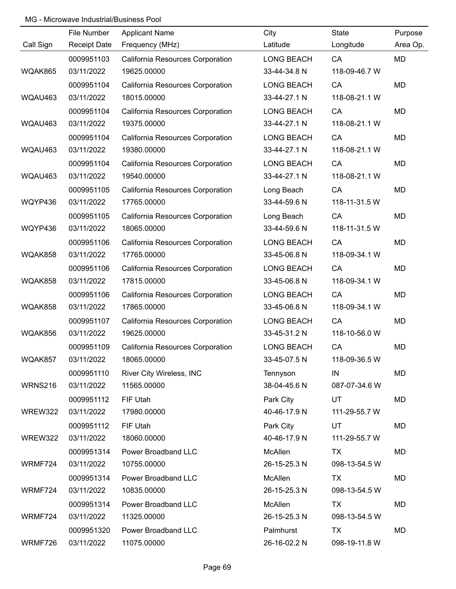|           | File Number         | <b>Applicant Name</b>            | City              | State         | Purpose   |
|-----------|---------------------|----------------------------------|-------------------|---------------|-----------|
| Call Sign | <b>Receipt Date</b> | Frequency (MHz)                  | Latitude          | Longitude     | Area Op.  |
|           | 0009951103          | California Resources Corporation | <b>LONG BEACH</b> | CA            | MD        |
| WQAK865   | 03/11/2022          | 19625.00000                      | 33-44-34.8 N      | 118-09-46.7 W |           |
|           | 0009951104          | California Resources Corporation | <b>LONG BEACH</b> | CA            | MD        |
| WQAU463   | 03/11/2022          | 18015.00000                      | 33-44-27.1 N      | 118-08-21.1 W |           |
|           | 0009951104          | California Resources Corporation | <b>LONG BEACH</b> | CA            | <b>MD</b> |
| WQAU463   | 03/11/2022          | 19375.00000                      | 33-44-27.1 N      | 118-08-21.1 W |           |
|           | 0009951104          | California Resources Corporation | LONG BEACH        | CA            | <b>MD</b> |
| WQAU463   | 03/11/2022          | 19380.00000                      | 33-44-27.1 N      | 118-08-21.1 W |           |
|           | 0009951104          | California Resources Corporation | LONG BEACH        | CA            | MD        |
| WQAU463   | 03/11/2022          | 19540.00000                      | 33-44-27.1 N      | 118-08-21.1 W |           |
|           | 0009951105          | California Resources Corporation | Long Beach        | CA            | <b>MD</b> |
| WQYP436   | 03/11/2022          | 17765.00000                      | 33-44-59.6 N      | 118-11-31.5 W |           |
|           | 0009951105          | California Resources Corporation | Long Beach        | CA            | MD        |
| WQYP436   | 03/11/2022          | 18065.00000                      | 33-44-59.6 N      | 118-11-31.5 W |           |
|           | 0009951106          | California Resources Corporation | LONG BEACH        | CA            | <b>MD</b> |
| WQAK858   | 03/11/2022          | 17765.00000                      | 33-45-06.8 N      | 118-09-34.1 W |           |
|           | 0009951106          | California Resources Corporation | <b>LONG BEACH</b> | CA            | MD        |
| WQAK858   | 03/11/2022          | 17815.00000                      | 33-45-06.8 N      | 118-09-34.1 W |           |
|           | 0009951106          | California Resources Corporation | <b>LONG BEACH</b> | CA            | <b>MD</b> |
| WQAK858   | 03/11/2022          | 17865.00000                      | 33-45-06.8 N      | 118-09-34.1 W |           |
|           | 0009951107          | California Resources Corporation | <b>LONG BEACH</b> | CA            | <b>MD</b> |
| WQAK856   | 03/11/2022          | 19625.00000                      | 33-45-31.2 N      | 118-10-56.0 W |           |
|           | 0009951109          | California Resources Corporation | <b>LONG BEACH</b> | CA            | <b>MD</b> |
| WQAK857   | 03/11/2022          | 18065.00000                      | 33-45-07.5 N      | 118-09-36.5 W |           |
|           | 0009951110          | River City Wireless, INC         | Tennyson          | IN            | MD        |
| WRNS216   | 03/11/2022          | 11565.00000                      | 38-04-45.6 N      | 087-07-34.6 W |           |
|           | 0009951112          | FIF Utah                         | Park City         | <b>UT</b>     | MD        |
| WREW322   | 03/11/2022          | 17980.00000                      | 40-46-17.9 N      | 111-29-55.7 W |           |
|           | 0009951112          | FIF Utah                         | Park City         | UT            | MD        |
| WREW322   | 03/11/2022          | 18060.00000                      | 40-46-17.9 N      | 111-29-55.7 W |           |
|           | 0009951314          | Power Broadband LLC              | McAllen           | TX            | MD        |
| WRMF724   | 03/11/2022          | 10755.00000                      | 26-15-25.3 N      | 098-13-54.5 W |           |
|           | 0009951314          | Power Broadband LLC              | McAllen           | TX            | MD        |
| WRMF724   | 03/11/2022          | 10835.00000                      | 26-15-25.3 N      | 098-13-54.5 W |           |
|           | 0009951314          | Power Broadband LLC              | McAllen           | <b>TX</b>     | MD        |
| WRMF724   | 03/11/2022          | 11325.00000                      | 26-15-25.3 N      | 098-13-54.5 W |           |
|           | 0009951320          | Power Broadband LLC              | Palmhurst         | <b>TX</b>     | MD        |
| WRMF726   | 03/11/2022          | 11075.00000                      | 26-16-02.2 N      | 098-19-11.8 W |           |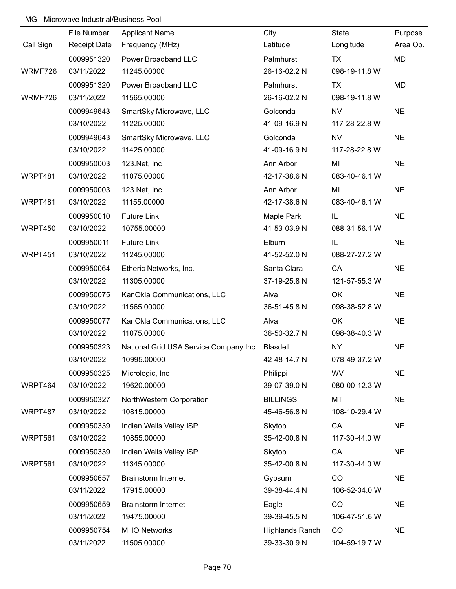|           | File Number         | <b>Applicant Name</b>                           | City                   | State         | Purpose   |
|-----------|---------------------|-------------------------------------------------|------------------------|---------------|-----------|
| Call Sign | <b>Receipt Date</b> | Frequency (MHz)                                 | Latitude               | Longitude     | Area Op.  |
|           | 0009951320          | Power Broadband LLC                             | Palmhurst              | <b>TX</b>     | MD        |
| WRMF726   | 03/11/2022          | 11245.00000                                     | 26-16-02.2 N           | 098-19-11.8 W |           |
|           | 0009951320          | Power Broadband LLC                             | Palmhurst              | TX            | MD        |
| WRMF726   | 03/11/2022          | 11565.00000                                     | 26-16-02.2 N           | 098-19-11.8 W |           |
|           | 0009949643          | SmartSky Microwave, LLC                         | Golconda               | <b>NV</b>     | <b>NE</b> |
|           | 03/10/2022          | 11225.00000                                     | 41-09-16.9 N           | 117-28-22.8 W |           |
|           | 0009949643          | SmartSky Microwave, LLC                         | Golconda               | <b>NV</b>     | <b>NE</b> |
|           | 03/10/2022          | 11425.00000                                     | 41-09-16.9 N           | 117-28-22.8 W |           |
|           | 0009950003          | 123.Net, Inc                                    | Ann Arbor              | MI            | <b>NE</b> |
| WRPT481   | 03/10/2022          | 11075.00000                                     | 42-17-38.6 N           | 083-40-46.1 W |           |
|           | 0009950003          | 123.Net, Inc                                    | Ann Arbor              | MI            | <b>NE</b> |
| WRPT481   | 03/10/2022          | 11155.00000                                     | 42-17-38.6 N           | 083-40-46.1 W |           |
|           | 0009950010          | <b>Future Link</b>                              | Maple Park             | IL.           | <b>NE</b> |
| WRPT450   | 03/10/2022          | 10755.00000                                     | 41-53-03.9 N           | 088-31-56.1 W |           |
|           | 0009950011          | <b>Future Link</b>                              | Elburn                 | IL            | <b>NE</b> |
| WRPT451   | 03/10/2022          | 11245.00000                                     | 41-52-52.0 N           | 088-27-27.2 W |           |
|           | 0009950064          | Etheric Networks, Inc.                          | Santa Clara            | CA            | <b>NE</b> |
|           | 03/10/2022          | 11305.00000                                     | 37-19-25.8 N           | 121-57-55.3 W |           |
|           | 0009950075          | KanOkla Communications, LLC                     | Alva                   | OK            | <b>NE</b> |
|           | 03/10/2022          | 11565.00000                                     | 36-51-45.8 N           | 098-38-52.8 W |           |
|           | 0009950077          | KanOkla Communications, LLC                     | Alva                   | OK            | <b>NE</b> |
|           | 03/10/2022          | 11075.00000                                     | 36-50-32.7 N           | 098-38-40.3 W |           |
|           | 0009950323          | National Grid USA Service Company Inc. Blasdell |                        | <b>NY</b>     | <b>NE</b> |
|           | 03/10/2022          | 10995.00000                                     | 42-48-14.7 N           | 078-49-37.2 W |           |
|           | 0009950325          | Micrologic, Inc                                 | Philippi               | <b>WV</b>     | <b>NE</b> |
| WRPT464   | 03/10/2022          | 19620.00000                                     | 39-07-39.0 N           | 080-00-12.3 W |           |
|           | 0009950327          | NorthWestern Corporation                        | <b>BILLINGS</b>        | MT            | <b>NE</b> |
| WRPT487   | 03/10/2022          | 10815.00000                                     | 45-46-56.8 N           | 108-10-29.4 W |           |
|           | 0009950339          | Indian Wells Valley ISP                         | Skytop                 | CA            | <b>NE</b> |
| WRPT561   | 03/10/2022          | 10855.00000                                     | 35-42-00.8 N           | 117-30-44.0 W |           |
|           | 0009950339          | Indian Wells Valley ISP                         | Skytop                 | CA            | <b>NE</b> |
| WRPT561   | 03/10/2022          | 11345.00000                                     | 35-42-00.8 N           | 117-30-44.0 W |           |
|           | 0009950657          | <b>Brainstorm Internet</b>                      | Gypsum                 | CO            | <b>NE</b> |
|           | 03/11/2022          | 17915.00000                                     | 39-38-44.4 N           | 106-52-34.0 W |           |
|           | 0009950659          | <b>Brainstorm Internet</b>                      | Eagle                  | CO            | <b>NE</b> |
|           | 03/11/2022          | 19475.00000                                     | 39-39-45.5 N           | 106-47-51.6 W |           |
|           | 0009950754          | <b>MHO Networks</b>                             | <b>Highlands Ranch</b> | CO            | <b>NE</b> |
|           | 03/11/2022          | 11505.00000                                     | 39-33-30.9 N           | 104-59-19.7 W |           |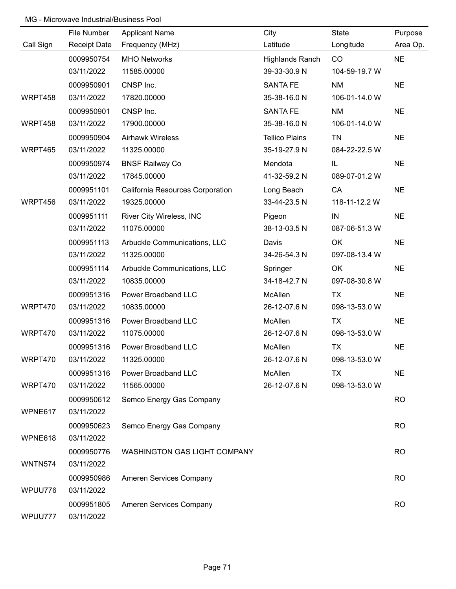|                | File Number         | <b>Applicant Name</b>               | City                  | State         | Purpose   |
|----------------|---------------------|-------------------------------------|-----------------------|---------------|-----------|
| Call Sign      | <b>Receipt Date</b> | Frequency (MHz)                     | Latitude              | Longitude     | Area Op.  |
|                | 0009950754          | <b>MHO Networks</b>                 | Highlands Ranch       | CO            | <b>NE</b> |
|                | 03/11/2022          | 11585.00000                         | 39-33-30.9 N          | 104-59-19.7 W |           |
|                | 0009950901          | CNSP Inc.                           | <b>SANTA FE</b>       | <b>NM</b>     | <b>NE</b> |
| WRPT458        | 03/11/2022          | 17820.00000                         | 35-38-16.0 N          | 106-01-14.0 W |           |
|                | 0009950901          | CNSP Inc.                           | <b>SANTA FE</b>       | <b>NM</b>     | <b>NE</b> |
| WRPT458        | 03/11/2022          | 17900.00000                         | 35-38-16.0 N          | 106-01-14.0 W |           |
|                | 0009950904          | <b>Airhawk Wireless</b>             | <b>Tellico Plains</b> | <b>TN</b>     | <b>NE</b> |
| WRPT465        | 03/11/2022          | 11325.00000                         | 35-19-27.9 N          | 084-22-22.5 W |           |
|                | 0009950974          | <b>BNSF Railway Co</b>              | Mendota               | IL.           | <b>NE</b> |
|                | 03/11/2022          | 17845.00000                         | 41-32-59.2 N          | 089-07-01.2 W |           |
|                | 0009951101          | California Resources Corporation    | Long Beach            | CA            | <b>NE</b> |
| WRPT456        | 03/11/2022          | 19325.00000                         | 33-44-23.5 N          | 118-11-12.2 W |           |
|                | 0009951111          | River City Wireless, INC            | Pigeon                | IN            | <b>NE</b> |
|                | 03/11/2022          | 11075.00000                         | 38-13-03.5 N          | 087-06-51.3 W |           |
|                | 0009951113          | Arbuckle Communications, LLC        | Davis                 | OK            | <b>NE</b> |
|                | 03/11/2022          | 11325.00000                         | 34-26-54.3 N          | 097-08-13.4 W |           |
|                | 0009951114          | Arbuckle Communications, LLC        | Springer              | OK            | <b>NE</b> |
|                | 03/11/2022          | 10835.00000                         | 34-18-42.7 N          | 097-08-30.8 W |           |
|                | 0009951316          | Power Broadband LLC                 | McAllen               | TX            | <b>NE</b> |
| WRPT470        | 03/11/2022          | 10835.00000                         | 26-12-07.6 N          | 098-13-53.0 W |           |
|                | 0009951316          | Power Broadband LLC                 | McAllen               | <b>TX</b>     | <b>NE</b> |
| WRPT470        | 03/11/2022          | 11075.00000                         | 26-12-07.6 N          | 098-13-53.0 W |           |
|                | 0009951316          | Power Broadband LLC                 | McAllen               | <b>TX</b>     | <b>NE</b> |
| WRPT470        | 03/11/2022          | 11325.00000                         | 26-12-07.6 N          | 098-13-53.0 W |           |
|                | 0009951316          | Power Broadband LLC                 | McAllen               | TX            | <b>NE</b> |
| WRPT470        | 03/11/2022          | 11565.00000                         | 26-12-07.6 N          | 098-13-53.0 W |           |
|                | 0009950612          | Semco Energy Gas Company            |                       |               | <b>RO</b> |
| WPNE617        | 03/11/2022          |                                     |                       |               |           |
|                | 0009950623          | Semco Energy Gas Company            |                       |               | <b>RO</b> |
| WPNE618        | 03/11/2022          |                                     |                       |               |           |
|                | 0009950776          | <b>WASHINGTON GAS LIGHT COMPANY</b> |                       |               | <b>RO</b> |
| <b>WNTN574</b> | 03/11/2022          |                                     |                       |               |           |
|                | 0009950986          | Ameren Services Company             |                       |               | <b>RO</b> |
| WPUU776        | 03/11/2022          |                                     |                       |               |           |
|                | 0009951805          | Ameren Services Company             |                       |               | <b>RO</b> |
| WPUU777        | 03/11/2022          |                                     |                       |               |           |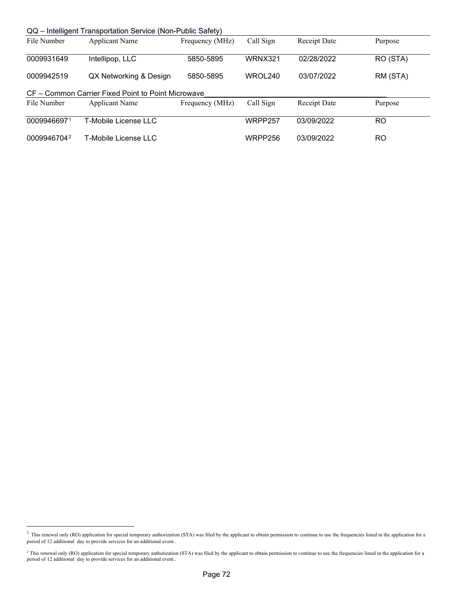| QQ – Intelligent Transportation Service (Non-Public Safety) |                                                    |                 |                |              |          |  |  |
|-------------------------------------------------------------|----------------------------------------------------|-----------------|----------------|--------------|----------|--|--|
| File Number                                                 | <b>Applicant Name</b>                              | Frequency (MHz) | Call Sign      | Receipt Date | Purpose  |  |  |
|                                                             |                                                    |                 |                |              |          |  |  |
| 0009931649                                                  | Intellipop, LLC                                    | 5850-5895       | <b>WRNX321</b> | 02/28/2022   | RO (STA) |  |  |
| 0009942519                                                  | QX Networking & Design                             | 5850-5895       | WROL240        | 03/07/2022   | RM (STA) |  |  |
|                                                             | CF – Common Carrier Fixed Point to Point Microwave |                 |                |              |          |  |  |
| File Number                                                 | Applicant Name                                     | Frequency (MHz) | Call Sign      | Receipt Date | Purpose  |  |  |
| 00099466971                                                 | T-Mobile License LLC                               |                 | WRPP257        | 03/09/2022   | RO.      |  |  |
|                                                             |                                                    |                 |                |              |          |  |  |
| 00099467042                                                 | T-Mobile License LLC                               |                 | WRPP256        | 03/09/2022   | RO       |  |  |

<span id="page-71-0"></span><sup>&</sup>lt;sup>1</sup> This renewal only (RO) application for special temporary authorization (STA) was filed by the applicant to obtain permission to continue to use the frequencies listed in the application for a period of 12 additional day to provide services for an additional event..

<span id="page-71-1"></span><sup>&</sup>lt;sup>2</sup> This renewal only (RO) application for special temporary authorization (STA) was filed by the applicant to obtain permission to continue to use the frequencies listed in the application for a period of 12 additional day to provide services for an additional event..